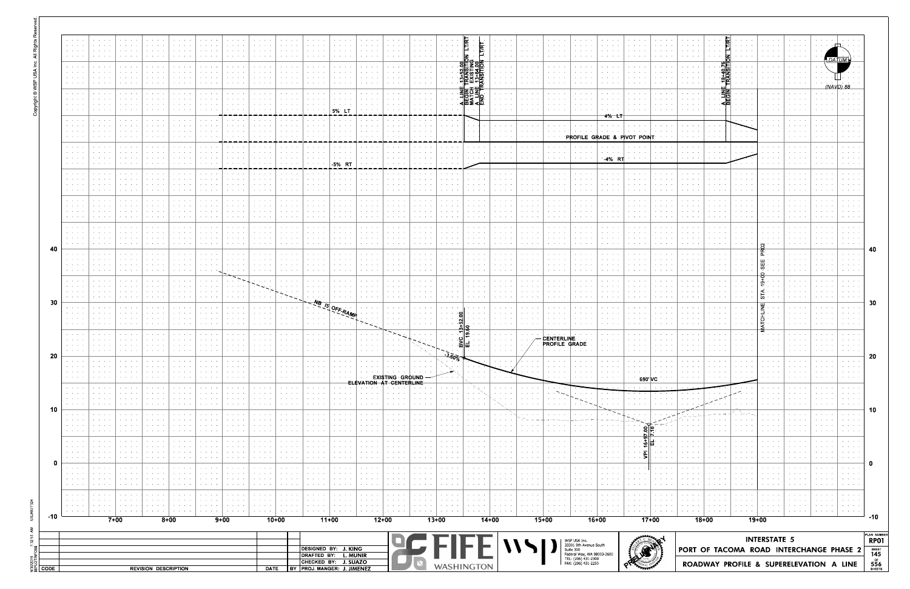|      | <b>Service Control</b><br><b>Service State</b>                                                                                                                                          | $\mathcal{A}=\mathcal{A}=\mathcal{A}=\mathcal{A}$                                                        | $\mathbf{a} = \mathbf{a} + \mathbf{a} + \mathbf{a}$ .<br><b>Contract Contract</b>     |        | contract the con-                                                                                    | <b>Contract Contract</b>                                                        | $\alpha$ , $\alpha$ , $\alpha$ , $\alpha$ , $\alpha$ , $\alpha$                                                                                       | the company of the                                                                                                   | contract and support                                          | $\alpha$ , $\alpha$ , $\alpha$ , $\alpha$ , $\alpha$                  | the contract of the                                                                                   | contract and an                                                        | $\alpha$ , $\alpha$ , $\alpha$ , $\alpha$ , $\alpha$                                                            | <b>Service Control</b>                                                                                                               | $\mathbf{a} = \mathbf{a} + \mathbf{a} + \mathbf{a}$ . | <b>Service Control</b>                                                                                                    |                                                                                                        | LTIRT                                                                   |                                                                                                 | $\mathbf{a} = \mathbf{a} + \mathbf{a} + \mathbf{a} + \mathbf{a}$                  | $\mathbf{a} = \mathbf{a} + \mathbf{a} + \mathbf{a}$              | <b>Service Control</b>                                                          | contract and a                                                                          | All Concert Car                                                                                                                                                                                                                                                                                                                                                                                                                                                                                  | <b>Service Control</b>                                                | and a state of                                                                                 |                                                                                                                           |                                                                                                                                                | and a state of                                                                           | <b>All All Annual</b>                                                                                                                          | <b>Contractor</b>                                             |                                                                                                                                                    |                                                             |
|------|-----------------------------------------------------------------------------------------------------------------------------------------------------------------------------------------|----------------------------------------------------------------------------------------------------------|---------------------------------------------------------------------------------------|--------|------------------------------------------------------------------------------------------------------|---------------------------------------------------------------------------------|-------------------------------------------------------------------------------------------------------------------------------------------------------|----------------------------------------------------------------------------------------------------------------------|---------------------------------------------------------------|-----------------------------------------------------------------------|-------------------------------------------------------------------------------------------------------|------------------------------------------------------------------------|-----------------------------------------------------------------------------------------------------------------|--------------------------------------------------------------------------------------------------------------------------------------|-------------------------------------------------------|---------------------------------------------------------------------------------------------------------------------------|--------------------------------------------------------------------------------------------------------|-------------------------------------------------------------------------|-------------------------------------------------------------------------------------------------|-----------------------------------------------------------------------------------|------------------------------------------------------------------|---------------------------------------------------------------------------------|-----------------------------------------------------------------------------------------|--------------------------------------------------------------------------------------------------------------------------------------------------------------------------------------------------------------------------------------------------------------------------------------------------------------------------------------------------------------------------------------------------------------------------------------------------------------------------------------------------|-----------------------------------------------------------------------|------------------------------------------------------------------------------------------------|---------------------------------------------------------------------------------------------------------------------------|------------------------------------------------------------------------------------------------------------------------------------------------|------------------------------------------------------------------------------------------|------------------------------------------------------------------------------------------------------------------------------------------------|---------------------------------------------------------------|----------------------------------------------------------------------------------------------------------------------------------------------------|-------------------------------------------------------------|
|      | $\mathcal{A}=\mathcal{A}=\mathcal{A}$ .<br>$\mathcal{A}=\mathcal{A}=\mathcal{A}$ .                                                                                                      | $\mathcal{A}=\mathcal{A}=\mathcal{A}=\mathcal{A}$                                                        | .<br><b>All Annual Car</b>                                                            |        | $\alpha$ , and $\alpha$ , and $\alpha$<br>$\mathbf{a} = \mathbf{a} + \mathbf{a} + \mathbf{a}$        | <b>All Angeles</b><br>the contract of the                                       | .<br>.                                                                                                                                                | $\cdots$<br>$\mathbf{z}=(\mathbf{z}_1,\ldots,\mathbf{z}_n)$ . $\mathbf{z}_n$                                         | <b>Contract Contract Contract</b><br>the contract of the con- | .<br>.                                                                | and a state of<br>$\mathbf{a} = \mathbf{a} + \mathbf{a} + \mathbf{a} + \mathbf{a}$                    | $\cdots \cdots \cdots$                                                 | and a state of                                                                                                  | and a state of<br><b>All All Anna</b>                                                                                                | .                                                     |                                                                                                                           |                                                                                                        | $Z \cdot$<br><u>့မှုနှစ် နှုန်</u>                                      | <b>All Contracts</b><br>o a an<br>$\mathbf{a} = \mathbf{a} + \mathbf{a} + \mathbf{a}$           | and a state of<br><b>All Accounts</b>                                             | .<br>$\cdots$                                                    | and a state of<br>All of the Control                                            | <b>Service Control</b><br><b>All Accounts</b>                                           | the contract of the con-<br>And American                                                                                                                                                                                                                                                                                                                                                                                                                                                         | <b>Service Control</b><br>All Carolina                                | <b>Contract Contract</b><br>konkurski sk<br><b>All Angels</b>                                  |                                                                                                                           | 9§<br>9<br><b>Contract Contract</b>                                                                                                            | .<br><b>Kingdom Adams</b>                                                                | .<br><b>All Angeles</b>                                                                                                                        |                                                               | DATUM                                                                                                                                              |                                                             |
|      | $\mathbf{v} = \mathbf{v} + \mathbf{v}$ .<br><b>Service Control</b><br>$\mathbf{a} = \mathbf{a} + \mathbf{a}$ .                                                                          |                                                                                                          | .<br><b>Contract Advised</b>                                                          |        | $\alpha$ , and $\alpha$ , and $\alpha$<br>and a state                                                | <b>Service Control</b><br>$\mathbf{r} = \mathbf{r} + \mathbf{r}$ .              | .                                                                                                                                                     | $\cdots$                                                                                                             | the contract of the con-                                      | .                                                                     | and a state of<br><b>Contract Contract</b>                                                            | the contract of the con-<br>contract and a series                      |                                                                                                                 | and a state of the<br>and a state                                                                                                    | .                                                     |                                                                                                                           |                                                                                                        | ≝⊞ न<                                                                   | .                                                                                               | and a state of<br>and a state                                                     | and a state of<br>.                                              | <b>All All Andrew</b><br>All Annual Corp.                                       | <b>Service Control</b><br>And All And                                                   | the contract of the con-<br>$\alpha$ , $\alpha$ , $\alpha$ , $\alpha$ , $\alpha$                                                                                                                                                                                                                                                                                                                                                                                                                 | <b>Contract Contract</b><br>and a state                               | .<br><b>Contractor</b>                                                                         |                                                                                                                           | ക'≲<br>긝일                                                                                                                                      | <b>Contract Contract</b><br><b>Contractor</b>                                            |                                                                                                                                                | <b>Contract Contract</b>                                      | (NAVD) 88                                                                                                                                          |                                                             |
|      | $\mathcal{A}=\mathcal{A}=\mathcal{A}$<br>$\alpha$ , $\alpha$ , $\alpha$ , $\alpha$                                                                                                      | $\mathcal{A}=\mathcal{A}=\mathcal{A}$ .                                                                  | <b>Contract Contract</b>                                                              |        | $\mathbf{a} = \mathbf{a} + \mathbf{a} + \mathbf{a}$ . In                                             | <b>Service Control</b>                                                          | $\cdots$                                                                                                                                              | $\cdots$                                                                                                             | $\sim$ $\sim$ $\sim$ $\sim$ $\sim$                            |                                                                       | the contract of the contract                                                                          | the contract of the con-                                               | 5% IT                                                                                                           |                                                                                                                                      |                                                       |                                                                                                                           | the contract of the con-                                                                               | ∱⊡<br>KID ∑KI<br>$\mathcal{A}=\mathcal{A}$ .                            | contract and support the                                                                        | $\alpha$ , and $\alpha$ , and $\alpha$                                            | .                                                                | <b>All All Andrew</b>                                                           | <b>All Accounts</b><br><b>All All All A</b>                                             | .                                                                                                                                                                                                                                                                                                                                                                                                                                                                                                | and a state of                                                        | والمعاملة<br>$\mathbf{r} = \mathbf{r} + \mathbf{r} + \mathbf{r}$                               | <b>Service Control</b>                                                                                                    | $\sim 10^{-10}$ km s $^{-1}$<br>ாய<br>. <dm<br>.<br/><b>Contract Contract</b></dm<br>                                                          | بالمنابذ<br>$\cdot$ $\cdot$ $\cdot$<br>and a state of                                    |                                                                                                                                                | <b>Contract Contract</b>                                      | <b>All Angeles</b>                                                                                                                                 |                                                             |
|      | $\mathcal{A}=\mathcal{A}=\mathcal{A}$ .<br>$\mathcal{A}=\mathcal{A}=\mathcal{A}$<br>$\mathbf{v} = \mathbf{v} + \mathbf{v}$ .                                                            |                                                                                                          | <b>Contractor</b>                                                                     |        | and a state of                                                                                       | <b>All All And</b>                                                              | $\mathbf{a} = \mathbf{a} + \mathbf{a} + \mathbf{a} + \mathbf{a}$                                                                                      | $\alpha$ , $\alpha$ , $\alpha$ , $\alpha$ , $\alpha$                                                                 |                                                               |                                                                       |                                                                                                       |                                                                        |                                                                                                                 |                                                                                                                                      |                                                       |                                                                                                                           |                                                                                                        | $\sim$ 100 $\mu$<br>$\sim$                                              | the company of the company                                                                      |                                                                                   |                                                                  |                                                                                 | 4% L<br><b>Contractor</b><br>$\mathcal{A}=\mathcal{A}=\mathcal{A}=\mathcal{A}$          | $\begin{array}{cccccccccccccc} \bullet & \bullet & \bullet & \bullet & \bullet & \bullet & \bullet \end{array}$                                                                                                                                                                                                                                                                                                                                                                                  |                                                                       | $\mathbf{a}$ , and $\mathbf{a}$ , and $\mathbf{a}$<br>.                                        |                                                                                                                           | <b>Contract Contract</b><br>$\mathbf{r} = \mathbf{r} + \mathbf{r}$ .                                                                           | and a state                                                                              | .                                                                                                                                              | .                                                             | $\mathbf{a} = \mathbf{a} + \mathbf{a} + \mathbf{a}$<br>.                                                                                           |                                                             |
|      | <b>Service</b> State<br>$\mathbf{a} = \mathbf{a} + \mathbf{a}$ .<br>$\mathcal{A}=\mathcal{A}=\mathcal{A}$                                                                               |                                                                                                          | .<br><b>Contract Advised</b>                                                          |        | and a state of<br>and a state of                                                                     | the contract of the con-<br>$\mathbf{a} = \mathbf{a} + \mathbf{a} + \mathbf{a}$ | $\cdots$<br>.                                                                                                                                         |                                                                                                                      |                                                               |                                                                       |                                                                                                       |                                                                        |                                                                                                                 |                                                                                                                                      |                                                       |                                                                                                                           |                                                                                                        | . .<br>$\mathbf{r} = \mathbf{r} + \mathbf{r} + \mathbf{r} + \mathbf{r}$ | the contract of the con-<br><b>Service Control</b><br>$\alpha$ , $\alpha$ , $\alpha$ , $\alpha$ | and a state of<br>and a state of<br>contract and an                               | $\mathbf{a} = \mathbf{a} + \mathbf{a} + \mathbf{a} + \mathbf{a}$ | <b>Service Control</b>                                                          | $\mathcal{A}=\mathcal{A}=\mathcal{A}=\mathcal{A}$                                       | PROFILE GRADE & PIVOT POINT                                                                                                                                                                                                                                                                                                                                                                                                                                                                      |                                                                       | contractors and<br><b>All All Account</b>                                                      |                                                                                                                           | the company of the company<br><b>Contract</b><br>$\mathbf{r} = \mathbf{r} + \mathbf{r}$ .                                                      | and a state of<br><b>Contract</b><br>and a state                                         |                                                                                                                                                |                                                               | and a state of<br>and a state                                                                                                                      |                                                             |
|      | $\alpha$ , $\alpha$ , $\alpha$ , $\alpha$                                                                                                                                               | $\mathcal{A}=\mathcal{A}=\mathcal{A}$ .                                                                  | <b>Contract Contract</b>                                                              |        | $\mathbf{a} = \mathbf{a} + \mathbf{a} + \mathbf{a}$ . In                                             | <b>Service Control</b>                                                          | $\cdots$                                                                                                                                              | $\cdots$                                                                                                             | <b>State State State</b>                                      |                                                                       |                                                                                                       | the contract of the con-                                               | -5% RT                                                                                                          |                                                                                                                                      |                                                       |                                                                                                                           |                                                                                                        | and a state of the                                                      | the contract of the                                                                             | <b>Contract Contract Contract</b>                                                 | $\alpha$ , and $\alpha$ , and $\alpha$                           | <b>Service Control</b>                                                          | -4% RT                                                                                  |                                                                                                                                                                                                                                                                                                                                                                                                                                                                                                  |                                                                       | .                                                                                              |                                                                                                                           | <b>Contract Contract</b>                                                                                                                       | .                                                                                        | and a state of                                                                                                                                 | <b>Contract Contract</b>                                      | $\mathbf{r} = \mathbf{r} - \mathbf{r} = \mathbf{r}$                                                                                                |                                                             |
|      | $\mathcal{A}=\mathcal{A}=\mathcal{A}$ .<br>$\mathcal{A}=\mathcal{A}=\mathcal{A}$<br>$\mathbf{v} = \mathbf{v} + \mathbf{v}$ .<br><b>Service State</b>                                    |                                                                                                          | <b>Contractor</b><br>.                                                                |        | and a state of<br>$\cdots$                                                                           | <b>All All And</b><br>$\bullet \qquad \bullet \qquad \bullet \qquad \bullet$    | $\mathbf{a} = \mathbf{a} + \mathbf{a} + \mathbf{a} + \mathbf{a}$                                                                                      | and a state of<br>$\cdots$                                                                                           |                                                               |                                                                       | <b>All All Andrew</b>                                                                                 |                                                                        |                                                                                                                 | and a state of the                                                                                                                   |                                                       |                                                                                                                           | $\mathbf{A} = \mathbf{A} + \mathbf{A} + \mathbf{A} + \mathbf{A}$<br>and a state of the                 | <b>All Angeles</b>                                                      | <b>Service Control</b>                                                                          | $\mathcal{A}=\{A_1,\ldots,A_n\}$ , $\mathcal{A}$ ,<br>and a state                 | and a state of                                                   | <b>All Accessible</b><br><b>Contract Contract</b>                               | $\mathcal{A}=\mathcal{A}=\mathcal{A}=\mathcal{A}$ .<br>and a state of                   | $\alpha$ , $\alpha$ , $\alpha$ , $\alpha$ , $\alpha$<br>the contract of the con-                                                                                                                                                                                                                                                                                                                                                                                                                 | $\mathbf{a} = \mathbf{a} + \mathbf{a} + \mathbf{a}$<br>and a state of | $\mathbf{a} = \mathbf{a} + \mathbf{a} + \mathbf{a} + \mathbf{a}$<br><b>All Angeles</b><br>.    | $\mathbf{a} = \mathbf{a} + \mathbf{a} + \mathbf{a} + \mathbf{a}$<br>.                                                     | <b>Service Control</b><br>.                                                                                                                    | <b>Contractor</b><br>$\mathbf{r} = \mathbf{r} + \mathbf{r}$ .<br>and a state of          | .                                                                                                                                              | <b>Contract Contract</b>                                      | <b>All Angels</b><br>and a state of<br>and a state of                                                                                              |                                                             |
|      | $\mathcal{A}=\mathcal{A}=\mathcal{A}$ .<br>$\mathcal{A}=\mathcal{A}=\mathcal{A}$ .<br><b>Service</b> State                                                                              |                                                                                                          | .                                                                                     |        | and a state                                                                                          | .                                                                               |                                                                                                                                                       | .                                                                                                                    |                                                               |                                                                       | .                                                                                                     |                                                                        |                                                                                                                 | and a state of                                                                                                                       |                                                       |                                                                                                                           | <b>Contract Contract</b>                                                                               |                                                                         |                                                                                                 | <b>Contract Contract</b>                                                          |                                                                  |                                                                                 | .                                                                                       | .                                                                                                                                                                                                                                                                                                                                                                                                                                                                                                | and a state                                                           | <b>Contract Contract</b>                                                                       |                                                                                                                           | <b>Contract</b>                                                                                                                                | e sa se<br>and a state<br>$\cdots$                                                       |                                                                                                                                                |                                                               | .                                                                                                                                                  |                                                             |
|      | $\mathcal{A}=\mathcal{A}=\mathcal{A}$ .                                                                                                                                                 | $\mathcal{A}=\mathcal{A}=\mathcal{A}$ .                                                                  | $\cdots$<br><b>Contract Advised</b>                                                   |        | $\cdots$<br>and a state of                                                                           | the contract of the con-<br>$\mathbf{r} = \mathbf{r} + \mathbf{r}$ .            | $\cdots$                                                                                                                                              | $\cdots$<br>and a state                                                                                              | <b>State State</b>                                            | $\cdots$<br>.                                                         | $\cdots$<br>and a state of                                                                            | $\cdots$<br>contract and a                                             | $\cdot$ $\cdot$ $\cdot$ $\cdot$                                                                                 | and a state of the<br>and a state of                                                                                                 | .<br>.                                                |                                                                                                                           | $\mathbf{a}$ , and $\mathbf{a}$ , and $\mathbf{a}$<br><b>Contractor</b>                                | .                                                                       | .                                                                                               | and a state of<br>.                                                               | .                                                                | <b>Contract Contract Contract</b>                                               | $\alpha$ , and $\alpha$ , and $\alpha$<br>and a state                                   | $\mathbf{v} = \mathbf{v} + \mathbf{v} + \mathbf{v} + \mathbf{v} + \mathbf{v} + \mathbf{v} + \mathbf{v} + \mathbf{v} + \mathbf{v} + \mathbf{v} + \mathbf{v} + \mathbf{v} + \mathbf{v} + \mathbf{v} + \mathbf{v} + \mathbf{v} + \mathbf{v} + \mathbf{v} + \mathbf{v} + \mathbf{v} + \mathbf{v} + \mathbf{v} + \mathbf{v} + \mathbf{v} + \mathbf{v} + \mathbf{v} + \mathbf{v} + \mathbf{v} + \mathbf{v} + \mathbf{v} + \mathbf$<br>$\mathbf{r} = \mathbf{r} + \mathbf{r} + \mathbf{r} + \mathbf{r}$ | and the control<br>and a state                                        | $\mathbf{v} = \mathbf{v} + \mathbf{v} + \mathbf{v} + \mathbf{v}$<br><b>Contract Contract</b>   | the company of the company of<br><b>State State State</b>                                                                 | $\cdots$<br>and a state                                                                                                                        | .<br>and a state<br><b>All Andre</b>                                                     | and a state of the<br><b>Contract Contract</b>                                                                                                 |                                                               | and a state of<br>and a state                                                                                                                      |                                                             |
| -40  | $\mathcal{A}=\mathcal{A}=\mathcal{A}$<br><b>Service</b> State                                                                                                                           | $\mathcal{A}=\mathcal{A}=\mathcal{A}$ .                                                                  | $\cdots$                                                                              |        | $\cdots$                                                                                             | the contract of the con-                                                        | $\cdots$                                                                                                                                              | $\cdots$                                                                                                             | $\sim$ $\sim$ $\sim$ $\sim$ $\sim$                            | .                                                                     | $\cdots$                                                                                              |                                                                        |                                                                                                                 | and a state of the                                                                                                                   | .                                                     |                                                                                                                           | .<br>the contract of the con-                                                                          |                                                                         | .                                                                                               | and a strategic                                                                   | and a state of the                                               | <b>Contract Contract Contract</b>                                               | $\alpha$ , and $\alpha$ , and $\alpha$                                                  | the contract of the con-                                                                                                                                                                                                                                                                                                                                                                                                                                                                         | the contract of the                                                   | contract and<br>$\mathbf{z}=(\mathbf{z}_1,\ldots,\mathbf{z}_n)$ . $\mathbf{z}_i$               | .                                                                                                                         | .                                                                                                                                              |                                                                                          | and a state of the                                                                                                                             | <b>Contract Contract</b>                                      | $\alpha$ , and $\alpha$ , and $\alpha$<br>$\mathbf{v} = \mathbf{v} + \mathbf{v} + \mathbf{v}$ .                                                    | 40                                                          |
|      | $\mathbf{a} = \mathbf{a} + \mathbf{a}$ .<br>$\mathcal{A}=\mathcal{A}=\mathcal{A}$ .<br>$\mathcal{A}=\mathcal{A}=\mathcal{A}$ .                                                          | <b>Service State</b>                                                                                     | <b>Contract Contract Contract</b><br>$\cdots$                                         |        | and a state<br>$\cdots$                                                                              | and a state<br>the contract of the con-                                         | .<br>$\cdots$                                                                                                                                         | and a state<br>$\cdots$                                                                                              | $\cdots$<br>$\cdots$                                          |                                                                       | .<br>the contract of the con-                                                                         | $\cdots$                                                               | .                                                                                                               | and a state of<br>and a state of the                                                                                                 | .                                                     |                                                                                                                           | <b>Contractor</b><br>.<br>the contract of the con-                                                     | .                                                                       | .                                                                                               | .<br>and a strategic                                                              | and a state of the                                               | <b>Contract Contract</b><br>the contract of the con-                            | and a state of<br>$\alpha$ , and $\alpha$ , and $\alpha$                                | .<br>$\mathbf{v} = \mathbf{v} + \mathbf{v} + \mathbf{v} + \mathbf{v} + \mathbf{v} + \mathbf{v} + \mathbf{v} + \mathbf{v} + \mathbf{v} + \mathbf{v} + \mathbf{v} + \mathbf{v} + \mathbf{v} + \mathbf{v} + \mathbf{v} + \mathbf{v} + \mathbf{v} + \mathbf{v} + \mathbf{v} + \mathbf{v} + \mathbf{v} + \mathbf{v} + \mathbf{v} + \mathbf{v} + \mathbf{v} + \mathbf{v} + \mathbf{v} + \mathbf{v} + \mathbf{v} + \mathbf{v} + \mathbf$                                                                | and a state<br>and the control                                        | <b>Contract Contract</b><br>and a state of<br>.                                                | and a state of                                                                                                            | <b>Contract</b><br><b>Contract Contract Contract</b>                                                                                           |                                                                                          | the contract of the con-                                                                                                                       | <b>Contract Contract Contract</b><br>$\cdots$                 | $\alpha$ , and $\alpha$ , and $\alpha$<br>$\mathcal{A}=\{A_1,\ldots,A_n\}$ , $\mathcal{A}$<br>and a state of<br>and a state of                     |                                                             |
|      | <b>Service</b><br>$\mathcal{A}=\mathcal{A}+\mathcal{A}+\mathcal{A}$<br><b>All Accounts</b>                                                                                              |                                                                                                          | <b>Contract Contract</b><br>.                                                         |        | <b>Contractor</b>                                                                                    | <b>Service State</b>                                                            |                                                                                                                                                       | and a state of                                                                                                       |                                                               |                                                                       | $\alpha$ , $\alpha$ , $\alpha$ , $\alpha$ , $\alpha$ , $\alpha$<br><b>Service Control</b><br>$\cdots$ |                                                                        |                                                                                                                 | <b>Contractor</b>                                                                                                                    |                                                       |                                                                                                                           | <b>Contractor</b><br>$\mathbf{a} = \mathbf{a} + \mathbf{a} + \mathbf{a}$<br>and a state of the         |                                                                         |                                                                                                 | <b>Contractor</b>                                                                 |                                                                  |                                                                                 | <b>Contractor</b><br>.                                                                  |                                                                                                                                                                                                                                                                                                                                                                                                                                                                                                  | <b>All All And</b>                                                    | <b>Contract Contract</b><br>.                                                                  |                                                                                                                           |                                                                                                                                                | Φ.                                                                                       |                                                                                                                                                |                                                               | <b>Contractor</b><br>$\mathbf{a} = \mathbf{a} + \mathbf{a} + \mathbf{a}$<br>All Annual Car                                                         |                                                             |
| 30   |                                                                                                                                                                                         | $\mathcal{A}=\mathcal{A}=\mathcal{A}=\mathcal{A}$<br>$\mathbf{a} = \mathbf{a} + \mathbf{a} + \mathbf{a}$ | $\mathbf{a} = \mathbf{a} + \mathbf{a} + \mathbf{a} + \mathbf{a}$<br><b>Contractor</b> |        | <b>Contract Contract</b><br>$\mathbf{a}$ , $\mathbf{a}$ , $\mathbf{a}$ , $\mathbf{a}$ , $\mathbf{a}$ | contract and support the<br><b>Service Control</b>                              | $\begin{array}{cccccccccccccc} \bullet & \bullet & \bullet & \bullet & \bullet & \bullet & \bullet & \bullet \end{array}$<br><b>Contract Contract</b> | $\mathbf{a}$ , and $\mathbf{a}$ , and $\mathbf{a}$<br><b>Contract Contract</b>                                       | $\sim$ , $\sim$ , $\sim$ , $\sim$<br><b>Contract Contract</b> | .<br><b>All Angeles</b>                                               | <b>All Accessible</b>                                                                                 | the contract of the con-                                               | $\sim$ , $\sim$ , $\sim$ , $\sim$                                                                               | <b>Service Control</b><br>and a state of                                                                                             | the contract of the con-<br><b>All Accessible</b>     | $\alpha$ , and $\alpha$ , and $\alpha$<br><b>Service Control</b>                                                          | <b>Contract Contract Ave</b><br>$\mathbf{r} = \mathbf{r} + \mathbf{r} + \mathbf{r}$                    | the company's company's<br><b>Contract Contract</b>                     | the company's company's<br><b>All All Andrew</b>                                                | <b>Contract Contract</b><br>$\mathbf{a} = \mathbf{a} + \mathbf{a} + \mathbf{a}$ . | $\alpha$ , and $\alpha$ , and $\alpha$<br><b>All Angeles</b>     | $\mathbf{r} = \mathbf{r} + \mathbf{r} + \mathbf{r}$<br>the company's company's  | <b>Contract Contract</b><br>$\mathbf{a} = \mathbf{a} + \mathbf{a} + \mathbf{a}$         | the contract of the con-<br>$\mathbf{a}$ , and $\mathbf{a}$ , and $\mathbf{a}$                                                                                                                                                                                                                                                                                                                                                                                                                   | and the control of<br><b>Service Control</b>                          | $\bullet$ .<br><br><br><br><br><br><br><br><br><br><br><br><br><br><b>Contract Contract</b>    | $\mathbf{a}$ , and $\mathbf{a}$ , and $\mathbf{a}$<br><b>State State State</b>                                            | $\cdots$<br><b>All Angels</b>                                                                                                                  | m                                                                                        | $\sim$ , and $\sim$ , and $\sim$                                                                                                               | and a state of<br><b>Contract Contract</b>                    | <b>Service Control</b><br>$\mathbf{a} = \mathbf{a} + \mathbf{a} + \mathbf{a}$                                                                      | 30                                                          |
|      | $\mathcal{A}=\mathcal{A}+\mathcal{A}+\mathcal{A}$<br><b>Service</b> State                                                                                                               | <b>Service Control</b>                                                                                   | $\cdots$                                                                              |        | $\alpha$ , and $\alpha$ , and $\alpha$                                                               | the contract of the con-                                                        | $\begin{array}{cccccccccccccc} \bullet & \bullet & \bullet & \bullet & \bullet & \bullet & \bullet & \bullet \end{array}$                             | .<br>$\begin{array}{cccccccccccccc} \bullet & \bullet & \bullet & \bullet & \bullet & \bullet & \bullet \end{array}$ | $\sim$ $\sim$ $\sim$ $\sim$ $\sim$                            | $\alpha$ , and $\alpha$ , and $\alpha$                                | and a state of the                                                                                    | the contract of the con-                                               | $\begin{array}{cccccccccccccc} \bullet & \bullet & \bullet & \bullet & \bullet & \bullet & \bullet \end{array}$ |                                                                                                                                      | .                                                     |                                                                                                                           | $\bullet$<br>$\cdot$ $\cdot$                                                                           |                                                                         | and the control                                                                                 | .                                                                                 | $\sim$ , $\sim$ , $\sim$ , $\sim$                                | $\mathbf{r} = \mathbf{r} + \mathbf{r} + \mathbf{r}$ .                           | .<br>the contract of the con-                                                           | $\mathbf{r} = \mathbf{r} + \mathbf{r} + \mathbf{r}$ .                                                                                                                                                                                                                                                                                                                                                                                                                                            | <b>All Service</b>                                                    | contract and<br>.                                                                              | $\cdot$ $\cdot$ $\cdot$ $\cdot$                                                                                           | <b>Contract Contract Street</b>                                                                                                                |                                                                                          | $\cdots$                                                                                                                                       |                                                               | $\mathcal{A}=\mathcal{A}=\mathcal{A}=\mathcal{A}$<br><b>All Anna</b> All<br>and a state of                                                         |                                                             |
|      | $\alpha = \alpha + \beta$ and<br>$\mathcal{A}=\mathcal{A}=\mathcal{A}$ .                                                                                                                | $\mathcal{A}=\mathcal{A}=\mathcal{A}=\mathcal{A}$                                                        | <b>Contract Contract Contract</b><br><b>Contractor</b>                                |        | and a state                                                                                          | <b>Contract</b>                                                                 |                                                                                                                                                       | .                                                                                                                    |                                                               |                                                                       | <b>Contract Contract</b>                                                                              |                                                                        |                                                                                                                 | <b>Contract</b>                                                                                                                      |                                                       |                                                                                                                           | ان.<br>മിധ                                                                                             | ။ တ                                                                     | and a state                                                                                     |                                                                                   | <b>CENTERLINE</b><br>PROFILE GRADE                               |                                                                                 | e contra la<br>$\mathbf{a} = \mathbf{a} + \mathbf{a} + \mathbf{a}$<br><b>Contractor</b> |                                                                                                                                                                                                                                                                                                                                                                                                                                                                                                  |                                                                       | contractors.                                                                                   |                                                                                                                           |                                                                                                                                                | $\alpha$ , and $\alpha$ , and $\alpha$                                                   |                                                                                                                                                |                                                               | .                                                                                                                                                  |                                                             |
| 20   | <b>All Accounts</b><br>$\mathbf{a} = \mathbf{a} + \mathbf{a}$<br>$\mathbf{a} = \mathbf{a} + \mathbf{a}$                                                                                 |                                                                                                          | .                                                                                     |        | <b>All Access (A)</b>                                                                                | <b>All Accessible</b>                                                           | $\alpha$ , and $\alpha$ , and $\alpha$                                                                                                                | $\mathbf{a} = \mathbf{a} + \mathbf{a} + \mathbf{a} + \mathbf{a}$                                                     | <b>All Angeles Adams</b>                                      | $\mathbf{r} = \mathbf{r} + \mathbf{r} + \mathbf{r}$                   | $\mathbf{a} = \mathbf{a} + \mathbf{a} + \mathbf{a}$                                                   | .                                                                      |                                                                                                                 | <b>Contract Contract</b>                                                                                                             |                                                       |                                                                                                                           | $-3.60\%$                                                                                              |                                                                         |                                                                                                 |                                                                                   |                                                                  | <b>Contract Contract</b>                                                        | $\mathbf{r}=(\mathbf{r}_1,\ldots,\mathbf{r}_n)$ , $\mathbf{r}_1$                        | .                                                                                                                                                                                                                                                                                                                                                                                                                                                                                                | <b>All Angeles</b>                                                    | .                                                                                              | and a state of                                                                                                            | $\mathcal{A}=\mathcal{A}=\mathcal{A}=\mathcal{A}$                                                                                              | <b>Contractor</b>                                                                        | $\alpha$ , $\alpha$ , $\alpha$ , $\alpha$                                                                                                      | .                                                             | $\mathbf{u} \in \mathcal{A}$ , and $\mathcal{A} \in \mathcal{A}$                                                                                   | 20                                                          |
|      | $\mathcal{A}^{\mathcal{A}}$ , and $\mathcal{A}^{\mathcal{A}}$ , and $\mathcal{A}^{\mathcal{A}}$<br>$\alpha = \alpha + \beta$ , $\alpha$                                                 |                                                                                                          | <b>Contract Contract</b>                                                              |        | $\mathcal{L}(\mathbf{x})$ , and $\mathcal{L}(\mathbf{x})$<br><b>All All And</b>                      | <b>Contract Contract</b>                                                        | .                                                                                                                                                     | .<br>.                                                                                                               | <b>Contract Contract Contract</b>                             | .                                                                     | .<br><b>Contractor</b>                                                                                |                                                                        |                                                                                                                 |                                                                                                                                      | <b>EXISTING GROUND</b><br>ELEVATION AT CENTERLINE     |                                                                                                                           | $\sim 1000$ km s $^{-1}$<br>$\sim$ 100 $\sim$ 100 $\sim$                                               |                                                                         |                                                                                                 |                                                                                   |                                                                  |                                                                                 |                                                                                         |                                                                                                                                                                                                                                                                                                                                                                                                                                                                                                  | 690'VC                                                                |                                                                                                |                                                                                                                           | <b>Contract Contract</b>                                                                                                                       |                                                                                          |                                                                                                                                                | <b>Contract Contract</b>                                      | $\mathbf{r} = \mathbf{r} + \mathbf{r}$                                                                                                             |                                                             |
| -10  | $\mathcal{A}=\mathcal{A}=\mathcal{A}$ .<br>$\mathbf{A} = \mathbf{A} \mathbf{A}$ .<br>$\mathcal{A}^{\mathcal{A}}$ , and $\mathcal{A}^{\mathcal{A}}$ , and $\mathcal{A}^{\mathcal{A}}$    |                                                                                                          |                                                                                       |        |                                                                                                      | $\cdots$                                                                        | .                                                                                                                                                     | .                                                                                                                    | $\sim$ 100 $\sim$ 100 $\sim$                                  | .                                                                     | $\mathbf{a} = \mathbf{a} + \mathbf{a} + \mathbf{a}$                                                   |                                                                        |                                                                                                                 | .                                                                                                                                    |                                                       | $\bullet \qquad \bullet \qquad \bullet \qquad \bullet$                                                                    | <b>Contract</b><br>$\bullet$ . In the second case $\bullet$                                            |                                                                         |                                                                                                 | <b>Contract Contract</b>                                                          |                                                                  |                                                                                 |                                                                                         |                                                                                                                                                                                                                                                                                                                                                                                                                                                                                                  | $\mathbf{r} = \mathbf{r} + \mathbf{r} + \mathbf{r}$                   |                                                                                                |                                                                                                                           | .                                                                                                                                              | e a se                                                                                   |                                                                                                                                                | <b>Contract Contract Contract</b>                             | $\mathbf{r} = \mathbf{r} + \mathbf{r}$ .<br><b>All Card Adams</b>                                                                                  | 10                                                          |
|      | $\mathbf{r} = \mathbf{r} + \mathbf{r}$<br>$\alpha$ , $\alpha$ , $\alpha$ , $\alpha$<br>$\mathcal{A}=\mathcal{A}=\mathcal{A}$ .                                                          | $\mathbf{r}=(\mathbf{r}_1,\ldots,\mathbf{r}_n)$                                                          | <b>Contract Contract</b><br><b>Contract Contract Contract</b>                         |        | $1 - 1 - 1 - 1$<br><b>Contract Advised Service</b>                                                   | .<br>.                                                                          | .                                                                                                                                                     | .<br><b>Contract Contract</b>                                                                                        | .                                                             | .<br>$\sim$ 100 $\sim$ 100 $\sim$                                     | <b>Contract Contract</b><br>$\bullet \qquad \bullet \qquad \bullet \qquad \bullet \qquad \bullet$     |                                                                        | All Anna Party                                                                                                  | <b>Contractor</b><br>.                                                                                                               | <b>Contractor</b><br>.                                | <b>All All All In</b>                                                                                                     | $\alpha$ , $\alpha$ , $\alpha$ , $\alpha$ , $\alpha$<br>$\mathbf{r} = \mathbf{r} + \mathbf{r}$ , where |                                                                         |                                                                                                 | <b>Contract Contract Contract</b>                                                 |                                                                  |                                                                                 | <b>Contract Contract</b>                                                                |                                                                                                                                                                                                                                                                                                                                                                                                                                                                                                  | ∘∣∞                                                                   | <b>Contract Contract</b>                                                                       |                                                                                                                           | $-7$<br>contract and                                                                                                                           | and a state<br>.<br><b>All Angeles</b>                                                   | <b>Contract Contract</b>                                                                                                                       | <b>Contract Contract</b><br><b>Contract Contract Contract</b> | $\mathcal{A}^{\mathcal{A}}$ , $\mathcal{A}^{\mathcal{A}}$ , and $\mathcal{A}^{\mathcal{A}}$<br>$\mathbf{a} = \mathbf{a} + \mathbf{a} + \mathbf{a}$ |                                                             |
|      | $\mathcal{A}=\mathcal{A}=\mathcal{A}$ .<br>$\alpha = \alpha + \beta$ .                                                                                                                  |                                                                                                          | <b>Contract Contract Contract</b>                                                     |        | $1 - 1 - 1 - 1$                                                                                      | <b>State State</b>                                                              | .                                                                                                                                                     | $\mathbf{v} = \mathbf{v} + \mathbf{v} + \mathbf{v}$                                                                  | .                                                             | .                                                                     | $\mathbf{a} = \mathbf{a} + \mathbf{a} + \mathbf{a}$ , and                                             | $\cdots$                                                               | <b>All Angeles</b>                                                                                              | <b>CONTRACTOR</b>                                                                                                                    | .                                                     | .                                                                                                                         | <b>CONTRACTOR</b><br><b>Contract</b>                                                                   |                                                                         |                                                                                                 | <b>Contract Contract</b>                                                          |                                                                  | <b>Contract Contract</b>                                                        | <b>Contractor</b>                                                                       |                                                                                                                                                                                                                                                                                                                                                                                                                                                                                                  | ᆒ                                                                     | <b>Contract Contract</b>                                                                       |                                                                                                                           | <b>Contract Contract</b>                                                                                                                       | $\mathbf{r} = \mathbf{r} + \mathbf{r}$ , where<br>$\mathbf{r} = \mathbf{r} + \mathbf{r}$ |                                                                                                                                                | <b>Contract Contract</b>                                      | $\mathbf{r} = \mathbf{r} + \mathbf{r}$ .                                                                                                           |                                                             |
|      | <b>All Andre</b><br>$\mathbf{r} = \mathbf{r} + \mathbf{r}$ .<br>e contro                                                                                                                |                                                                                                          |                                                                                       |        | <b>Contract Contract Contract</b>                                                                    | $\cdots$                                                                        | .                                                                                                                                                     | .<br>.                                                                                                               | $\sim$ 100 $\sim$ 100 $\sim$                                  | .                                                                     | $\cdots$<br><b>Contract Contract</b>                                                                  |                                                                        |                                                                                                                 | .<br><b>Contractor</b>                                                                                                               | .                                                     | .                                                                                                                         | $\mathbf{r} = \mathbf{r} + \mathbf{r} + \mathbf{r}$<br><b>Contract Contract</b>                        |                                                                         | <b>Contract Contract</b>                                                                        | <b>Contract Contract</b><br><b>Contract Contract</b>                              | .                                                                | .<br><b>Contractor</b>                                                          | .<br><b>Contract Contract</b>                                                           | -                                                                                                                                                                                                                                                                                                                                                                                                                                                                                                | <b>Contract Contract</b>                                              | <b>All Angeles</b><br>contractors and                                                          |                                                                                                                           | contract and<br><b>Contract Contract</b>                                                                                                       | and a state of<br>and a state                                                            | <b>Contract Contract</b>                                                                                                                       | <b>Contract Contract Contract</b><br><b>Contract Contract</b> | <b>Contractor</b>                                                                                                                                  |                                                             |
|      | $\mathbf{r} = \mathbf{r} + \mathbf{r}$<br>$\alpha$ , $\alpha$ , $\alpha$ , $\alpha$<br>$\mathcal{A}^{\mathcal{A}}$ and $\mathcal{A}^{\mathcal{A}}$ . In the $\mathcal{A}^{\mathcal{A}}$ |                                                                                                          | $\cdots$                                                                              |        | .                                                                                                    | $\cdots$                                                                        | <b>Contract Advised Service</b>                                                                                                                       | .                                                                                                                    | .                                                             | .                                                                     | <b>All All All Co</b>                                                                                 |                                                                        |                                                                                                                 | .                                                                                                                                    | .                                                     | .                                                                                                                         | $\mathbf{r} = \mathbf{r} + \mathbf{r} + \mathbf{r}$                                                    |                                                                         | <b>Contract Contract</b>                                                                        | <b>Contract Contract</b>                                                          | .                                                                | .                                                                               | <b>All States</b>                                                                       | .                                                                                                                                                                                                                                                                                                                                                                                                                                                                                                | .                                                                     | .                                                                                              | $\begin{array}{cccccccccccccc} \bullet & \bullet & \bullet & \bullet & \bullet & \bullet & \bullet & \bullet \end{array}$ | <b>All Angeles</b>                                                                                                                             | $\mathbf{r} = \mathbf{r} + \mathbf{r}$<br><b>All Angeles</b>                             |                                                                                                                                                | <b>Contract Contract</b>                                      | <b>All States</b>                                                                                                                                  |                                                             |
|      | $\mathcal{A}=\mathcal{A}+\mathcal{A}$ .<br>$\alpha$ , $\alpha$ , $\alpha$ , $\alpha$<br>$\mathbf{a} = \mathbf{a} + \mathbf{a}$<br>.                                                     |                                                                                                          | .<br>.                                                                                |        | $1 - 1 - 1 - 1$                                                                                      | <b>Contract Contract</b>                                                        | .                                                                                                                                                     | $\mathbf{v} = \mathbf{v} + \mathbf{v} + \mathbf{v} + \mathbf{v}$<br><b>All Accounts</b>                              | the contract of the con-<br>$\cdots$                          | $\mathbf{a} = \mathbf{a} + \mathbf{a} + \mathbf{a} + \mathbf{a}$<br>. | $\mathbf{a} = \mathbf{a} + \mathbf{a} + \mathbf{a} + \mathbf{a}$<br><b>Service Control</b>            | <b>Contract Contract Contract</b><br><b>Contract Contract Contract</b> | <b>Contract Contract</b>                                                                                        | <b>CONTRACTOR</b><br>$\begin{array}{cccccccccccccc} \bullet & \bullet & \bullet & \bullet & \bullet & \bullet & \bullet \end{array}$ | contract and the con-                                 | $\begin{array}{cccccccccccccc} \bullet & \bullet & \bullet & \bullet & \bullet & \bullet & \bullet & \bullet \end{array}$ | $\alpha$ , $\alpha$ , $\alpha$ , $\alpha$ , $\alpha$<br>the company's company's                        | and a state of the                                                      | <b>All All And</b><br>the contract of the                                                       | <b>Contractor</b><br>$\cdots \cdots \cdots$                                       | $\sim$ 100 $\sim$ 100 $\sim$                                     | <b>Contract Contract</b><br>$\mathbf{r} = \mathbf{r} + \mathbf{r} + \mathbf{r}$ | <b>All Accessible</b><br>contract and a                                                 | .<br>$\mathbf{a} = \mathbf{a} + \mathbf{a} + \mathbf{a} + \mathbf{a} + \mathbf{a} + \mathbf{a} + \mathbf{a} + \mathbf{a} + \mathbf{a} + \mathbf{a} + \mathbf{a} + \mathbf{a} + \mathbf{a} + \mathbf{a} + \mathbf{a} + \mathbf{a} + \mathbf{a} + \mathbf{a} + \mathbf{a} + \mathbf{a} + \mathbf{a} + \mathbf{a} + \mathbf{a} + \mathbf{a} + \mathbf{a} + \mathbf{a} + \mathbf{a} + \mathbf{a} + \mathbf{a} + \mathbf{a} + \mathbf$                                                                | <b>All Angels</b><br>the contract of the                              | $\mathbf{r} = \mathbf{r} + \mathbf{r} + \mathbf{r}$<br><b>Contractor</b><br><b>All Angeles</b> | <b>All Angeles Advertisions</b><br><b>Service Control</b>                                                                 | <b>Contractor</b><br>$\begin{array}{cccccccccccccc} \bullet & \bullet & \bullet & \bullet & \bullet & \bullet & \bullet & \bullet \end{array}$ | $\mathbf{r}=(\mathbf{r}_1,\ldots,\mathbf{r}_n)$ .<br>.                                   | <b>Contractor</b><br>$\begin{array}{cccccccccccccc} \bullet & \bullet & \bullet & \bullet & \bullet & \bullet & \bullet & \bullet \end{array}$ | <b>Contract Contract</b><br>the contract of the               | $\mathbf{r}=(\mathbf{r},\mathbf{r})$ , where<br><b>ALCOHOL: 1999</b><br><b>Service Control</b>                                                     |                                                             |
| -10  |                                                                                                                                                                                         |                                                                                                          |                                                                                       | $7+00$ |                                                                                                      |                                                                                 | $8+00$                                                                                                                                                |                                                                                                                      | $9+00$                                                        |                                                                       | 10+00                                                                                                 | $11+00$                                                                |                                                                                                                 | $12+00$                                                                                                                              |                                                       |                                                                                                                           | $13+00$                                                                                                | $14+00$                                                                 |                                                                                                 |                                                                                   | $15+00$                                                          |                                                                                 | $16+00$                                                                                 |                                                                                                                                                                                                                                                                                                                                                                                                                                                                                                  | $17+00$                                                               |                                                                                                | $18+00$                                                                                                                   |                                                                                                                                                | $19+00$                                                                                  |                                                                                                                                                |                                                               |                                                                                                                                                    | $-10$                                                       |
|      |                                                                                                                                                                                         |                                                                                                          |                                                                                       |        |                                                                                                      |                                                                                 |                                                                                                                                                       |                                                                                                                      |                                                               |                                                                       |                                                                                                       |                                                                        | DESIGNED BY: J. KING                                                                                            |                                                                                                                                      |                                                       |                                                                                                                           |                                                                                                        |                                                                         |                                                                                                 |                                                                                   |                                                                  | WSP USA Inc.<br>33301 9th Avenue South<br>Suite 300                             |                                                                                         |                                                                                                                                                                                                                                                                                                                                                                                                                                                                                                  | <b>A</b>                                                              |                                                                                                |                                                                                                                           | PORT OF TACOMA ROAD INTERCHANGE PHASE 2                                                                                                        | <b>INTERSTATE 5</b>                                                                      |                                                                                                                                                |                                                               |                                                                                                                                                    | PLAN NUMBER<br><b>RPO1</b><br>$\overset{\text{SHEET}}{145}$ |
| CODE |                                                                                                                                                                                         |                                                                                                          |                                                                                       |        |                                                                                                      |                                                                                 | REVISION DESCRIPTION                                                                                                                                  |                                                                                                                      |                                                               | DATE                                                                  |                                                                                                       | BY PROJ MANGER: J. JIMENEZ                                             | DRAFTED BY: L. MUNIR<br>CHECKED BY: J. SUAZO                                                                    |                                                                                                                                      |                                                       |                                                                                                                           | WASHINGTON                                                                                             |                                                                         |                                                                                                 |                                                                                   |                                                                  | Federal Way, WA 98003-2600<br>TEL: (206) 431-2300<br>FAX: (206) 431-2250        |                                                                                         |                                                                                                                                                                                                                                                                                                                                                                                                                                                                                                  |                                                                       |                                                                                                |                                                                                                                           | ROADWAY PROFILE & SUPERELEVATION A LINE                                                                                                        |                                                                                          |                                                                                                                                                |                                                               |                                                                                                                                                    | 556                                                         |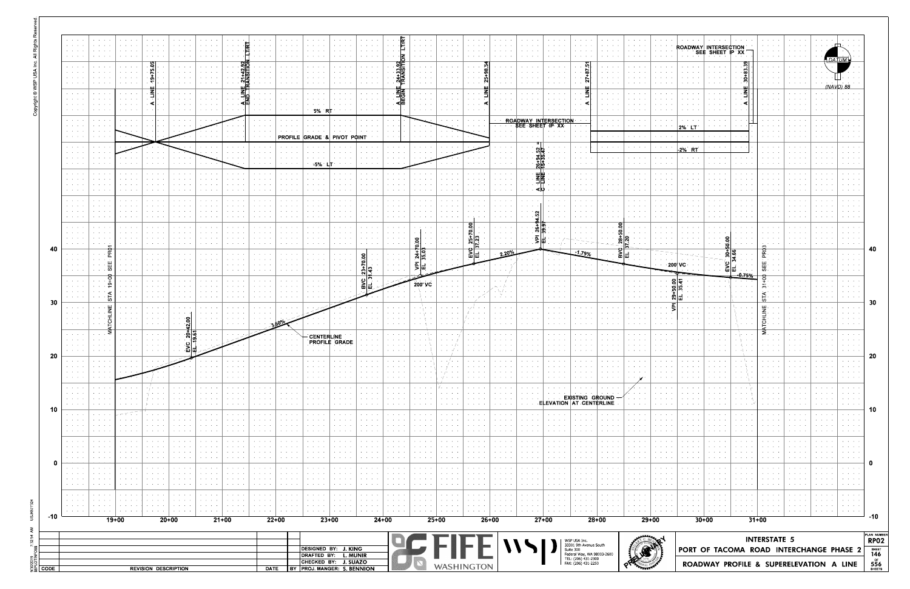|      | $\mathbf{a} = \mathbf{a} + \mathbf{a}$ .<br>$\alpha$ , and $\alpha$ , and<br><b>Service</b><br>$\mathcal{A}=\mathcal{A}=\mathcal{A}$ .                                                   | <b>All All All A</b><br>.                                              |         | <b>Service Control</b>                               | $\mathbf{A}=\mathbf{A}+\mathbf{A}+\mathbf{A}+\mathbf{A}$ | $\mathbf{a} = \mathbf{a} + \mathbf{a} + \mathbf{a}$ . $\mathbf{a}$                                                        | $\alpha$ , $\alpha$ , $\alpha$ , $\alpha$ , $\alpha$                  |                                                                                          |                                                                                                 |                                                                                                   |                                                                      |                                                                  |                                                                                                                            |                                   |                                                                                                                                      | $\mathbf{a} = \mathbf{a} + \mathbf{a} + \mathbf{a} + \mathbf{a}$                                            |                              | <b>All Angeles</b>      | <b>Service Control</b>                                        | $\mathbf{a} = \mathbf{a} + \mathbf{a} + \mathbf{a}$ | <b>Service Control</b>                                                                                                          | <b>Contract Contract Contract</b>                                                      | <b>CALLACTA CALL</b><br>.                                                                                                                                                                                                                                                                                                                                                                                                    | $\mathbf{A}=\mathbf{A}+\mathbf{A}+\mathbf{A}+\mathbf{A}$<br>the committee of<br><b>Contract Contract Contract</b> | $\mathbf{A}=\mathbf{A}+\mathbf{A}+\mathbf{A}$                                                                        | ROADWAY INTERSECTION<br>SEE SHEET IP XX                                                                                                            | <b>Contract Contract</b>                                                                                                             | $\mathbf{a} = \mathbf{a} + \mathbf{a} + \mathbf{a}$<br>بالمعاملة<br>$\mathbf{r} = \mathbf{r} + \mathbf{r} + \mathbf{r}$ | <b>All Angeles</b>                                                                                                        |                                                               |                                                                                                                                      |                            |
|------|------------------------------------------------------------------------------------------------------------------------------------------------------------------------------------------|------------------------------------------------------------------------|---------|------------------------------------------------------|----------------------------------------------------------|---------------------------------------------------------------------------------------------------------------------------|-----------------------------------------------------------------------|------------------------------------------------------------------------------------------|-------------------------------------------------------------------------------------------------|---------------------------------------------------------------------------------------------------|----------------------------------------------------------------------|------------------------------------------------------------------|----------------------------------------------------------------------------------------------------------------------------|-----------------------------------|--------------------------------------------------------------------------------------------------------------------------------------|-------------------------------------------------------------------------------------------------------------|------------------------------|-------------------------|---------------------------------------------------------------|-----------------------------------------------------|---------------------------------------------------------------------------------------------------------------------------------|----------------------------------------------------------------------------------------|------------------------------------------------------------------------------------------------------------------------------------------------------------------------------------------------------------------------------------------------------------------------------------------------------------------------------------------------------------------------------------------------------------------------------|-------------------------------------------------------------------------------------------------------------------|----------------------------------------------------------------------------------------------------------------------|----------------------------------------------------------------------------------------------------------------------------------------------------|--------------------------------------------------------------------------------------------------------------------------------------|-------------------------------------------------------------------------------------------------------------------------|---------------------------------------------------------------------------------------------------------------------------|---------------------------------------------------------------|--------------------------------------------------------------------------------------------------------------------------------------|----------------------------|
|      | $\mathcal{A}=\mathcal{A}=\mathcal{A}$ .<br>$\alpha$ , $\beta$ , $\alpha$ , $\alpha$<br>$\alpha$ , $\alpha$ , $\alpha$ , $\alpha$                                                         | <b>Contractor</b>                                                      |         | $\alpha$ , $\alpha$ , $\alpha$ , $\alpha$ , $\alpha$ | $\ddot{\phantom{1}}$                                     | .<br>$\alpha$ , $\beta$ , $\alpha$ , $\beta$<br>$\bullet$ .<br><br><br><br><br><br><br><br><br><br><br><br>               |                                                                       | 11<br>1911<br>1911                                                                       |                                                                                                 |                                                                                                   |                                                                      | $\mathbf{A} = \mathbf{A} + \mathbf{A} + \mathbf{A} + \mathbf{A}$ | <b>All Angels</b><br>$\mathcal{A}=\mathcal{A}=\mathcal{A}=\mathcal{A}$                                                     | 꾋<br>Ϋ́                           |                                                                                                                                      | <b>Contract Ave</b>                                                                                         |                              |                         | <b>Contract Contract Contract</b>                             |                                                     |                                                                                                                                 | <b>Contract Advised</b><br><b>All Angels</b><br>$\alpha$ , and $\alpha$ , and $\alpha$ | $\mathbf{a} = \mathbf{a} + \mathbf{a} + \mathbf{a} + \mathbf{a} + \mathbf{a} + \mathbf{a} + \mathbf{a} + \mathbf{a} + \mathbf{a} + \mathbf{a} + \mathbf{a} + \mathbf{a} + \mathbf{a} + \mathbf{a} + \mathbf{a} + \mathbf{a} + \mathbf{a} + \mathbf{a} + \mathbf{a} + \mathbf{a} + \mathbf{a} + \mathbf{a} + \mathbf{a} + \mathbf{a} + \mathbf{a} + \mathbf{a} + \mathbf{a} + \mathbf{a} + \mathbf{a} + \mathbf{a} + \mathbf$ | <b>Contract Contract</b>                                                                                          | <b>Contract Contract</b>                                                                                             |                                                                                                                                                    |                                                                                                                                      | $\mathbf{A}=\mathbf{A}+\mathbf{A}+\mathbf{A}+\mathbf{A}$<br><b>Service Control</b>                                      | <b>All Angeles</b>                                                                                                        |                                                               | DATUM.                                                                                                                               |                            |
|      | <b>Service</b> State<br>$\alpha = \alpha = \alpha$<br>$\alpha = \alpha + 1$ , $\alpha$                                                                                                   | .<br><b>Contract Contract</b>                                          |         | <b>Contractor</b>                                    |                                                          | and a state of the<br>and a state                                                                                         |                                                                       | - ⊠                                                                                      | منام المعاد                                                                                     |                                                                                                   |                                                                      |                                                                  | <b>Contract</b>                                                                                                            | 롦                                 | $\mathcal{A}=\mathcal{A}=\mathcal{A}$ .                                                                                              |                                                                                                             |                              |                         | <b>Contract Contract</b>                                      |                                                     |                                                                                                                                 | <b>Contract Contract</b><br>$\mathbf{a} = \mathbf{a} + \mathbf{a} + \mathbf{a}$        |                                                                                                                                                                                                                                                                                                                                                                                                                              | .                                                                                                                 | .<br><b>Contract Contract</b>                                                                                        |                                                                                                                                                    |                                                                                                                                      | and a state of<br>$\sim$ 100 $\sim$ 100 $\sim$                                                                          | .                                                                                                                         |                                                               | (NAVD) 88                                                                                                                            |                            |
|      | $\alpha$ , $\alpha$ , $\alpha$ , $\alpha$<br>$\mathcal{A}^{\mathcal{A}}$ , and $\mathcal{A}^{\mathcal{A}}$ , and<br>$\mathbf{z}=(\mathbf{z}_1,\ldots,\mathbf{z}_n)$                      | .<br>والموالين                                                         |         | contract and a<br><b>Contract Contract</b>           |                                                          |                                                                                                                           |                                                                       | ≺ш<br>$\cdots$                                                                           | and a state of the                                                                              | the contract of the con-<br>$\alpha$ , $\alpha$ , $\alpha$ , $\alpha$ , $\alpha$                  | 5%                                                                   |                                                                  |                                                                                                                            | ⊲⊡                                | and the control of                                                                                                                   | and a state of<br>and a con-                                                                                | $\sim$ 100 $\sim$ 100 $\sim$ |                         | ROADWAY INTERSECTION                                          |                                                     |                                                                                                                                 | contract and support the<br><b>Service Control</b>                                     | .                                                                                                                                                                                                                                                                                                                                                                                                                            | and a state                                                                                                       | .<br>$\mathbf{a} = \mathbf{a} + \mathbf{a} + \mathbf{a}$                                                             |                                                                                                                                                    | . ∢∣<br>$\sim$ 100 $\sim$                                                                                                            | and a state of                                                                                                          |                                                                                                                           | <b>Contract Contract</b>                                      | $\mathbf{r} = \mathbf{r} + \mathbf{r}$ .                                                                                             |                            |
|      | $\alpha = \alpha + \beta$ , $\alpha$<br>$\alpha$ , $\beta$ , $\alpha$ , $\alpha$ , $\alpha$<br>$\mathcal{A}^{\mathcal{A}}$ , and $\mathcal{A}^{\mathcal{A}}$ , and                       | <b>Contract Contract Street</b><br>and a state of                      |         |                                                      |                                                          |                                                                                                                           | and a state of                                                        |                                                                                          |                                                                                                 |                                                                                                   | <b>PROFILE GRADE &amp; PIVOT POINT</b>                               |                                                                  |                                                                                                                            |                                   |                                                                                                                                      |                                                                                                             |                              | and a state of          | SEE SHEET IP XX<br>and a state of                             |                                                     |                                                                                                                                 | contract and support the                                                               | and a state of                                                                                                                                                                                                                                                                                                                                                                                                               | the company of the company                                                                                        | 2% LT<br>and a state of                                                                                              |                                                                                                                                                    |                                                                                                                                      | and a state of the                                                                                                      |                                                                                                                           |                                                               |                                                                                                                                      |                            |
|      | $\mathbf{z}=(\mathbf{z}_1,\ldots,\mathbf{z}_n)$<br>$\mathcal{A}=\mathcal{A}=\mathcal{A}$ .<br>$\alpha$ , $\alpha$ , $\alpha$ , $\alpha$<br>$\mathcal{A}=\mathcal{A}=\mathcal{A}$ .       | <b>Contract Contract</b><br>e se se<br>.                               |         | .                                                    | and a state of the                                       |                                                                                                                           | $\cdot$ $\cdot$ $\cdot$                                               | <b>Contract Contract Contract</b><br>$\mathcal{A}=\mathcal{A}=\mathcal{A}=\mathcal{A}$ . | $\mathbf{a} = \mathbf{a} + \mathbf{a} + \mathbf{a}$ .<br>$\alpha$ , and $\alpha$ , and $\alpha$ | the contract of the con-                                                                          | $-5%$                                                                |                                                                  |                                                                                                                            |                                   |                                                                                                                                      | and a state                                                                                                 |                              |                         | خالخ<br>미수<br>$\sigma_{\rm{eff}}$ , $\sigma_{\rm{eff}}$<br>계방 |                                                     | .                                                                                                                               | the contract of the con-<br>$\sim$ $\sim$ $\sim$ $\sim$<br><b>Service Control</b>      | $\cdots$<br>and a state of                                                                                                                                                                                                                                                                                                                                                                                                   | $\mathbf{A}=\mathbf{A}+\mathbf{A}+\mathbf{A}$                                                                     | 2% R1<br>$\alpha$ , $\alpha$ , $\alpha$ , $\alpha$ , $\alpha$<br>$\mathbf{r} = \mathbf{r} + \mathbf{r} + \mathbf{r}$ |                                                                                                                                                    | and a state of the                                                                                                                   | and a state<br>$\mathbf{r} = \mathbf{r} + \mathbf{r}$ .<br>$\cdots$<br>and a state of                                   |                                                                                                                           |                                                               | .<br>and a state of the                                                                                                              |                            |
|      | $\mathbf{a} = \mathbf{a} + \mathbf{a}$ .<br>$\mathbf{z} = \mathbf{z} + \mathbf{z}$<br>$\mathbf{r} = \mathbf{r} + \mathbf{r}$                                                             | .                                                                      |         | contract and                                         |                                                          | .                                                                                                                         | $\alpha$ , $\alpha$ , $\alpha$ , $\alpha$ , $\alpha$                  |                                                                                          |                                                                                                 |                                                                                                   |                                                                      |                                                                  |                                                                                                                            |                                   |                                                                                                                                      | <b>Service Control</b>                                                                                      |                              |                         | Ζ≩.<br>ᅴᆛ                                                     |                                                     |                                                                                                                                 | And American                                                                           | $\mathbf{a} = \mathbf{a} + \mathbf{a} + \mathbf{a} + \mathbf{a} + \mathbf{a} + \mathbf{a} + \mathbf{a} + \mathbf{a} + \mathbf{a} + \mathbf{a} + \mathbf{a} + \mathbf{a} + \mathbf{a} + \mathbf{a} + \mathbf{a} + \mathbf{a} + \mathbf{a} + \mathbf{a} + \mathbf{a} + \mathbf{a} + \mathbf{a} + \mathbf{a} + \mathbf{a} + \mathbf{a} + \mathbf{a} + \mathbf{a} + \mathbf{a} + \mathbf{a} + \mathbf{a} + \mathbf{a} + \mathbf$ | <b>State State</b>                                                                                                | <b>Contractor</b>                                                                                                    |                                                                                                                                                    | <b>All All And</b>                                                                                                                   | <b>Contractor</b><br>$\cdots$                                                                                           | .                                                                                                                         | <b>Contract Contract</b>                                      | .                                                                                                                                    |                            |
|      | $\mathcal{A}=\mathcal{A}=\mathcal{A}$ .<br>$\mathbf{a} = \mathbf{a} + \mathbf{a}$ .<br>$\mathcal{A}=\mathcal{A}=\mathcal{A}$                                                             | and a state of<br><b>Contract Contract</b>                             |         | <b>Contract Contract</b>                             |                                                          | .<br>.                                                                                                                    | .<br>.                                                                |                                                                                          |                                                                                                 | <b>Contract Contract</b>                                                                          |                                                                      |                                                                  | and a state                                                                                                                |                                   |                                                                                                                                      | <b>Contract Contract</b>                                                                                    |                              |                         | ⊲ບ<br>and a structure                                         |                                                     |                                                                                                                                 | and a state of the<br>and a state of                                                   |                                                                                                                                                                                                                                                                                                                                                                                                                              | .<br>.                                                                                                            | <b>Contract Contract</b><br>.                                                                                        |                                                                                                                                                    | <b>Contract Contract</b>                                                                                                             | and a state of<br>and a state<br>$\cdots$                                                                               |                                                                                                                           |                                                               | .<br>e a contro                                                                                                                      |                            |
|      | $\sim$ $\sim$ $\sim$ $\sim$<br>$\mathcal{A}=\mathcal{A}=\mathcal{A}$ .<br>$\mathbf{a} = \mathbf{a} + \mathbf{a}$ .                                                                       | $\cdots$<br>.                                                          |         | .<br><b>Contract Contract</b>                        |                                                          | .<br><b>Contract Contract</b>                                                                                             | $\cdots$<br>.                                                         |                                                                                          | .<br>.                                                                                          | $\cdots$<br>.                                                                                     |                                                                      |                                                                  | the contract of the con-<br>and a state                                                                                    |                                   | and a state of the                                                                                                                   | $\cdots$<br>and a state                                                                                     | Ō                            |                         | ⊦∣თ<br>ا په                                                   |                                                     |                                                                                                                                 |                                                                                        | $\cdots \cdots \cdots$                                                                                                                                                                                                                                                                                                                                                                                                       | the contract of the                                                                                               | .<br>contractors and                                                                                                 |                                                                                                                                                    | $\cdots$<br>contractors.                                                                                                             | .<br>and a state                                                                                                        |                                                                                                                           | <b>Contract Contract</b>                                      | and a state of<br>.                                                                                                                  |                            |
| -40  | $\mathcal{A}=\mathcal{A}=\mathcal{A}$<br>$\mathcal{L}=\mathcal{L}=\mathcal{L}$<br>$\alpha$ , $\beta$ , $\alpha$ , $\beta$ , $\alpha$<br>$\mathbf{r} = \mathbf{r} + \mathbf{r}$ .         |                                                                        |         | <b>Contract Contract Contract</b>                    |                                                          | $\cdots$                                                                                                                  | $\cdots$                                                              |                                                                                          | .                                                                                               | $\cdots$                                                                                          |                                                                      |                                                                  | <b>All Accessible</b>                                                                                                      |                                   |                                                                                                                                      | and a state                                                                                                 | ຂ<br>គ∣ន<br>$\frac{1}{2}$    |                         |                                                               |                                                     |                                                                                                                                 |                                                                                        |                                                                                                                                                                                                                                                                                                                                                                                                                              | and a state of                                                                                                    | .                                                                                                                    |                                                                                                                                                    | <b>Contract Contract</b>                                                                                                             |                                                                                                                         | $\cdots$                                                                                                                  |                                                               | .                                                                                                                                    | 40                         |
|      | $\alpha = \alpha + \beta$ , $\alpha$<br>$\sim$ $\sim$ $\sim$ $\sim$<br><b>Service</b> State                                                                                              | . .                                                                    |         |                                                      | $\alpha$ , and $\alpha$ , and $\alpha$                   | $\cdots$                                                                                                                  | .<br>$\cdots$                                                         |                                                                                          | .                                                                                               | <b>Contract Contract</b><br>$\cdots$                                                              |                                                                      |                                                                  | $\mathbf{S}$<br>+ 1 m<br>$\frac{2}{5}$                                                                                     |                                   | $\frac{24}{35.0}$<br>회                                                                                                               | $\alpha$ , $\alpha$ , $\alpha$ , $\alpha$ , $\alpha$<br>$\mathcal{A}=\mathcal{A}=\mathcal{A}=\mathcal{A}$   | 꾋팍                           |                         |                                                               |                                                     | <b>Contract Contract</b>                                                                                                        | and a state of                                                                         |                                                                                                                                                                                                                                                                                                                                                                                                                              | <b>Contract Contract</b>                                                                                          | the company<br>$-200'$ VC                                                                                            |                                                                                                                                                    | -0.75%                                                                                                                               | Æ<br>뿝<br>σ.                                                                                                            | <b>Contractor</b><br>$\cdots$                                                                                             | <b>Contract Contract</b>                                      | $\mathbf{r}=(\mathbf{r}_1,\ldots,\mathbf{r}_n)$ .<br>.                                                                               |                            |
|      | $\mathcal{L}^{\mathcal{A}}$ and $\mathcal{L}^{\mathcal{A}}$ and<br>$\mathcal{A}=\mathcal{A}=\mathcal{A}$<br>$\cdot$ $\cdot$ $\cdot$<br>$\mathbf{v}=(\mathbf{v}_1,\ldots,\mathbf{v}_n)$   |                                                                        |         |                                                      | $\alpha$ , and $\alpha$ , and $\alpha$                   | $\begin{array}{cccccccccccccc} \bullet & \bullet & \bullet & \bullet & \bullet & \bullet & \bullet & \bullet \end{array}$ | $\cdots$                                                              | $\sim$ , $\sim$ , $\sim$ , $\sim$                                                        | $\cdots$                                                                                        | <b>Contract Contract</b><br>$\alpha$ , and $\alpha$ , and $\alpha$                                |                                                                      |                                                                  | $rac{1}{\frac{1}{2}}$                                                                                                      |                                   | 200' VC<br>$\sim$ $\sim$                                                                                                             | <b>Service Control</b>                                                                                      |                              | the company's company's | $\cdots$                                                      | $\cdots$                                            | <b>All Angeles</b>                                                                                                              | .<br><b>All Accounts</b>                                                               |                                                                                                                                                                                                                                                                                                                                                                                                                              |                                                                                                                   | 8 न<br>ت (ia                                                                                                         |                                                                                                                                                    | $\mathbf{a} = \mathbf{a} + \mathbf{a} + \mathbf{a}$<br>$\sim$ 100 $\sim$ 100 $\sim$                                                  | $\overline{m}$ .<br>to :                                                                                                | and a state of                                                                                                            |                                                               | <b>All Angeles</b>                                                                                                                   |                            |
| 30   | $\mathbf{a} = \mathbf{a} + \mathbf{a}$ .<br>$\mathbf{z} = \mathbf{z} + \mathbf{z}$<br>$\sim$ $\sim$ $\sim$ $\sim$                                                                        |                                                                        |         |                                                      |                                                          | .                                                                                                                         | and a state of                                                        | <b>Contract Contract</b>                                                                 | .                                                                                               | <b>All America</b>                                                                                |                                                                      |                                                                  |                                                                                                                            |                                   |                                                                                                                                      | <b>Contractor</b>                                                                                           | $\sim$ $\sim$ $\sim$         |                         | <b>Contract Contract</b>                                      |                                                     |                                                                                                                                 | .                                                                                      |                                                                                                                                                                                                                                                                                                                                                                                                                              |                                                                                                                   |                                                                                                                      |                                                                                                                                                    |                                                                                                                                      | யு .<br>-즉                                                                                                              |                                                                                                                           | <b>Contractor</b>                                             | $\mathcal{A}=\mathcal{A}=\mathcal{A}=\mathcal{A}$                                                                                    | 30                         |
|      | $\mathcal{A}=\mathcal{A}=\mathcal{A}$ .<br>$\alpha = \alpha + \beta$ .<br>$\mathcal{A}=\mathcal{A}=\mathcal{A}$ .                                                                        | . .<br><b>Contractor</b>                                               |         | and a state                                          | .                                                        |                                                                                                                           | ∶္လံုမွ                                                               |                                                                                          |                                                                                                 |                                                                                                   | <b>CENTERLINE</b><br>PROFILE GRADE                                   | $\Delta\phi$ , $\Delta\phi$ , $\Delta\phi$ , $\Delta\phi$        |                                                                                                                            |                                   |                                                                                                                                      |                                                                                                             |                              |                         | and a state of                                                |                                                     | .                                                                                                                               | and a state of the<br><b>Contractor</b>                                                |                                                                                                                                                                                                                                                                                                                                                                                                                              |                                                                                                                   | contract and<br>contractors and                                                                                      |                                                                                                                                                    | <b>Service</b><br><b>CALL TO</b>                                                                                                     | ≥<br>and a state of                                                                                                     | $\cdots$                                                                                                                  |                                                               | and a state of                                                                                                                       |                            |
| 20   | <b>Service</b> State<br>$\mathbf{r}=(\mathbf{r}_1,\ldots,\mathbf{r}_n)$                                                                                                                  | <b>Contractor</b>                                                      |         | <b>Contract Contract</b>                             |                                                          |                                                                                                                           |                                                                       | <b>Contract Contract</b>                                                                 | $\mathbf{r} = \mathbf{r} + \mathbf{r} + \mathbf{r}$                                             | $\mathbf{a} = \mathbf{a} + \mathbf{a} + \mathbf{a} + \mathbf{a}$                                  | <b>All Angeles</b>                                                   | <b>Contract Contract</b>                                         | <b>Contract</b>                                                                                                            |                                   |                                                                                                                                      |                                                                                                             |                              | <b>All All And</b>      | <b>Contract Contract</b>                                      |                                                     | <b>All Accessible</b>                                                                                                           | $\alpha$ , and $\alpha$ , and $\alpha$                                                 | $\mathbf{a} = \mathbf{a} + \mathbf{a} + \mathbf{a}$                                                                                                                                                                                                                                                                                                                                                                          | <b>Service State</b>                                                                                              | <b>Contractor</b>                                                                                                    | $\mathbf{r} = \mathbf{r} - \mathbf{r} = \mathbf{r}$                                                                                                | . . 1.                                                                                                                               | $\mathbf{r} = \mathbf{r} + \mathbf{r} + \mathbf{r}$                                                                     | $\alpha$ , $\alpha$ , $\alpha$ , $\alpha$                                                                                 | e a ser                                                       | $\mathbf{u} \in \mathcal{A}$ , and $\mathcal{A} \in \mathcal{A}$                                                                     | 20                         |
|      | $\alpha = \alpha = \alpha$<br>$\mathbf{a} = \mathbf{a} + \mathbf{a}$<br>$\mathbf{v} = \mathbf{v} + \mathbf{v}$ .                                                                         |                                                                        |         |                                                      |                                                          |                                                                                                                           |                                                                       |                                                                                          |                                                                                                 | $\mathbf{a} = \mathbf{a} + \mathbf{a} + \mathbf{a}$                                               |                                                                      |                                                                  | and a state of                                                                                                             |                                   |                                                                                                                                      | $\cdots$<br>$\cdot$ / $\cdot$ $\cdot$ $\cdot$ $\cdot$                                                       |                              |                         | <b>Contract Contract</b>                                      |                                                     |                                                                                                                                 | .                                                                                      |                                                                                                                                                                                                                                                                                                                                                                                                                              |                                                                                                                   | .                                                                                                                    |                                                                                                                                                    | $\sim$ 100 $\pm$                                                                                                                     | <b>All Angeles</b>                                                                                                      |                                                                                                                           |                                                               | .                                                                                                                                    |                            |
|      | $\mathbf{a} = \mathbf{a} + \mathbf{a}$ .<br>$\mathcal{A}=\mathcal{A}=\mathcal{A}$ .<br>$\mathbf{a} = \mathbf{a} + \mathbf{b}$<br>$\mathbf{v} = \mathbf{v} + \mathbf{v}$ .                | <b>Contractor</b><br><b>Contract Contract Contract</b>                 |         |                                                      |                                                          | .                                                                                                                         | $\mathbf{a} = \mathbf{a} + \mathbf{a} + \mathbf{a} + \mathbf{a}$<br>. | $\sim$ 100 $\pm$ 100 $\pm$                                                               | .<br>$\sim$ 100 $\sim$ 100 $\sim$ 100 $\sim$                                                    | <b>Contract Contract</b><br><b>All All All Co</b>                                                 |                                                                      |                                                                  | <b>Contract</b><br>.                                                                                                       |                                   |                                                                                                                                      | .<br>$\mathbf{r} = \mathbf{r} + \mathbf{r} + \mathbf{r}$ .                                                  |                              |                         | $\sim$ $\sim$                                                 |                                                     | <b>EXISTING GROUND</b><br>ELEVATION AT CENTERLINE                                                                               | and a state<br>.                                                                       | .                                                                                                                                                                                                                                                                                                                                                                                                                            | <b>Contract Contract</b>                                                                                          | $\sim$ 100 $\pm$<br>contract and                                                                                     |                                                                                                                                                    | <b>Contract Contract</b>                                                                                                             | and a state<br>$\mathbf{r} = \mathbf{r} + \mathbf{r}$<br><b>All Angeles</b>                                             |                                                                                                                           | <b>Contract Contract</b><br><b>Contract Contract</b>          | .<br><b>Contract</b><br><b>All Card Adams</b>                                                                                        |                            |
| -10  | $\mathbf{r}=(\mathbf{r}_1,\ldots,\mathbf{r}_n)$<br>$\alpha = \alpha + \beta$ .<br>$\alpha$ , $\alpha$ , $\alpha$ , $\alpha$<br>$\mathcal{A}=\mathcal{A}=\mathcal{A}$ .                   | <b>Contract Contract Contract</b><br><b>Contract Contract Contract</b> |         |                                                      | .                                                        | <b>All Angels</b>                                                                                                         | .<br>.                                                                |                                                                                          | .<br>$\sim$ 100 $\sim$ 100 $\sim$                                                               | <b>Contract Contract</b><br>$\bullet \qquad \bullet \qquad \bullet \qquad \bullet \qquad \bullet$ |                                                                      |                                                                  | e se est<br>.                                                                                                              | <b>Contract Contract Contract</b> | <b>All Angeles</b>                                                                                                                   | $\alpha$ , $\alpha$ , $\alpha$ , $\alpha$ , $\alpha$<br><b>Contract Contract</b>                            | .                            | .                       | <b>Contract Contract</b>                                      |                                                     | <b>Contract Contract</b>                                                                                                        | <b>All States</b>                                                                      | .                                                                                                                                                                                                                                                                                                                                                                                                                            | <b>Contract Contract</b><br><b>Contract Contract</b>                                                              | contractors.<br>$\bullet$ .<br><br><br><br><br><br><br><br><br><br><br><br><br>                                      |                                                                                                                                                    | <b>Contract</b><br>e se se                                                                                                           | and a state<br>.<br><b>All Angeles</b>                                                                                  | $\mathbf{v} = \mathbf{v} + \mathbf{v} + \mathbf{v}$                                                                       | .<br><b>Contract Contract</b>                                 | $\mathbf{a} = \mathbf{a} + \mathbf{a}$ , $\mathbf{a} = \mathbf{a}$<br>e car a<br>$\mathbf{r} = \mathbf{r} + \mathbf{r} + \mathbf{r}$ | 10                         |
|      | $\mathcal{A}=\mathcal{A}+\mathcal{A}$ .<br>$\alpha = \alpha + \beta$ .<br>$\mathbf{r} = \mathbf{r} + \mathbf{r}$                                                                         | <b>Contract Contract</b>                                               |         | <b>Contract Contract</b>                             |                                                          | .                                                                                                                         | $\mathbf{v} = \mathbf{v} + \mathbf{v} + \mathbf{v}$                   | .                                                                                        | .                                                                                               | $\mathbf{v} = \mathbf{v} + \mathbf{v} + \mathbf{v}$                                               |                                                                      | <b>Contract Contract</b>                                         | <b>All All All</b>                                                                                                         | contract and the con-             | <b>All All And</b>                                                                                                                   | $\cdots$ , $\cdots$<br>$\sim$ $\sim$ $\sim$                                                                 |                              | .                       | <b>Contractor</b>                                             | .                                                   | <b>Contract Contract</b>                                                                                                        | <b>Contractor</b>                                                                      | .                                                                                                                                                                                                                                                                                                                                                                                                                            | .                                                                                                                 | $\epsilon$ , and $\epsilon$ , and $\epsilon$                                                                         |                                                                                                                                                    | <b>Contract</b>                                                                                                                      | <b>Contract</b><br>$\mathbf{r} = \mathbf{r} + \mathbf{r}$                                                               | contract and the con-                                                                                                     | <b>Contract Contract</b>                                      | $\mathbf{r} = \mathbf{r} + \mathbf{r}$ .                                                                                             |                            |
|      | $\mathbf{r} = \mathbf{r} + \mathbf{r}$ .<br>e contro<br>$\mathbf{r} = \mathbf{r} + \mathbf{r}$                                                                                           | $\cdots$<br><b>Contract Contract</b>                                   |         | <b>Contract Contract</b><br><b>Contract Contract</b> | .                                                        | <b>Contract Advised Service</b>                                                                                           | .<br>.                                                                |                                                                                          | $\sim$ 100 $\sim$ 100 $\sim$                                                                    | $\cdots$<br>.                                                                                     |                                                                      |                                                                  | .<br><b>Contractor</b>                                                                                                     | .                                 | .                                                                                                                                    | <b>Contract Contract</b><br><b>Contract</b>                                                                 |                              |                         | <b>Contract Contract</b><br><b>Contract Contract</b>          | .                                                   | <b>Contract Contract</b>                                                                                                        | e contra la<br><b>Contractor</b>                                                       | .                                                                                                                                                                                                                                                                                                                                                                                                                            | <b>Contract Contract</b>                                                                                          | .<br>contractors and                                                                                                 | $\begin{array}{cccccccccccccc} \bullet & \bullet & \bullet & \bullet & \bullet & \bullet & \bullet & \bullet \end{array}$                          | contract and<br><b>Contract Contract</b>                                                                                             | $\mathbf{r} = \mathbf{r} + \mathbf{r}$ .<br>and a state<br><b>Contract</b>                                              | <b>Contract Contract</b>                                                                                                  | <b>Service</b><br><b>Contract Contract</b>                    | $\mathbf{r}=(\mathbf{r}_1,\ldots,\mathbf{r}_n)$ .                                                                                    |                            |
|      | $\alpha$ , $\alpha$ , $\alpha$ , $\alpha$<br>$\mathcal{A}^{\mathcal{A}}$ and $\mathcal{A}^{\mathcal{A}}$ . In the $\mathcal{A}^{\mathcal{A}}$<br>$\mathcal{A}=\mathcal{A}=\mathcal{A}$ . | <b>Contract Contract Contract</b><br><b>Contract Contract Contract</b> |         | contract and<br>$1 - 1 - 1 - 1$                      | $\cdots$<br><b>Contract Contract</b>                     | <b>Contract Advised Service</b><br>.                                                                                      | .<br>$\mathbf{v} = \mathbf{v} + \mathbf{v} + \mathbf{v} + \mathbf{v}$ | .<br><b>State State</b>                                                                  | .<br>.                                                                                          | <b>All All All Co</b><br>$\mathbf{v} = \mathbf{v} + \mathbf{v} + \mathbf{v}$                      | contract and a state                                                 | <b>Contract Contract</b>                                         | .<br><b>CONTRACTOR</b>                                                                                                     | the contract of the con-          |                                                                                                                                      | $\mathbf{r} = \mathbf{r} + \mathbf{r} + \mathbf{r}$<br>$\alpha$ , $\alpha$ , $\alpha$ , $\alpha$ , $\alpha$ |                              | .                       | <b>Contract Contract</b><br><b>Contractor</b>                 | .                                                   | <b>Contract Contract</b><br><b>Contract Contract</b>                                                                            | e contra la<br>$\sigma_{\rm{eff}}$ , and $\sigma_{\rm{eff}}$ , and                     | .<br>.                                                                                                                                                                                                                                                                                                                                                                                                                       | <b>Contract Contract</b><br><b>All Angels</b>                                                                     | .<br>$\mathbf{r} = \mathbf{r} + \mathbf{r} + \mathbf{r}$                                                             | $\begin{array}{cccccccccccccc} \bullet & \bullet & \bullet & \bullet & \bullet & \bullet & \bullet & \bullet \end{array}$<br><b>All All Annual</b> | <b>All Angeles</b><br><b>Contractor</b>                                                                                              | <b>All Angeles</b><br>$\mathbf{r}=(\mathbf{r}_1,\ldots,\mathbf{r}_n)$ .                                                 | <b>Contractor</b>                                                                                                         | <b>Contract Contract Contract</b><br><b>Contract Contract</b> | <b>All States</b><br>$\mathbf{r}=(\mathbf{r},\mathbf{r})$ , where                                                                    |                            |
| -10  | $\alpha$ , $\alpha$ , $\alpha$ , $\alpha$<br>$\mathbf{a} = \mathbf{a} + \mathbf{a}$<br>.                                                                                                 |                                                                        | $19+00$ |                                                      |                                                          | $20+00$                                                                                                                   | <b>All Accounts</b>                                                   | $\sim$ $\sim$ $\sim$ $\sim$<br>$21+00$                                                   | .                                                                                               | <b>Service Control</b><br>$22+00$                                                                 | <b>Contract Contract Contract</b><br>$23+00$                         |                                                                  | $\begin{array}{cccccccccccccc} \bullet & \bullet & \bullet & \bullet & \bullet & \bullet & \bullet \end{array}$<br>$24+00$ |                                   | $\begin{array}{cccccccccccccc} \bullet & \bullet & \bullet & \bullet & \bullet & \bullet & \bullet & \bullet \end{array}$<br>$25+00$ | <b>Contract Contract Contract</b>                                                                           | $26+00$                      | <b>All All And</b>      | $\cdots \cdots \cdots$<br>$27+00$                             | $\sim$ 100 $\sim$ 100 $\sim$                        | And American                                                                                                                    | contract and a<br>$28+00$                                                              | $\mathbf{a}$ , and $\mathbf{a}$ , and $\mathbf{a}$                                                                                                                                                                                                                                                                                                                                                                           | contract and a<br>$29+00$                                                                                         | <b>Contract Contract</b><br><b>All Angeles</b>                                                                       | <b>Service Control</b><br>$30+00$                                                                                                                  | $\begin{array}{cccccccccccccc} \bullet & \bullet & \bullet & \bullet & \bullet & \bullet & \bullet & \bullet \end{array}$<br>$31+00$ | .                                                                                                                       | $\begin{array}{cccccccccccccc} \bullet & \bullet & \bullet & \bullet & \bullet & \bullet & \bullet & \bullet \end{array}$ | the contract of the                                           | <b>Contractor</b><br><b>Service Control</b>                                                                                          | $-10$                      |
|      |                                                                                                                                                                                          |                                                                        |         |                                                      |                                                          |                                                                                                                           |                                                                       |                                                                                          |                                                                                                 |                                                                                                   |                                                                      |                                                                  |                                                                                                                            |                                   |                                                                                                                                      |                                                                                                             |                              |                         |                                                               |                                                     |                                                                                                                                 |                                                                                        |                                                                                                                                                                                                                                                                                                                                                                                                                              |                                                                                                                   |                                                                                                                      |                                                                                                                                                    |                                                                                                                                      | <b>INTERSTATE 5</b>                                                                                                     |                                                                                                                           |                                                               |                                                                                                                                      | PLAN NUMBER<br><b>RPO2</b> |
|      |                                                                                                                                                                                          |                                                                        |         |                                                      |                                                          |                                                                                                                           |                                                                       |                                                                                          |                                                                                                 |                                                                                                   | DESIGNED BY: J. KING<br>DRAFTED BY: L. MUNIR<br>CHECKED BY: J. SUAZO |                                                                  |                                                                                                                            |                                   |                                                                                                                                      |                                                                                                             |                              |                         |                                                               |                                                     | WSP USA Inc.<br>33301 9th Avenue South<br>Suite 300<br>Federal Way, WA 98003-2600<br>TEL: (206) 431-2300<br>FAX: (206) 431-2250 |                                                                                        |                                                                                                                                                                                                                                                                                                                                                                                                                              | <b>A</b>                                                                                                          |                                                                                                                      | PORT OF TACOMA ROAD INTERCHANGE PHASE 2                                                                                                            |                                                                                                                                      |                                                                                                                         |                                                                                                                           |                                                               |                                                                                                                                      | SHEET<br>146               |
| CODE |                                                                                                                                                                                          |                                                                        |         |                                                      | REVISION DESCRIPTION                                     |                                                                                                                           |                                                                       |                                                                                          | DATE                                                                                            |                                                                                                   | BY PROJ. MANGER: S. BENNION                                          |                                                                  |                                                                                                                            |                                   |                                                                                                                                      | WASHINGTON                                                                                                  |                              |                         |                                                               |                                                     |                                                                                                                                 |                                                                                        |                                                                                                                                                                                                                                                                                                                                                                                                                              |                                                                                                                   |                                                                                                                      | ROADWAY PROFILE & SUPERELEVATION A LINE                                                                                                            |                                                                                                                                      |                                                                                                                         |                                                                                                                           |                                                               |                                                                                                                                      | 556                        |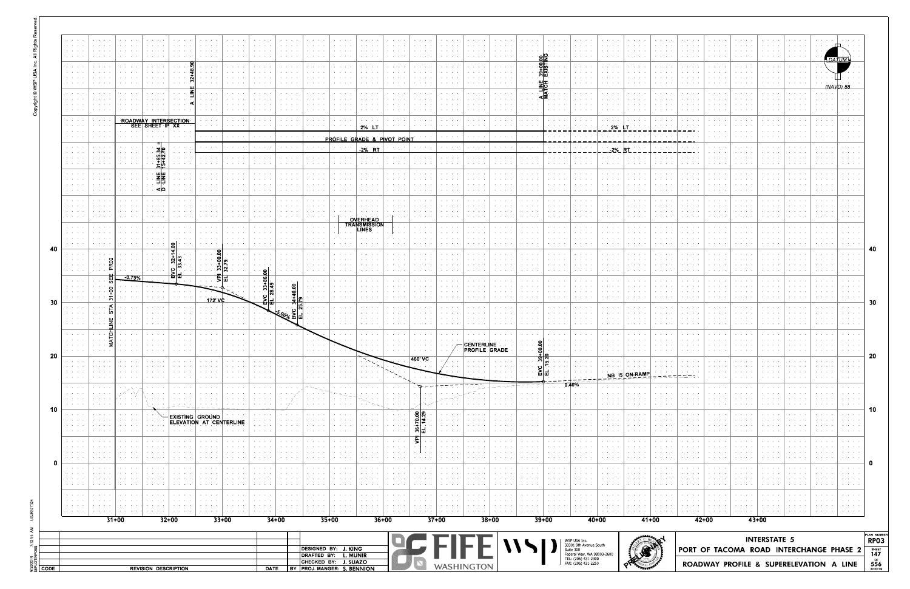|      | $\mathbf{A}=\mathbf{A}+\mathbf{A}$<br><b>Service Control</b>                                                                          | and a state of                                                            |                                                                                                     |                                                     |                                          | contract the con-                                   | the company of the company                                                                |         | contract and service                                                           | $\mathcal{A}=\mathcal{A}=\mathcal{A}=\mathcal{A}$ .       | <b>Contractor</b>                                                                                   | contract and a state                                                                         | $\mathcal{A}=\mathcal{A}=\mathcal{A}=\mathcal{A}$                                                           | <b>Contract Contract</b>                                                                   | the company's company's                                          | the company of the com-                                                                                         | $\mathcal{A}=\mathcal{A}=\mathcal{A}=\mathcal{A}$ .                                              | the company of the company                      | the company of the com-                                             | the company's com-                                                      | contract and services.                                        | <b>Service Service</b>                                                                                                    | <b>Contract Contract</b>                                                     | and a state of the                             | $\mathcal{A}=\{x_1,\ldots,x_n\}$ , where $\mathcal{A}$                                                        | <b>Contract Contract</b>                                                                                                                                           |                                                      | the contract of the                                                                            | $\mathcal{A}=\mathcal{A}=\mathcal{A}=\mathcal{A}$                                                                                                                                                                                                                                                                                                                                                                            |                                         | . <u>. .</u> |                                                     |
|------|---------------------------------------------------------------------------------------------------------------------------------------|---------------------------------------------------------------------------|-----------------------------------------------------------------------------------------------------|-----------------------------------------------------|------------------------------------------|-----------------------------------------------------|-------------------------------------------------------------------------------------------|---------|--------------------------------------------------------------------------------|-----------------------------------------------------------|-----------------------------------------------------------------------------------------------------|----------------------------------------------------------------------------------------------|-------------------------------------------------------------------------------------------------------------|--------------------------------------------------------------------------------------------|------------------------------------------------------------------|-----------------------------------------------------------------------------------------------------------------|--------------------------------------------------------------------------------------------------|-------------------------------------------------|---------------------------------------------------------------------|-------------------------------------------------------------------------|---------------------------------------------------------------|---------------------------------------------------------------------------------------------------------------------------|------------------------------------------------------------------------------|------------------------------------------------|---------------------------------------------------------------------------------------------------------------|--------------------------------------------------------------------------------------------------------------------------------------------------------------------|------------------------------------------------------|------------------------------------------------------------------------------------------------|------------------------------------------------------------------------------------------------------------------------------------------------------------------------------------------------------------------------------------------------------------------------------------------------------------------------------------------------------------------------------------------------------------------------------|-----------------------------------------|--------------|-----------------------------------------------------|
|      | <b>Service</b><br>$\mathcal{A}=\mathcal{A}=\mathcal{A}=\mathcal{A}$                                                                   | and a state of                                                            | and the state of the state of the                                                                   | <b>Service Control</b>                              |                                          | the company's state                                 | <b>Service Control</b><br>the contract of the                                             |         | the company of the                                                             | $\alpha$ . The second contract $\alpha$<br>and a state of | $\alpha$ , $\alpha$ , $\alpha$ , $\alpha$ , $\alpha$<br>contract and service                        | the company of the company                                                                   | and a state of<br>and a state of                                                                            | and a state of<br>the company's service                                                    | the company of the company                                       | <b>All All Anna</b><br><b>Contract Contract Contract</b>                                                        | $\mathcal{A}=\mathcal{A}=\mathcal{A}=\mathcal{A}$<br>the company's com-                          | the company of the company                      | <b>Service Control</b><br>the company's com-                        | $\alpha$ , $\beta$ , $\alpha$ , $\beta$ , $\alpha$<br><b>Contractor</b> | the company's company's<br>· <u>이</u> 오<br>-                  | and the company<br>the company of the                                                                                     | $\mathcal{A}=\mathcal{A}=\mathcal{A}=\mathcal{A}$<br>contract and support    | and a state of<br>the company's com-           | <b>Service Control</b><br>the company's company                                                               | $\alpha$ , and $\alpha$ , and $\alpha$<br>$\mathcal{A}=\mathcal{A}=\mathcal{A}=\mathcal{A}$ .                                                                      |                                                      |                                                                                                | and a state of                                                                                                                                                                                                                                                                                                                                                                                                               |                                         |              |                                                     |
|      | $\mathcal{A}=\mathcal{A}=\mathcal{A}$ .<br>$\mathcal{A}=\mathcal{A}=\mathcal{A}$ .<br><b>Service</b>                                  |                                                                           |                                                                                                     | <b>Service Control</b>                              | $\mathbf{r} = \mathbf{r} + \mathbf{r}$ . |                                                     | <b>Service Control</b>                                                                    |         | <b>Service Control</b>                                                         | and a state<br>and a state of<br>and a state of           | contract and support<br>contract and an<br>$\alpha$ , $\alpha$ , $\alpha$ , $\alpha$ , $\alpha$     | contract and service                                                                         |                                                                                                             | the company of the company<br>the contract of                                              | $\mathbf{r} = \mathbf{r} + \mathbf{r} + \mathbf{r} + \mathbf{r}$ |                                                                                                                 | <b>Contract Contract Contract</b><br><b>Contract Contract Contract</b><br><b>Service Control</b> | the company of the company                      | the contract of the con-<br><b>Service Control</b>                  | <b>Contractor</b><br><b>Contract Contract</b>                           | <u>ခုတ်</u><br>੶ਲ਼ <mark>ਸ਼</mark> ਲ਼<br><b>Service State</b> | the contract of the<br><b>Contract Contract</b><br>$\alpha$ , and $\alpha$ , and $\alpha$                                 | <b>Contract Contract</b><br><b>All Angeles</b><br>and a state of             | <b>All All All A</b><br>the company's service  | $\mathbf{A}=\mathbf{A}+\mathbf{A}+\mathbf{A}+\mathbf{A}$<br>contract and a series<br><b>Contract Contract</b> | $\mathbf{a}$ , and $\mathbf{a}$ , and $\mathbf{a}$<br>$\alpha$ , $\alpha$ , $\alpha$ , $\alpha$ , $\alpha$<br>$\alpha$ , $\alpha$ , $\alpha$ , $\alpha$ , $\alpha$ | the contract of the contract of                      | the company of the company<br>$\mathbf{r} = \mathbf{r} + \mathbf{r} + \mathbf{r} + \mathbf{r}$ | <b>Contract Contract Contract</b>                                                                                                                                                                                                                                                                                                                                                                                            | <b>All Anna Card</b>                    |              |                                                     |
|      | <b>Service</b> State<br><b>Service</b> State                                                                                          |                                                                           |                                                                                                     |                                                     |                                          |                                                     | $\mathbf{r}$ , $\mathbf{r}$ , $\mathbf{r}$                                                |         |                                                                                |                                                           | $\sim$ $\sim$ $\sim$ $\sim$                                                                         |                                                                                              |                                                                                                             | And American                                                                               |                                                                  |                                                                                                                 | <b>All Angeles</b>                                                                               |                                                 |                                                                     |                                                                         | .ш -<br>$\sim$ $\sim$                                         | <b>Service Control</b>                                                                                                    | $\sim$ $\sim$ $\sim$ $\sim$                                                  | the contract of the                            | <b>Contract Contract</b><br><b>Service Control</b>                                                            | $\mathbf{r}$ and $\mathbf{r}$ and $\mathbf{r}$<br>$\mathbf{r} = \mathbf{r} + \mathbf{r} + \mathbf{r}$                                                              | the company of the company                           |                                                                                                | All Annual College                                                                                                                                                                                                                                                                                                                                                                                                           |                                         |              | (NAVD) 88                                           |
|      | $\mathcal{A}=\mathcal{A}=\mathcal{A}$ .<br>$\mathcal{A}=\mathcal{A}=\mathcal{A}$<br>$\mathcal{A}=\mathcal{A}=\mathcal{A}=\mathcal{A}$ | <b>All Annual</b><br>and a state of                                       |                                                                                                     | the contract of the con-                            |                                          | <b>Service Control</b>                              | $\alpha$ , $\alpha$ , $\alpha$ , $\alpha$ , $\alpha$<br>the company of the company        |         | the company's com-                                                             | and a state of<br>and a state of                          | <b>Contract Contract Contract</b><br>$\alpha$ , and $\alpha$ , and $\alpha$<br>contract and service | the contract of the con-<br>the company of the company                                       | <b>Service Control</b><br><b>Service Control</b>                                                            | <b>Contract Contract State</b><br><b>Service Control</b>                                   | <b>Service Control</b>                                           |                                                                                                                 | $\mathcal{A}=\mathcal{A}=\mathcal{A}=\mathcal{A}$<br><b>Contract Contract Contract</b>           | the contract of the con-                        | <b>Service Controllers</b><br>.<br>the company's company's          | <b>Contract Contract</b><br><b>Service Control</b><br>contract and a    | <b>Contractor</b><br>the company's com-                       | contract and an<br>$\alpha$ , $\alpha$ , $\alpha$ , $\alpha$ , $\alpha$<br>the company of the company                     | <b>Contract Contract</b><br>contract and service                             | <b>Service Control</b><br>contract and support | the contract of the<br><b>Service Control</b>                                                                 | $\mathbf{A}=\mathbf{A}+\mathbf{A}+\mathbf{A}+\mathbf{A}$<br>and a state of                                                                                         |                                                      | <b>Service Control</b><br>the contract of the con-                                             | and a state of                                                                                                                                                                                                                                                                                                                                                                                                               |                                         |              |                                                     |
|      | $\mathcal{A}=\mathcal{A}=\mathcal{A}=\mathcal{A}$<br>$\mathcal{A}=\mathcal{A}=\mathcal{A}$ .                                          | $\mathbf{r} = \mathbf{r} - \mathbf{r} = \mathbf{r}$<br><b>All Angeles</b> |                                                                                                     | ROADWAY INTERSECTION<br>SEE SHEET IP XX             |                                          |                                                     | and a state of the<br><b>All Annual Contract</b>                                          |         | the company of the company<br><b>Contract America</b>                          | contract and support<br><b>Contractor</b>                 | <b>Contract Administration</b><br><b>Contractor</b>                                                 | the contract of the contract of<br><b>Contractor</b> (1997)                                  | $\alpha$ , $\alpha$ , $\alpha$ , $\alpha$ , $\alpha$<br>$\alpha$ and $\alpha$ and $\alpha$ and $\alpha$     | contract and service                                                                       |                                                                  | المتحامل والمحافظ والمتحدث                                                                                      | <b>State State</b><br>$\mathcal{A}(\mathcal{A})$ , and $\mathcal{A}(\mathcal{A})$ , and          | <b>Contract Contract</b><br>the contract of the | the contract of the contract of<br>the contract of the contract of  |                                                                         | the company of the com-                                       | the contract of the con-                                                                                                  | the contract of the contract of                                              |                                                | contract and service                                                                                          | $\mathbf{a}$ , and $\mathbf{a}$ , and $\mathbf{a}$<br><b>All All Angel</b>                                                                                         |                                                      |                                                                                                |                                                                                                                                                                                                                                                                                                                                                                                                                              |                                         |              |                                                     |
|      | $\mathbf{u} = \mathbf{u} + \mathbf{u}$ .<br><b>Service</b> State                                                                      | .<br>.                                                                    | and a state of                                                                                      | the contract of the<br><b>Contract Contract</b>     |                                          | and a state of                                      |                                                                                           |         |                                                                                |                                                           |                                                                                                     |                                                                                              |                                                                                                             | 2% LT<br>PROFILE GRADE & PIVOT POINT                                                       |                                                                  |                                                                                                                 | <b>Contract Contract</b>                                                                         | and the state of the state of the               | and a series of the company of                                      |                                                                         | the company of the                                            | $ \cdot $ $ \cdot $ $ \cdot $ 2% $\mathsf{LT}$<br>the company of the company                                              | and the state of the state of                                                |                                                |                                                                                                               |                                                                                                                                                                    |                                                      |                                                                                                |                                                                                                                                                                                                                                                                                                                                                                                                                              |                                         |              |                                                     |
|      | <b>Service</b> State<br>$\mathcal{A}=\mathcal{A}=\mathcal{A}$ .                                                                       |                                                                           |                                                                                                     | 40.<br>ച⊍                                           |                                          | and a state of                                      |                                                                                           |         |                                                                                |                                                           |                                                                                                     | <b>Contract Contract Contract</b>                                                            |                                                                                                             | <b>2% RT</b>                                                                               |                                                                  |                                                                                                                 | <b>Contractor</b>                                                                                | contract and states                             | the contract of the contract of                                     |                                                                         | <b>Contract Contract Advised</b>                              | the company of the company                                                                                                |                                                                              |                                                |                                                                                                               |                                                                                                                                                                    | And All Card Art                                     |                                                                                                | and a state of                                                                                                                                                                                                                                                                                                                                                                                                               |                                         |              |                                                     |
|      | $\alpha$ , $\beta$ , $\alpha$ , $\alpha$<br><b>Service</b> State                                                                      |                                                                           | $\cdots$                                                                                            |                                                     |                                          | <b>All All Anna</b><br>and a state                  | $\mathcal{A}=\mathcal{A}=\mathcal{A}=\mathcal{A}=\mathcal{A}$<br><b>Contract Contract</b> |         | <b>Contract Contract</b>                                                       | $\cdots$                                                  | the contract of the<br>$\sim$ $\sim$ $\sim$ $\sim$                                                  |                                                                                              | $\alpha$ , and $\alpha$ , and $\alpha$<br>$\cdots$                                                          | and the control<br><b>Contractor</b>                                                       |                                                                  |                                                                                                                 | $\alpha$ , and $\alpha$ , and $\alpha$<br>$\cdots$                                               | contract and service                            | the contract of the con-<br>and a state of the state of             | <b>Contract Contract Advised</b><br>$\sim$ $\sim$ $\sim$ $\sim$         | $\mathbf{r}$ and $\mathbf{r}$ and $\mathbf{r}$                | the contract of the con-                                                                                                  | <b>Service Control</b><br>and the contract of                                |                                                | $\alpha$ , $\alpha$ , $\alpha$ , $\alpha$ , $\alpha$                                                          | and a state of                                                                                                                                                     |                                                      |                                                                                                | and a state of the                                                                                                                                                                                                                                                                                                                                                                                                           |                                         |              |                                                     |
|      | $\mathcal{A}=\mathcal{A}=\mathcal{A}$<br>$\sim$ $\sim$ $\sim$ $\sim$<br>$\alpha$ , $\alpha$ , $\alpha$ , $\alpha$                     |                                                                           |                                                                                                     | 뢰로                                                  |                                          | All Contractors                                     | <b>Service Control</b>                                                                    |         |                                                                                | $\mathbf{a} = \mathbf{a} + \mathbf{a} + \mathbf{a}$       |                                                                                                     |                                                                                              |                                                                                                             |                                                                                            |                                                                  |                                                                                                                 |                                                                                                  |                                                 |                                                                     |                                                                         |                                                               | <b>Service Control</b>                                                                                                    |                                                                              |                                                | $\alpha$ , and $\alpha$ , and $\alpha$                                                                        | $\mathbf{a}$ , and $\mathbf{a}$ , and $\mathbf{a}$                                                                                                                 |                                                      | <b>Service Control</b>                                                                         |                                                                                                                                                                                                                                                                                                                                                                                                                              |                                         |              |                                                     |
|      | <b>Service</b> State<br><b>Service</b> State                                                                                          | .                                                                         | $\cdots$                                                                                            | ⊲ ∆                                                 |                                          | All Concert Co.                                     | the contract of the con-                                                                  |         | the contract of the con-                                                       | All Annual Care                                           | the company's company's                                                                             |                                                                                              | $\cdot$ $\cdot$ $\cdot$ $\cdot$                                                                             | the contract of the con-                                                                   |                                                                  |                                                                                                                 | <b>Contract Contract Contract</b>                                                                | the contract of the con-                        | and a state of                                                      | <b>Contract Contract Contract</b>                                       |                                                               | the contract of the                                                                                                       | the contract of                                                              | $\cdots$                                       | <b>Contract Contract Contract</b>                                                                             | and a state of<br>and a state of                                                                                                                                   |                                                      |                                                                                                | <b>All Angeles</b>                                                                                                                                                                                                                                                                                                                                                                                                           |                                         |              |                                                     |
|      | $\sim$ $\sim$ $\sim$ $\sim$<br>$\mathcal{A}=\mathcal{A}=\mathcal{A}$ .<br><b>Service State</b>                                        |                                                                           | $\cdots$                                                                                            |                                                     |                                          | $\cdots$                                            | $\alpha$ , and $\alpha$ , and $\alpha$<br>$\sim$ $\sim$ $\sim$ $\sim$                     |         |                                                                                |                                                           | $\alpha$ , and $\alpha$ , and $\alpha$                                                              |                                                                                              | والمعاملة                                                                                                   | $\mathcal{A}=\mathcal{A}=\mathcal{A}=\mathcal{A}$ .                                        |                                                                  |                                                                                                                 | <b>All Angeles</b><br>$\alpha$ , $\alpha$ , $\alpha$ , $\alpha$ , $\alpha$                       |                                                 | <b>All Angels</b><br>$\mathbf{r}$ and $\mathbf{r}$ and $\mathbf{r}$ | $\sim$ $\sim$ $\sim$ $\sim$                                             |                                                               | <b>All Accounts</b><br>the contract of the con-                                                                           | .<br>$\mathbf{r}$ and $\mathbf{r}$ and $\mathbf{r}$                          | $\sim$ $\sim$ $\sim$ $\sim$                    | $\alpha$ , and $\alpha$ , and $\alpha$                                                                        | $\mathbf{r} = \mathbf{r} + \mathbf{r} + \mathbf{r}$<br>.                                                                                                           |                                                      |                                                                                                |                                                                                                                                                                                                                                                                                                                                                                                                                              |                                         |              |                                                     |
|      | $\mathcal{A}=\mathcal{A}=\mathcal{A}$<br>$\mathcal{A}=\mathcal{A}=\mathcal{A}$ .                                                      | $\cdots$                                                                  |                                                                                                     |                                                     |                                          | <b>Service Control</b>                              | <b>All All Annual</b>                                                                     |         | the contract of the con-<br>$\mathbf{a}$ , and $\mathbf{a}$ , and $\mathbf{a}$ | <b>All All All A</b>                                      | the contract of the<br>$\mathcal{A}(\mathcal{A})$ , and $\mathcal{A}(\mathcal{A})$ , and            | <b>Contract Contract Contract</b>                                                            | $\cdots$                                                                                                    | <b>OVERHEAD</b><br><b>TRANSMISSION</b><br>LINES                                            | $\sim$ $\sim$ $\sim$                                             |                                                                                                                 | <b>All Angels</b>                                                                                |                                                 |                                                                     | <b>Service Control</b><br><b>Service Control</b>                        |                                                               | the committee of the                                                                                                      | <b>All Angeles</b>                                                           |                                                | $\alpha$ , and $\alpha$ , and $\alpha$                                                                        | and a state<br>$\cdots$                                                                                                                                            |                                                      | and a state of                                                                                 |                                                                                                                                                                                                                                                                                                                                                                                                                              |                                         |              |                                                     |
|      | $\mathcal{A}=\mathcal{A}=\mathcal{A}$<br>$\mathcal{A}=\mathcal{A}=\mathcal{A}=\mathcal{A}$                                            | .                                                                         | $\cdots$                                                                                            | the company of the company                          | $ \bullet $                              |                                                     | the contract of the con-                                                                  |         | the company of the                                                             | the contract of the con-                                  | $\alpha$ , and $\alpha$ , and $\alpha$<br>contract the contract                                     | the company of the company                                                                   | <b>Contract Contract</b><br>and a state of the                                                              | the company of the company<br>contract and support the                                     |                                                                  |                                                                                                                 | contract and service                                                                             | the company's company's                         | and a state of                                                      | <b>Contract Contract Contract</b>                                       |                                                               | the contract of the con-                                                                                                  | <b>Service Control</b>                                                       | the contract of the                            | <b>Contract Contract Contract</b>                                                                             | $\alpha$ , $\alpha$ , $\alpha$ , $\alpha$ , $\alpha$                                                                                                               |                                                      | the contract of the con-                                                                       | $\mathbf{r} = \mathbf{r} + \mathbf{r} + \mathbf{r} + \mathbf{r} + \mathbf{r} + \mathbf{r} + \mathbf{r} + \mathbf{r} + \mathbf{r} + \mathbf{r} + \mathbf{r} + \mathbf{r} + \mathbf{r} + \mathbf{r} + \mathbf{r} + \mathbf{r} + \mathbf{r} + \mathbf{r} + \mathbf{r} + \mathbf{r} + \mathbf{r} + \mathbf{r} + \mathbf{r} + \mathbf{r} + \mathbf{r} + \mathbf{r} + \mathbf{r} + \mathbf{r} + \mathbf{r} + \mathbf{r} + \mathbf$ |                                         |              |                                                     |
|      | <b>All Accessible</b><br><b>Service</b> State                                                                                         |                                                                           | and a state of the<br>and a state of the                                                            | <b>Contract Contract</b>                            | Z                                        |                                                     |                                                                                           | $\circ$ | <b>Contract Contract</b>                                                       | and a state of                                            | the contract of the                                                                                 |                                                                                              |                                                                                                             | <b>Service Control</b>                                                                     |                                                                  |                                                                                                                 | and a state of                                                                                   |                                                 |                                                                     | the committee of the com-                                               |                                                               |                                                                                                                           | $\mathbf{r}=\mathbf{r}+\mathbf{r}+\mathbf{r}+\mathbf{r}$                     |                                                | <b>Service Control</b>                                                                                        | $\mathbf{r} = \mathbf{r} + \mathbf{r} + \mathbf{r}$                                                                                                                |                                                      | the contract of the con-                                                                       | and a state of                                                                                                                                                                                                                                                                                                                                                                                                               |                                         |              | $\mathbf{r} = \mathbf{r} + \mathbf{r} + \mathbf{r}$ |
|      | $\mathcal{A}=\mathcal{A}=\mathcal{A}$ .<br>$\mathcal{A}=\mathcal{A}=\mathcal{A}=\mathcal{A}$                                          |                                                                           | $\mathbf{r}=(\mathbf{r}_1,\ldots,\mathbf{r}_n)$ , $\mathbf{r}_1$<br>and a state of the<br>$-0.75\%$ | $\mathcal{A}=\mathcal{A}=\mathcal{A}=\mathcal{A}$ . | ျပျ<br>巴막                                |                                                     | 그 그 회의<br>. అ న                                                                           |         |                                                                                | $\alpha$ , and $\alpha$ , and $\alpha$<br>∍ا ⇔            | $\alpha$ , and $\alpha$ , and $\alpha$                                                              |                                                                                              | $\cdots$                                                                                                    | the contract of the con-<br>the contract of the con-                                       | $\mathbf{r} = \mathbf{r} + \mathbf{r} + \mathbf{r} + \mathbf{r}$ |                                                                                                                 | $\sim$ 100 $\sim$ 100 $\sim$                                                                     | <b>Service Control</b>                          | <b>All Angels</b><br>$\mathbf{r}$ and $\mathbf{r}$ and $\mathbf{r}$ | $\mathbf{a}$ , and $\mathbf{a}$ , and $\mathbf{a}$                      |                                                               | <b>All Accounts</b>                                                                                                       | .                                                                            |                                                | <b>All Angeles</b><br>and a state of                                                                          | $\mathbf{r} = \mathbf{r} + \mathbf{r} + \mathbf{r}$<br>$\sim$ $\sim$ $\sim$ $\sim$                                                                                 |                                                      |                                                                                                |                                                                                                                                                                                                                                                                                                                                                                                                                              |                                         |              |                                                     |
|      | <b>Contract Contract</b><br><b>CALLACTA</b><br>$\mathcal{A}=\mathcal{A}=\mathcal{A}$ .                                                |                                                                           | <b>Contract Contract</b><br>and a string of                                                         |                                                     |                                          | $\mathcal{A}=\mathcal{A}=\mathcal{A}=\mathcal{A}$   | <b>Service</b> State                                                                      |         |                                                                                |                                                           |                                                                                                     | the company of the com-                                                                      | the contract of the contract of<br>$\cdots$                                                                 | contract and a series<br>$\mathcal{A}(\mathcal{A})$ , and $\mathcal{A}(\mathcal{A})$ , and | the contract of the                                              | <b>Contract Contract Advised</b>                                                                                | <b>Contract Contract A</b><br>$\alpha$ , and $\alpha$ , and $\alpha$                             |                                                 |                                                                     | <b>Service Control</b><br><b>Contract Contract</b>                      | $\mathbf{a} = \mathbf{a} + \mathbf{a} + \mathbf{a}$           | <b>CALL ALCOHOL</b>                                                                                                       | $\mathbf{A}=\mathbf{A}+\mathbf{A}+\mathbf{A}+\mathbf{A}$<br>.                |                                                | $\mathbf{A}=\mathbf{A}+\mathbf{A}+\mathbf{A}+\mathbf{A}$                                                      | $\mathcal{A}=\mathcal{A}=\mathcal{A}=\mathcal{A}$                                                                                                                  |                                                      | <b>Contract Contract Contract</b>                                                              |                                                                                                                                                                                                                                                                                                                                                                                                                              |                                         |              |                                                     |
|      | $\mathcal{A}=\mathcal{A}=\mathcal{A}=\mathcal{A}$ .<br>$\mathcal{A}=\{0,1,2,3,4,5\}$                                                  | $\cdots$                                                                  | All Concert Con-                                                                                    | the company of the company                          |                                          | All Concert Co.                                     | 172' VC<br>and a state of                                                                 |         | the contract of the con-                                                       | шш                                                        |                                                                                                     | contract and states                                                                          | المناجل والمعارفة والمنافرة والمحارب<br><b>Contract Contract</b>                                            | the company of the company                                                                 |                                                                  | the contract of the contract of the contract of the contract of the contract of the contract of the contract of | contract and support the<br><b>Contract Contract Contract</b>                                    | contract and service                            | the contract of the con-                                            | contract and support the pro-<br>the company's com-                     | the company's company's<br>contract and a state               | contract and service<br><b>Service Control</b>                                                                            | contract and service<br><b>Service Control</b>                               | the contract of the con-                       | the contract of the<br>the contract of the con-                                                               | <b>Service Control</b><br>and a state of                                                                                                                           | the contract of the con-<br>the contract of the con- | the contract of the con-<br><b>Service Control</b>                                             | All Annual Co<br>and a state of                                                                                                                                                                                                                                                                                                                                                                                              |                                         |              | <b>All Contracts</b>                                |
|      | $\mathcal{A}=\mathcal{A}=\mathcal{A}$ .<br>$\mathcal{A}=\mathcal{A}=\mathcal{A}$ .<br><b>Service</b> State                            |                                                                           | .<br>.                                                                                              | $\sim$ $\sim$ $\sim$ $\sim$ $\sim$                  |                                          | $\cdots$                                            | $\mathbf{a} = \mathbf{a} + \mathbf{a} + \mathbf{a} + \mathbf{a}$<br>$\cdots$              |         |                                                                                | المنابعة المعاداة<br>$\cdots$                             | ক্ষেত্ৰী                                                                                            | <b>Contract Administration</b><br>$\sim$ $\sim$ $\sim$ $\sim$ $\sim$                         | <b>Contract Contract Contract</b><br><b>Contract Contract Contract</b><br><b>Contract Contract Contract</b> | the contract of the contract of                                                            |                                                                  | $\mathbf{A}=\mathbf{A}+\mathbf{A}+\mathbf{A}+\mathbf{A}$                                                        | $\sim$ $\sim$ $\sim$ $\sim$                                                                      |                                                 | $\sim$ $\sim$ $\sim$ $\sim$                                         |                                                                         | $\sim$ $\sim$ $\sim$ $\sim$                                   | <b>Contract Contract Contract</b><br>$\mathbf{A}=\mathbf{A}+\mathbf{A}+\mathbf{A}+\mathbf{A}$<br>the contract of the con- | $\sim$ $\sim$ $\sim$ $\sim$                                                  | $\cdots$<br>and a state of the con-            | <b>All Angeles</b><br>$\sim$ $\sim$ $\sim$ $\sim$                                                             | $\mathbf{A}=\mathbf{A}+\mathbf{A}+\mathbf{A}+\mathbf{A}$<br>.                                                                                                      |                                                      |                                                                                                | $\cdots$                                                                                                                                                                                                                                                                                                                                                                                                                     |                                         |              |                                                     |
|      | <b>Service</b> Service<br><b>CALLACTA</b>                                                                                             |                                                                           | and a state                                                                                         |                                                     |                                          | $\mathbf{a} = \mathbf{a} + \mathbf{a} + \mathbf{a}$ |                                                                                           |         |                                                                                |                                                           | the company's company's                                                                             | <b>Contractor</b>                                                                            | <b>Contractor</b>                                                                                           | contractors and                                                                            | the company of the com-                                          | contract and a                                                                                                  |                                                                                                  |                                                 |                                                                     |                                                                         |                                                               | the company's service                                                                                                     | <b>Service Control</b>                                                       |                                                | <b>Service Control</b>                                                                                        | <b>Contract Contract</b><br>$\mathbf{r} = \mathbf{r} + \mathbf{r} + \mathbf{r}$                                                                                    |                                                      | <b>Service Control</b>                                                                         |                                                                                                                                                                                                                                                                                                                                                                                                                              |                                         |              |                                                     |
|      | $\Delta \sim 10^{11}$ km s $^{-1}$<br>$\mathcal{A}=\mathcal{A}=\mathcal{A}=\mathcal{A}=\mathcal{A}$                                   | . 5                                                                       | and a string<br>the contract of the contract of                                                     | the contract of the contract of                     |                                          |                                                     |                                                                                           |         |                                                                                |                                                           |                                                                                                     | $\mathcal{A}=\mathcal{A}=\mathcal{A}=\mathcal{A}=\mathcal{A}$<br>$\sim$ $\sim$ $\sim$ $\sim$ | .                                                                                                           | <b>Contractor</b><br><b>Contract Contract Contract</b>                                     | contract and service<br>. 1                                      | $\alpha$ , $\alpha$ , $\alpha$ , $\alpha$ , $\alpha$<br>and a state of the state of                             | $\mathcal{A}=\mathcal{A}=\mathcal{A}$ .                                                          | <b>⊦CENTERLINE</b><br><b>PROFILE GRADE</b>      |                                                                     | -81<br>$\sim$ $\sim$ $\sim$                                             | $\mathbf{r}$ and $\mathbf{r}$ and $\mathbf{r}$                | And American<br>the contract of the contract of                                                                           | $\mathbf{a} = \mathbf{a} + \mathbf{a} + \mathbf{a}$ , and<br>contract and an | the contract of the contract                   | and a state of the con-                                                                                       | $\sim$ $\sim$ $\sim$ $\sim$                                                                                                                                        |                                                      |                                                                                                |                                                                                                                                                                                                                                                                                                                                                                                                                              |                                         |              |                                                     |
|      | $\mathbf{r} = \mathbf{r} + \mathbf{r}$ .                                                                                              | and a state                                                               |                                                                                                     |                                                     |                                          |                                                     |                                                                                           |         |                                                                                | $\bullet \qquad \bullet \qquad \bullet \qquad \bullet$    | <b>Service Control</b>                                                                              |                                                                                              |                                                                                                             |                                                                                            |                                                                  | 460' VC                                                                                                         |                                                                                                  |                                                 |                                                                     |                                                                         |                                                               |                                                                                                                           | <b>Service Controllers</b>                                                   |                                                |                                                                                                               |                                                                                                                                                                    |                                                      |                                                                                                | <b>State State</b>                                                                                                                                                                                                                                                                                                                                                                                                           |                                         |              | <b>All Accessible</b>                               |
|      | $\cdots$                                                                                                                              |                                                                           |                                                                                                     |                                                     |                                          |                                                     |                                                                                           |         |                                                                                |                                                           |                                                                                                     |                                                                                              |                                                                                                             |                                                                                            |                                                                  |                                                                                                                 |                                                                                                  |                                                 |                                                                     |                                                                         |                                                               | 0.40%                                                                                                                     |                                                                              | NB 15 ON-RAMP                                  |                                                                                                               |                                                                                                                                                                    |                                                      |                                                                                                |                                                                                                                                                                                                                                                                                                                                                                                                                              |                                         |              |                                                     |
|      | <b>All Angels</b><br>$\mathcal{A}=\mathcal{A}=\mathcal{A}$ .<br>$\mathbf{r} = \mathbf{r} + \mathbf{r}$                                |                                                                           |                                                                                                     |                                                     |                                          |                                                     |                                                                                           |         |                                                                                |                                                           |                                                                                                     |                                                                                              |                                                                                                             |                                                                                            |                                                                  |                                                                                                                 |                                                                                                  |                                                 |                                                                     |                                                                         |                                                               |                                                                                                                           |                                                                              |                                                |                                                                                                               |                                                                                                                                                                    |                                                      |                                                                                                | <b>All Angels</b>                                                                                                                                                                                                                                                                                                                                                                                                            |                                         |              |                                                     |
|      | $\alpha$ , $\alpha$ , $\alpha$ , $\alpha$<br>.                                                                                        |                                                                           |                                                                                                     |                                                     |                                          |                                                     | <b>EXISTING GROUND</b>                                                                    |         |                                                                                |                                                           |                                                                                                     |                                                                                              |                                                                                                             |                                                                                            |                                                                  | ္တုတ္လ                                                                                                          | <b>Contract Contract</b>                                                                         |                                                 |                                                                     |                                                                         |                                                               |                                                                                                                           |                                                                              |                                                |                                                                                                               |                                                                                                                                                                    |                                                      |                                                                                                |                                                                                                                                                                                                                                                                                                                                                                                                                              |                                         |              |                                                     |
|      | $\mathbf{u} = \mathbf{u} + \mathbf{u}$ .<br>$\alpha$ , $\alpha$ , $\alpha$ , $\alpha$                                                 |                                                                           |                                                                                                     |                                                     |                                          |                                                     | ELEVATION AT CENTERLINE                                                                   |         |                                                                                |                                                           |                                                                                                     |                                                                                              |                                                                                                             |                                                                                            |                                                                  | $\frac{5}{4}$<br>ঌ୲୳                                                                                            | $\mathbf{a} = \mathbf{a} + \mathbf{a} + \mathbf{a}$<br>$\mathbf{r} = \mathbf{r} + \mathbf{r}$ .  |                                                 |                                                                     |                                                                         |                                                               |                                                                                                                           |                                                                              |                                                |                                                                                                               |                                                                                                                                                                    |                                                      |                                                                                                |                                                                                                                                                                                                                                                                                                                                                                                                                              |                                         |              |                                                     |
|      | $\mathbf{a}=\mathbf{a}+\mathbf{a}+\mathbf{a}$<br>$\sim$ 100 $\sim$ 100 $\sim$                                                         |                                                                           |                                                                                                     |                                                     |                                          |                                                     |                                                                                           |         |                                                                                |                                                           | <b>All All And</b>                                                                                  |                                                                                              |                                                                                                             |                                                                                            |                                                                  | 5                                                                                                               | .                                                                                                |                                                 |                                                                     |                                                                         |                                                               | <b>Service Control</b>                                                                                                    | and a state of                                                               |                                                | <b>All All And</b>                                                                                            | .                                                                                                                                                                  |                                                      | <b>All Angeles</b>                                                                             | and a state                                                                                                                                                                                                                                                                                                                                                                                                                  |                                         |              |                                                     |
|      | . .<br>$\cdot$ $\cdot$ $\cdot$                                                                                                        |                                                                           |                                                                                                     |                                                     |                                          |                                                     |                                                                                           |         |                                                                                |                                                           |                                                                                                     |                                                                                              |                                                                                                             |                                                                                            |                                                                  |                                                                                                                 |                                                                                                  |                                                 |                                                                     |                                                                         |                                                               |                                                                                                                           |                                                                              |                                                |                                                                                                               |                                                                                                                                                                    |                                                      |                                                                                                |                                                                                                                                                                                                                                                                                                                                                                                                                              |                                         |              |                                                     |
|      | <b>Contract Contract</b><br>$\mathbf{r} = \mathbf{r} + \mathbf{r}$                                                                    |                                                                           |                                                                                                     |                                                     |                                          |                                                     |                                                                                           |         |                                                                                |                                                           |                                                                                                     |                                                                                              |                                                                                                             |                                                                                            |                                                                  |                                                                                                                 |                                                                                                  |                                                 |                                                                     |                                                                         |                                                               |                                                                                                                           |                                                                              |                                                |                                                                                                               |                                                                                                                                                                    |                                                      |                                                                                                |                                                                                                                                                                                                                                                                                                                                                                                                                              |                                         |              |                                                     |
|      | $\alpha$ , $\alpha$ , $\alpha$ , $\alpha$                                                                                             |                                                                           |                                                                                                     |                                                     |                                          |                                                     |                                                                                           |         |                                                                                |                                                           |                                                                                                     |                                                                                              |                                                                                                             |                                                                                            |                                                                  |                                                                                                                 |                                                                                                  |                                                 |                                                                     |                                                                         |                                                               |                                                                                                                           |                                                                              |                                                |                                                                                                               |                                                                                                                                                                    |                                                      |                                                                                                |                                                                                                                                                                                                                                                                                                                                                                                                                              |                                         |              |                                                     |
|      | $\mathbf{a}=\mathbf{a}+\mathbf{a}+\mathbf{a}$<br>$\mathbf{u} = \mathbf{u} + \mathbf{u}$ .<br>$\mathcal{A}=\mathcal{A}+\mathcal{A}$ .  |                                                                           |                                                                                                     |                                                     |                                          |                                                     |                                                                                           |         |                                                                                |                                                           | <b>All All And</b>                                                                                  |                                                                                              |                                                                                                             |                                                                                            |                                                                  |                                                                                                                 |                                                                                                  |                                                 |                                                                     |                                                                         |                                                               |                                                                                                                           | <b>Contract Contract</b>                                                     |                                                | <b>Contract Contract Contract</b>                                                                             | <b>Contract Contract</b>                                                                                                                                           |                                                      |                                                                                                |                                                                                                                                                                                                                                                                                                                                                                                                                              |                                         |              |                                                     |
|      | <b>All Accounts</b>                                                                                                                   | $31+00$                                                                   |                                                                                                     |                                                     | $32 + 00$                                |                                                     |                                                                                           | $33+00$ |                                                                                |                                                           | $34 + 00$                                                                                           |                                                                                              | $35+00$                                                                                                     |                                                                                            | $36+00$                                                          |                                                                                                                 | $37+00$                                                                                          | $38+00$                                         |                                                                     | $39+00$                                                                 |                                                               | $40+00$                                                                                                                   |                                                                              | $41+00$                                        |                                                                                                               |                                                                                                                                                                    | $42 + 00$                                            |                                                                                                | $43 + 00$                                                                                                                                                                                                                                                                                                                                                                                                                    |                                         |              | All Carolina                                        |
|      |                                                                                                                                       |                                                                           |                                                                                                     |                                                     |                                          |                                                     |                                                                                           |         |                                                                                |                                                           |                                                                                                     |                                                                                              |                                                                                                             |                                                                                            |                                                                  |                                                                                                                 |                                                                                                  |                                                 |                                                                     |                                                                         |                                                               | NSP USA Inc.                                                                                                              |                                                                              |                                                |                                                                                                               |                                                                                                                                                                    |                                                      |                                                                                                | <b>INTERSTATE 5</b>                                                                                                                                                                                                                                                                                                                                                                                                          |                                         |              |                                                     |
|      |                                                                                                                                       |                                                                           |                                                                                                     |                                                     |                                          |                                                     |                                                                                           |         |                                                                                |                                                           |                                                                                                     |                                                                                              | DESIGNED BY: J. KING<br>DRAFTED BY: L. MUNIR                                                                |                                                                                            |                                                                  |                                                                                                                 |                                                                                                  |                                                 |                                                                     |                                                                         |                                                               | 33301 9th Avenue South<br>Suite 300<br>Federal Way, WA 98003-2600                                                         |                                                                              | $\mathbf{C}^{\mathrm{R}}$                      |                                                                                                               |                                                                                                                                                                    |                                                      |                                                                                                |                                                                                                                                                                                                                                                                                                                                                                                                                              | PORT OF TACOMA ROAD INTERCHANGE PHASE 2 |              |                                                     |
| CODE |                                                                                                                                       |                                                                           |                                                                                                     | REVISION DESCRIPTION                                |                                          |                                                     |                                                                                           |         |                                                                                | <b>DATE</b>                                               |                                                                                                     |                                                                                              | CHECKED BY: J. SUAZO<br>PROJ. MANGER: S. BENNION                                                            |                                                                                            |                                                                  |                                                                                                                 | WASHINGTON                                                                                       |                                                 |                                                                     |                                                                         |                                                               | TEL: (206) 431-2300<br>FAX: (206) 431-2250                                                                                |                                                                              |                                                |                                                                                                               |                                                                                                                                                                    |                                                      |                                                                                                |                                                                                                                                                                                                                                                                                                                                                                                                                              | ROADWAY PROFILE & SUPERELEVATION A LINE |              |                                                     |

Copyright © WSP USA Inc. All Rights Reserved.<br>————————————————————

\$\$PLOTINFO\$\$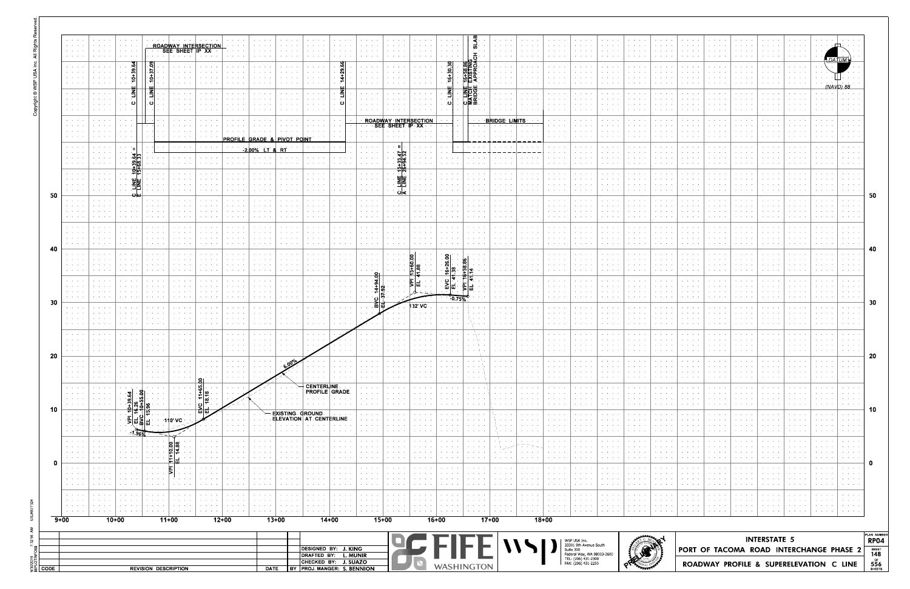| PLAN NUMBER<br><b>RP04</b> |              |  | <b>INTERSTATE 5</b> |  |  |  |
|----------------------------|--------------|--|---------------------|--|--|--|
|                            |              |  |                     |  |  |  |
| 0                          |              |  |                     |  |  |  |
| 10                         |              |  |                     |  |  |  |
|                            |              |  |                     |  |  |  |
| 20                         |              |  |                     |  |  |  |
|                            |              |  |                     |  |  |  |
| 30                         |              |  |                     |  |  |  |
|                            |              |  |                     |  |  |  |
| 40                         |              |  |                     |  |  |  |
| 50                         |              |  |                     |  |  |  |
|                            |              |  |                     |  |  |  |
|                            |              |  |                     |  |  |  |
|                            |              |  |                     |  |  |  |
|                            | (NAVD)<br>88 |  |                     |  |  |  |
|                            | DATUM        |  |                     |  |  |  |



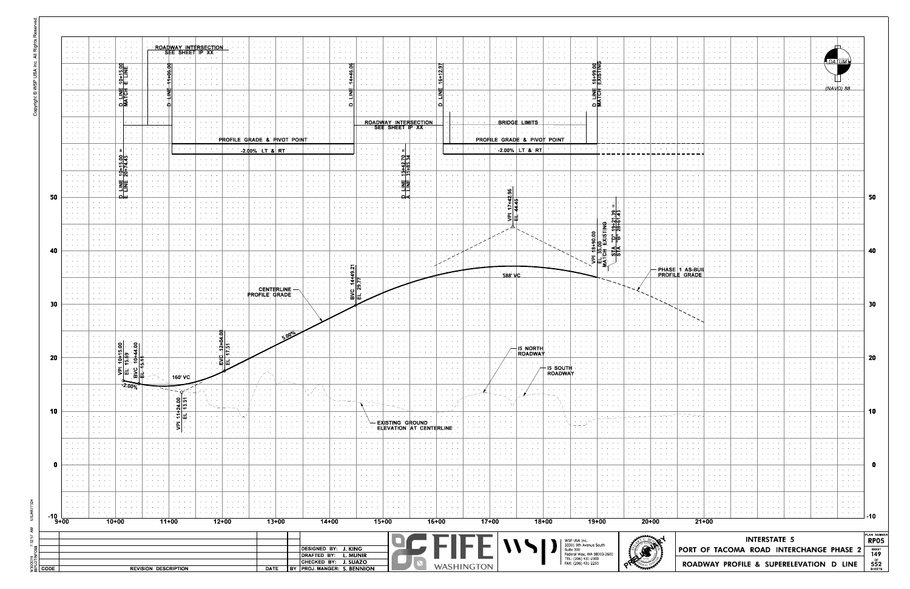|                                                                                                                                              |                                                |                                                                                              |                    |                                                     |                     |                                                                           |                                                           | DESIGNED BY: J. KING<br>DRAFTED BY: L. MUNIR                     |          |               | $\Box$              |                                                                         |                                                                                                                                            |             |                                                                                                                                                                                                                                                                                                                                                                                                                              |                          |                | WSP USA Inc.<br>33301 9th Avenue South<br>Suite 300<br>Federal Way, WA 98003-2600<br>TEL: (206) 431-2300<br>FAX: (206) 431-2250 |                             |                                       | <b>REF</b>                                                                          |                                                               | PORT OF TACOMA ROAD INTERCHANGE PHASE 2 | <b>INTERSTATE 5</b>     |                          |                        |                                                                |
|----------------------------------------------------------------------------------------------------------------------------------------------|------------------------------------------------|----------------------------------------------------------------------------------------------|--------------------|-----------------------------------------------------|---------------------|---------------------------------------------------------------------------|-----------------------------------------------------------|------------------------------------------------------------------|----------|---------------|---------------------|-------------------------------------------------------------------------|--------------------------------------------------------------------------------------------------------------------------------------------|-------------|------------------------------------------------------------------------------------------------------------------------------------------------------------------------------------------------------------------------------------------------------------------------------------------------------------------------------------------------------------------------------------------------------------------------------|--------------------------|----------------|---------------------------------------------------------------------------------------------------------------------------------|-----------------------------|---------------------------------------|-------------------------------------------------------------------------------------|---------------------------------------------------------------|-----------------------------------------|-------------------------|--------------------------|------------------------|----------------------------------------------------------------|
| $9 + 00$                                                                                                                                     |                                                |                                                                                              |                    |                                                     |                     |                                                                           |                                                           |                                                                  |          |               |                     |                                                                         |                                                                                                                                            |             |                                                                                                                                                                                                                                                                                                                                                                                                                              |                          |                |                                                                                                                                 |                             |                                       |                                                                                     |                                                               |                                         |                         |                          |                        |                                                                |
| $\mathbf{A} = \mathbf{A} + \mathbf{A}$ and<br>e se se                                                                                        |                                                | $10+00$                                                                                      | $11+00$            |                                                     | $12+00$             | والوالوا                                                                  | <b>All All All I</b><br>$13+00$                           | $\mathbf{v} = \mathbf{v} + \mathbf{v} + \mathbf{v} + \mathbf{v}$ | $14+00$  |               | $15+00$             | $\sigma_{\rm{eff}}$ , and $\sigma_{\rm{eff}}$ , and $\sigma_{\rm{eff}}$ | <b>Contract Contract</b><br>$\mathbf{a} = \mathbf{a} + \mathbf{a}$ .<br>$16+00$                                                            | a contracto | <b>All Angeles</b><br>$17+00$                                                                                                                                                                                                                                                                                                                                                                                                |                          | $18+00$        | بمنابذ المرابط                                                                                                                  | $19+00$                     | <b>All Angeles</b>                    | <b>All Angeles</b><br><b>Contractor</b><br>$20+00$                                  | $\mathbf{a}$ , and $\mathbf{a}$ , and $\mathbf{a}$<br>$21+00$ |                                         |                         | <b>Contract Contract</b> | <b>All Accounts</b>    | .<br>$\mathbf{a} = \mathbf{a} + \mathbf{a} + \mathbf{a}$ , and |
| $\sigma_{\rm{eff}}$ , $\sigma_{\rm{eff}}$ , $\sigma_{\rm{eff}}$<br><b>Service</b> State<br>$\mathcal{A}=\mathcal{A}+\mathcal{A}+\mathcal{A}$ | <b>Contract Contract</b><br>.                  | $\sigma_{\rm{eff}}$ , and $\sigma_{\rm{eff}}$ , and<br>and the state of<br><b>All Angels</b> |                    | <b>Contract Contract Contract</b>                   |                     | <b>Contract Contract Contract</b><br><b>Contract Contract</b><br>.        | <b>Contractor</b><br>and a state<br>and a state of        | <b>All All All Co</b>                                            |          |               |                     | <b>Contract Advised</b>                                                 | $\bullet$ .<br><br><br><br><br><br><br><br><br><br><br><br><br><br><br>$\mathcal{A}=\mathcal{A}=\mathcal{A}$ .<br><b>Contract Contract</b> |             | <b>Contract Contract</b>                                                                                                                                                                                                                                                                                                                                                                                                     |                          |                | .<br><b>Contract Contract</b><br><b>Contract Contract</b>                                                                       | .                           | <b>Contract Contract</b>              | <b>Contract</b><br>and a state<br><b>Contract Contract</b>                          | $\mathbf{r} = \mathbf{r} + \mathbf{r} + \mathbf{r}$           |                                         |                         | .                        |                        | <b>Contract Contract</b><br>.                                  |
| .<br><b>All Access</b><br>$\mathcal{A}=\mathcal{A}=\mathcal{A}$ .                                                                            | .<br><b>Contract Contract</b>                  | and the state of<br><b>All Angeles</b>                                                       |                    |                                                     |                     | <b>Contract Contract Contract</b><br><b>Contract Contract</b>             | $\cdots$<br><b>All Angeles</b>                            |                                                                  |          |               |                     | .<br>.                                                                  | <b>Service</b> State<br><b>Service Control</b>                                                                                             | .<br>.      | $\mathbf{a} = \mathbf{a} + \mathbf{a} + \mathbf{a} + \mathbf{a} + \mathbf{a} + \mathbf{a} + \mathbf{a} + \mathbf{a} + \mathbf{a} + \mathbf{a} + \mathbf{a} + \mathbf{a} + \mathbf{a} + \mathbf{a} + \mathbf{a} + \mathbf{a} + \mathbf{a} + \mathbf{a} + \mathbf{a} + \mathbf{a} + \mathbf{a} + \mathbf{a} + \mathbf{a} + \mathbf{a} + \mathbf{a} + \mathbf{a} + \mathbf{a} + \mathbf{a} + \mathbf{a} + \mathbf{a} + \mathbf$ |                          |                | <b>Contract Contract</b><br>e se se                                                                                             |                             |                                       | and a state<br>.                                                                    |                                                               |                                         |                         |                          |                        | .                                                              |
| $\mathcal{A}=\mathcal{A}=\mathcal{A}$ .<br>ka kacamatan                                                                                      |                                                | .                                                                                            |                    |                                                     |                     | <b>Contract Contract Contract</b><br><b>Contract Contract</b>             | .                                                         |                                                                  |          |               |                     | .<br><b>Contract Advised</b>                                            | $\cdots$                                                                                                                                   |             |                                                                                                                                                                                                                                                                                                                                                                                                                              |                          |                | <b>Contract Contract</b><br><b>Contract Contract</b>                                                                            |                             |                                       | .                                                                                   |                                                               |                                         |                         |                          |                        |                                                                |
| <b>State State</b><br><b>All Accounts</b>                                                                                                    | and a state of<br><b>Contract Contract</b>     | <b>Service Control</b><br><b>Contract Contract</b>                                           |                    | .                                                   |                     | <b>Contract Contract</b><br><b>All Angeles</b>                            | $\cdots$<br><b>All Angeles</b>                            |                                                                  |          |               |                     | .                                                                       | <b>Contract Contract</b>                                                                                                                   | .           |                                                                                                                                                                                                                                                                                                                                                                                                                              |                          |                | and a state<br><b>All Angeles</b>                                                                                               |                             | and a state<br><b>Service Control</b> | <b>All Angeles</b><br><b>All Contracts</b>                                          |                                                               |                                         |                         |                          |                        |                                                                |
| <b>All Accounts</b><br>$\mathcal{A}=\mathcal{A}=\mathcal{A}$ .<br>$\mathbf{r}=(\mathbf{r}_1,\ldots,\mathbf{r}_n)$                            | <b>Contract Contract</b><br>.                  | .                                                                                            |                    | $\mathbf{r} = \mathbf{r} + \mathbf{r} + \mathbf{r}$ |                     | All Concert Control<br><b>Service Control</b><br><b>Contract Contract</b> | $\cdots$<br><b>All All All A</b>                          |                                                                  |          |               | -EXISTING GROUND    | <b>ELEVATION AT CENTERLINE</b>                                          |                                                                                                                                            |             |                                                                                                                                                                                                                                                                                                                                                                                                                              |                          |                | $\cdots$<br>スコルト                                                                                                                | <b>All Accessible</b>       | the company of the                    | .                                                                                   |                                                               |                                         |                         |                          |                        | All Carolina Co                                                |
| $\alpha$ , $\alpha$ , $\alpha$ , $\alpha$ , $\alpha$<br><b>Contractor</b>                                                                    | <b>All Street Avenue</b><br><b>State State</b> | <b>Contract Ave</b><br><b>All Accessibility</b>                                              | $4\omega$<br>-티코   | وينافذ والمراوي<br>$\cdots$                         | $\cdots$ . $\cdots$ | <b>Contract Contract</b><br><b>All Angels</b>                             | $\cdots$<br>$\mathbf{r}=\mathbf{r}+\mathbf{r}+\mathbf{r}$ |                                                                  | $\cdots$ | $\sim$ $\sim$ | <b>Print</b> (1977) | .                                                                       | $\cdots$                                                                                                                                   |             |                                                                                                                                                                                                                                                                                                                                                                                                                              |                          |                |                                                                                                                                 |                             | <b>Contract Contract</b>              | <b>Contract Contract</b><br>$\rightarrow$ $\rightarrow$ $\rightarrow$ $\rightarrow$ | $\mathbf{a} = \mathbf{a} + \mathbf{a} + \mathbf{a}$           |                                         |                         | .                        | <b>Service Control</b> | والموالد والم<br><b>Contract Contract</b>                      |
| <b>Contractor</b><br>$\alpha$ , $\alpha$ , $\alpha$ , $\alpha$ , $\alpha$<br><b>Contractor</b>                                               | <b>Service Control</b><br>and a state of       | <b>Service Control</b>                                                                       | . 응 년              | $\cdot$ $\cdot$ $\cdot$ $\cdot$                     |                     | <b>Contract Contract</b><br><b>Contract Contract Contract</b>             | $\mathbf{r} = \mathbf{r} + \mathbf{r}$ .<br>and a state   |                                                                  |          |               |                     |                                                                         |                                                                                                                                            |             |                                                                                                                                                                                                                                                                                                                                                                                                                              |                          |                |                                                                                                                                 |                             |                                       | $\mathbf{r} = \mathbf{r} + \mathbf{r}$<br>.                                         |                                                               |                                         |                         |                          |                        |                                                                |
| $\alpha$ , $\alpha$ , $\alpha$ , $\alpha$ , $\alpha$<br>$\alpha$ , $\alpha$ , $\alpha$ , $\alpha$ , $\alpha$                                 |                                                | ▏ <sub></sub><br>▏▒<br>$-2.00%$                                                              | 160' VC            |                                                     |                     |                                                                           |                                                           | $\cdots$                                                         |          |               | $\cdots$            | $\mathbf{r} = \mathbf{r} + \mathbf{r} + \mathbf{r}$                     |                                                                                                                                            |             | $\mathbf{v} = \mathbf{v} + \mathbf{v}$<br>$\sim$ $\sim$ $\sim$ $\sim$ $\sim$                                                                                                                                                                                                                                                                                                                                                 | <b>Contract Contract</b> | <b>ROADWAY</b> |                                                                                                                                 | .                           | <b>Contract Contract</b>              | .                                                                                   | $\alpha$ , and $\alpha$ , and $\alpha$                        |                                         | and the contract of the | .                        |                        | <b>Contract Contract</b>                                       |
| <b>Contract Contract</b><br>$\alpha = \alpha + \alpha + \alpha$                                                                              |                                                | <u> 회</u> 흥<br>외화                                                                            | <b>All All And</b> |                                                     | $\frac{1}{2}$       |                                                                           |                                                           |                                                                  |          |               |                     | .                                                                       |                                                                                                                                            |             |                                                                                                                                                                                                                                                                                                                                                                                                                              | <b>ROADWAY</b>           | - I5 ·SOUTH    |                                                                                                                                 |                             | <b>CONTRACTOR</b>                     | <b>All Angeles</b>                                                                  |                                                               |                                         |                         |                          |                        |                                                                |
| $\mathcal{A}=\mathcal{A}=\mathcal{A}$ .<br>$\mathcal{L}=\mathcal{L}=\mathcal{L}$<br>$\sim$ $\sim$ $\sim$ $\sim$                              |                                                | ō<br>ō<br>ю                                                                                  | .                  |                                                     |                     |                                                                           |                                                           |                                                                  |          |               |                     |                                                                         |                                                                                                                                            |             |                                                                                                                                                                                                                                                                                                                                                                                                                              |                          |                |                                                                                                                                 |                             |                                       |                                                                                     |                                                               |                                         |                         |                          |                        |                                                                |
| $\mathbf{a} = \mathbf{a} + \mathbf{a}$ .<br><b>All Angeles</b>                                                                               |                                                |                                                                                              |                    |                                                     |                     |                                                                           |                                                           |                                                                  |          |               |                     |                                                                         |                                                                                                                                            |             |                                                                                                                                                                                                                                                                                                                                                                                                                              |                          |                |                                                                                                                                 |                             |                                       |                                                                                     |                                                               |                                         |                         |                          |                        |                                                                |
| and a state<br>.<br>$\mathcal{A}^{\mathcal{A}}$ , and $\mathcal{A}^{\mathcal{A}}$ , and                                                      |                                                |                                                                                              |                    |                                                     |                     |                                                                           |                                                           |                                                                  |          |               |                     |                                                                         |                                                                                                                                            |             |                                                                                                                                                                                                                                                                                                                                                                                                                              |                          |                |                                                                                                                                 |                             |                                       |                                                                                     |                                                               |                                         |                         |                          |                        |                                                                |
| $\mathbf{z} = \mathbf{z} + \mathbf{z}$<br>$\mathbf{a} = \mathbf{a} + \mathbf{a}$ .<br>$\mathbf{v}=(\mathbf{v}_1,\ldots,\mathbf{v}_n)$        |                                                |                                                                                              |                    |                                                     |                     | PROFILE GRADE                                                             | <b>CENTERLINE</b>                                         |                                                                  |          |               |                     |                                                                         |                                                                                                                                            |             |                                                                                                                                                                                                                                                                                                                                                                                                                              |                          |                |                                                                                                                                 |                             |                                       |                                                                                     |                                                               |                                         |                         |                          |                        |                                                                |
| $\mathbf{v}=(\mathbf{v}_1,\ldots,\mathbf{v}_N)$<br>$\mathbf{a}=\mathbf{a}+\mathbf{a}+\mathbf{a}$                                             |                                                | <b>Contract Contract</b>                                                                     |                    |                                                     |                     |                                                                           |                                                           |                                                                  |          | ㅋ <br>.       |                     |                                                                         |                                                                                                                                            |             | 588' VO                                                                                                                                                                                                                                                                                                                                                                                                                      |                          |                |                                                                                                                                 |                             |                                       |                                                                                     | PROFILE GRADE                                                 |                                         |                         |                          |                        |                                                                |
| $\mathbf{a} = \mathbf{a} + \mathbf{a}$ .<br>$\mathbf{a} = \mathbf{a} + \mathbf{a}$ .                                                         |                                                |                                                                                              |                    |                                                     |                     |                                                                           |                                                           |                                                                  |          |               |                     |                                                                         |                                                                                                                                            |             |                                                                                                                                                                                                                                                                                                                                                                                                                              |                          |                |                                                                                                                                 | $\frac{1}{2}$ $\frac{1}{2}$ |                                       |                                                                                     | PHASE 1 AS BUIL                                               |                                         |                         |                          |                        |                                                                |
| $\mathbf{a} = \mathbf{a} + \mathbf{a}$ .<br>a na sao                                                                                         |                                                |                                                                                              |                    |                                                     |                     |                                                                           |                                                           |                                                                  |          |               |                     |                                                                         |                                                                                                                                            |             |                                                                                                                                                                                                                                                                                                                                                                                                                              |                          |                |                                                                                                                                 | <u>94</u>                   |                                       |                                                                                     |                                                               |                                         |                         |                          |                        |                                                                |
| $\alpha = 1, \ldots, n$<br>$\alpha = \alpha + \beta$ . The $\alpha$                                                                          |                                                |                                                                                              |                    |                                                     |                     |                                                                           |                                                           |                                                                  |          |               |                     |                                                                         |                                                                                                                                            |             |                                                                                                                                                                                                                                                                                                                                                                                                                              |                          |                |                                                                                                                                 | କ୍ଟ<br>$\frac{2}{5}$        |                                       |                                                                                     |                                                               |                                         |                         |                          |                        |                                                                |
| $\mathbf{a} = \mathbf{a} + \mathbf{a} + \mathbf{a}$<br>$\mathbf{a} = \mathbf{a} + \mathbf{a}$ .<br>$\mathbf{r} = \mathbf{r} + \mathbf{r}$ .  |                                                |                                                                                              |                    |                                                     |                     |                                                                           |                                                           |                                                                  |          |               |                     |                                                                         |                                                                                                                                            |             |                                                                                                                                                                                                                                                                                                                                                                                                                              |                          |                |                                                                                                                                 |                             |                                       |                                                                                     |                                                               |                                         |                         |                          |                        |                                                                |
| e ne e<br>$\mathbf{r}=\mathbf{r}+\mathbf{r}$                                                                                                 |                                                | ்ய                                                                                           |                    |                                                     |                     | <b>Contract Contract</b>                                                  |                                                           |                                                                  |          |               |                     |                                                                         |                                                                                                                                            |             |                                                                                                                                                                                                                                                                                                                                                                                                                              |                          |                | <b>Contract Contract</b>                                                                                                        |                             |                                       |                                                                                     |                                                               |                                         |                         |                          |                        |                                                                |
| $\cdots$<br>$\mathbf{a} = \mathbf{a} + \mathbf{a}$ .                                                                                         |                                                | 흮<br>뾅                                                                                       |                    |                                                     |                     |                                                                           |                                                           |                                                                  |          |               |                     |                                                                         |                                                                                                                                            |             |                                                                                                                                                                                                                                                                                                                                                                                                                              |                          |                |                                                                                                                                 |                             |                                       |                                                                                     |                                                               |                                         |                         |                          |                        |                                                                |
| .<br>.<br>e contro                                                                                                                           |                                                |                                                                                              |                    | contractors and                                     | .                   | .                                                                         |                                                           |                                                                  |          |               |                     |                                                                         |                                                                                                                                            |             | <b>Contract Contract</b>                                                                                                                                                                                                                                                                                                                                                                                                     |                          |                |                                                                                                                                 |                             |                                       |                                                                                     |                                                               |                                         |                         |                          |                        |                                                                |
| a sa sa                                                                                                                                      |                                                |                                                                                              | <b>All Andre</b>   |                                                     |                     | PROFILE GRADE & PIVOT POINT<br>$200\%$ LT & RT                            |                                                           |                                                                  |          |               |                     |                                                                         |                                                                                                                                            |             | PROFILE GRADE & PIVOT POINT                                                                                                                                                                                                                                                                                                                                                                                                  | $200\%$ LT & RT          |                |                                                                                                                                 |                             |                                       |                                                                                     |                                                               |                                         |                         |                          |                        |                                                                |
| .<br>.<br>$\cdots$                                                                                                                           |                                                |                                                                                              |                    |                                                     |                     |                                                                           |                                                           |                                                                  |          |               |                     | ROADWAY INTERSECTION<br>SEE SHEET IP XX                                 |                                                                                                                                            |             | <b>BRIDGE</b>                                                                                                                                                                                                                                                                                                                                                                                                                |                          |                |                                                                                                                                 |                             |                                       |                                                                                     |                                                               |                                         |                         |                          |                        |                                                                |
| .<br>$\mathbf{r} = \mathbf{r} + \mathbf{r}$ .<br>e na na                                                                                     |                                                |                                                                                              |                    |                                                     |                     |                                                                           |                                                           |                                                                  |          |               |                     |                                                                         |                                                                                                                                            |             |                                                                                                                                                                                                                                                                                                                                                                                                                              |                          |                |                                                                                                                                 | פס                          |                                       |                                                                                     |                                                               |                                         |                         |                          |                        |                                                                |
| e a a<br>.                                                                                                                                   |                                                | D-TATO<br>NATO                                                                               |                    |                                                     |                     |                                                                           |                                                           |                                                                  |          |               |                     |                                                                         |                                                                                                                                            |             |                                                                                                                                                                                                                                                                                                                                                                                                                              |                          |                |                                                                                                                                 |                             |                                       |                                                                                     |                                                               |                                         |                         |                          |                        |                                                                |
| .<br>$\cdots$<br>$\alpha = 1, \ldots, n$                                                                                                     |                                                | $rac{10+15.00}{1.1 \times 10}$                                                               |                    |                                                     |                     |                                                                           |                                                           |                                                                  |          |               |                     |                                                                         |                                                                                                                                            |             |                                                                                                                                                                                                                                                                                                                                                                                                                              |                          |                |                                                                                                                                 | ु‱ स<br>∘                   |                                       |                                                                                     |                                                               |                                         |                         |                          |                        |                                                                |
| $\mathbf{r} = \mathbf{r} + \mathbf{r}$ .<br>e contro                                                                                         |                                                | and a state                                                                                  |                    | <u>ROADWAY INTERSECTION:</u><br>SEE SHEET IP XX     |                     |                                                                           |                                                           |                                                                  |          |               |                     |                                                                         |                                                                                                                                            |             |                                                                                                                                                                                                                                                                                                                                                                                                                              |                          |                |                                                                                                                                 |                             |                                       |                                                                                     |                                                               |                                         |                         |                          |                        |                                                                |
| $\mathbf{r} = \mathbf{r} + \mathbf{r} + \mathbf{r}$                                                                                          |                                                | $\mathbf{a} = \mathbf{a} + \mathbf{a} + \mathbf{a}$                                          |                    |                                                     |                     |                                                                           |                                                           |                                                                  |          |               |                     |                                                                         |                                                                                                                                            |             |                                                                                                                                                                                                                                                                                                                                                                                                                              |                          |                |                                                                                                                                 |                             |                                       |                                                                                     |                                                               |                                         |                         |                          |                        |                                                                |

|                      | PORT OF TACOMA ROAD INTERCHANGE PHASE 2 | PLAN NUMBER<br><b>RP05</b><br>$rac{\text{SHEET}}{149}$ |
|----------------------|-----------------------------------------|--------------------------------------------------------|
|                      |                                         |                                                        |
| $\ddot{\phantom{0}}$ |                                         | $-10$                                                  |
|                      |                                         |                                                        |
|                      |                                         |                                                        |
|                      |                                         |                                                        |
|                      |                                         | 0                                                      |
|                      |                                         |                                                        |
|                      |                                         |                                                        |
|                      |                                         |                                                        |
|                      |                                         | 10                                                     |
|                      |                                         |                                                        |
|                      |                                         |                                                        |
|                      |                                         |                                                        |
|                      |                                         |                                                        |
|                      |                                         | 20                                                     |
|                      |                                         |                                                        |
|                      |                                         |                                                        |
|                      |                                         |                                                        |
|                      |                                         | 30                                                     |
|                      |                                         |                                                        |
|                      |                                         |                                                        |
|                      |                                         |                                                        |
|                      |                                         |                                                        |
|                      |                                         | 40                                                     |
|                      |                                         |                                                        |
|                      |                                         |                                                        |
|                      |                                         |                                                        |
|                      |                                         | 50                                                     |
|                      |                                         |                                                        |
|                      |                                         |                                                        |
|                      |                                         |                                                        |
|                      |                                         |                                                        |
|                      |                                         |                                                        |
|                      |                                         |                                                        |
|                      |                                         |                                                        |
|                      |                                         |                                                        |
|                      | 'NA V                                   |                                                        |
|                      |                                         |                                                        |
|                      |                                         |                                                        |
|                      | DA                                      |                                                        |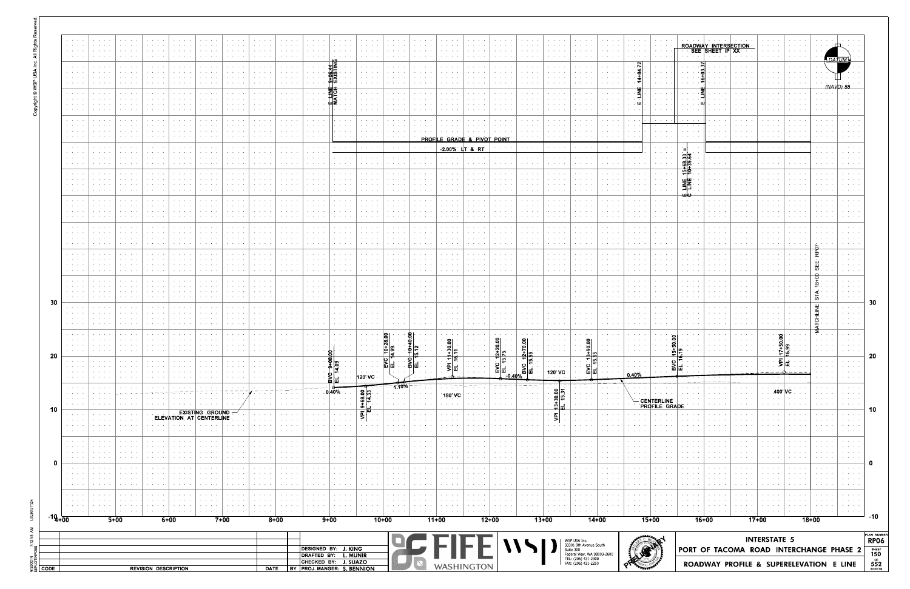|          | $\mathcal{A}=\mathcal{A}=\mathcal{A}=\mathcal{A}$<br><b>Service State</b><br><b>Service Control</b><br>the control of the                              | and a state of<br>.<br>$\mathbf{v} = \mathbf{v} + \mathbf{v} + \mathbf{v} + \mathbf{v} + \mathbf{v} + \mathbf{v} + \mathbf{v} + \mathbf{v} + \mathbf{v} + \mathbf{v} + \mathbf{v} + \mathbf{v} + \mathbf{v} + \mathbf{v} + \mathbf{v} + \mathbf{v} + \mathbf{v} + \mathbf{v} + \mathbf{v} + \mathbf{v} + \mathbf{v} + \mathbf{v} + \mathbf{v} + \mathbf{v} + \mathbf{v} + \mathbf{v} + \mathbf{v} + \mathbf{v} + \mathbf{v} + \mathbf{v} + \mathbf$ | <b>All Anna</b> Card<br>and a state of the                                                                               | contract and states<br>the contract of the con-                                 | $\mathcal{A}=\mathcal{A}=\mathcal{A}=\mathcal{A}$ .<br>$\cdots$<br>.                                            | contract and states<br>$\cdots$<br>$\cdots$                      | the company of the<br>the contract of the con-                                | $\alpha$ , and $\alpha$ , and $\alpha$<br>$\alpha$ , $\alpha$ , $\alpha$ , $\alpha$ , $\alpha$<br>$\cdots$<br>and a state of the | contract and service<br>the contract of the<br>$\cdots$<br>and a state of the con-                                                                                                                                                                                                                                                                                                                                                                                                               | the company of the<br>$\cdots$        | <b>Contract Contract</b><br>and a state of                           | the company of the<br>the contract of the con-<br>and a state of the state                                                            | contract and an<br>the contract of the con-       | $\alpha$ , $\alpha$ , $\alpha$ , $\alpha$ , $\alpha$<br>$\cdots$<br>$\mathbf{r} = \mathbf{r} + \mathbf{r} + \mathbf{r} + \mathbf{r} + \mathbf{r} + \mathbf{r} + \mathbf{r} + \mathbf{r} + \mathbf{r} + \mathbf{r} + \mathbf{r} + \mathbf{r} + \mathbf{r} + \mathbf{r} + \mathbf{r} + \mathbf{r} + \mathbf{r} + \mathbf{r} + \mathbf{r} + \mathbf{r} + \mathbf{r} + \mathbf{r} + \mathbf{r} + \mathbf{r} + \mathbf{r} + \mathbf{r} + \mathbf{r} + \mathbf{r} + \mathbf{r} + \mathbf{r} + \mathbf$ | <b>Service Control</b><br>the contract of the con-               | contract and an<br>the contract of the con-                                                   | and a state of<br>and a state of                         | <b>Service Control</b><br><b>Service Control</b>                                                                                                                                                                                                                                                                                                                                                                             | contract and an<br>the contract of the con-          | <b>All Angeles</b><br>.<br>and a state of                                                                                                                                                                                                                                                                                                                                                                                    | and the company<br>the company of the company                                                                                                                                                                                                                                                                                                                                                                                | $\mathcal{A}(\mathcal{A})$ , and $\mathcal{A}(\mathcal{A})$ , and<br>the company of the company | $\mathbf{A}=\mathbf{A}+\mathbf{A}+\mathbf{A}+\mathbf{A}$<br>and the control<br><b>All Contracts</b> | <b>Contract Contract</b><br>the company of the company                                                                                                                                                                                                                                                                                                                                                                                                                                                      | ROADWAY INTERSECTION<br>SEE SHEET IP XX<br>$\cdot$ $\cdot$ $\cdot$ $\cdot$                                                                                                                     | All Annual<br><b>All All Angel</b>                                                                                                                 | .                                                                |                                    |                                                                                                                    |                          |
|----------|--------------------------------------------------------------------------------------------------------------------------------------------------------|-----------------------------------------------------------------------------------------------------------------------------------------------------------------------------------------------------------------------------------------------------------------------------------------------------------------------------------------------------------------------------------------------------------------------------------------------------|--------------------------------------------------------------------------------------------------------------------------|---------------------------------------------------------------------------------|-----------------------------------------------------------------------------------------------------------------|------------------------------------------------------------------|-------------------------------------------------------------------------------|----------------------------------------------------------------------------------------------------------------------------------|--------------------------------------------------------------------------------------------------------------------------------------------------------------------------------------------------------------------------------------------------------------------------------------------------------------------------------------------------------------------------------------------------------------------------------------------------------------------------------------------------|---------------------------------------|----------------------------------------------------------------------|---------------------------------------------------------------------------------------------------------------------------------------|---------------------------------------------------|--------------------------------------------------------------------------------------------------------------------------------------------------------------------------------------------------------------------------------------------------------------------------------------------------------------------------------------------------------------------------------------------------------------------------------------------------------------------------------------------------|------------------------------------------------------------------|-----------------------------------------------------------------------------------------------|----------------------------------------------------------|------------------------------------------------------------------------------------------------------------------------------------------------------------------------------------------------------------------------------------------------------------------------------------------------------------------------------------------------------------------------------------------------------------------------------|------------------------------------------------------|------------------------------------------------------------------------------------------------------------------------------------------------------------------------------------------------------------------------------------------------------------------------------------------------------------------------------------------------------------------------------------------------------------------------------|------------------------------------------------------------------------------------------------------------------------------------------------------------------------------------------------------------------------------------------------------------------------------------------------------------------------------------------------------------------------------------------------------------------------------|-------------------------------------------------------------------------------------------------|-----------------------------------------------------------------------------------------------------|-------------------------------------------------------------------------------------------------------------------------------------------------------------------------------------------------------------------------------------------------------------------------------------------------------------------------------------------------------------------------------------------------------------------------------------------------------------------------------------------------------------|------------------------------------------------------------------------------------------------------------------------------------------------------------------------------------------------|----------------------------------------------------------------------------------------------------------------------------------------------------|------------------------------------------------------------------|------------------------------------|--------------------------------------------------------------------------------------------------------------------|--------------------------|
|          | $\mathcal{A}=\mathcal{A}=\mathcal{A}$ .<br>$\mathcal{A}=\mathcal{A}=\mathcal{A}$ .<br><b>Contract Contract</b>                                         | <b>Contract Contract</b><br>.<br>.                                                                                                                                                                                                                                                                                                                                                                                                                  | $\alpha$ , $\alpha$ , $\alpha$ , $\alpha$ , $\alpha$ , $\alpha$                                                          | <b>Service Control</b>                                                          | <b>Contract Advised</b>                                                                                         | $\mathbf{a} = \mathbf{a} + \mathbf{a} + \mathbf{a} + \mathbf{a}$ | $\mathbf{A}=\mathbf{A}+\mathbf{A}+\mathbf{A}$                                 | $\mathbf{a} = \mathbf{a} + \mathbf{a} + \mathbf{a} + \mathbf{a}$                                                                 | $\alpha$ , $\alpha$ , $\alpha$ , $\alpha$ , $\alpha$<br>$\mathbf{v} = \mathbf{v} + \mathbf{v} + \mathbf{v} + \mathbf{v}$<br>$\cdots$                                                                                                                                                                                                                                                                                                                                                             | <b>Service</b> State                  | $\sim$ $\sim$ $\sim$<br>$\omega$                                     | $\alpha$ , $\alpha$ , $\alpha$ , $\alpha$ , $\alpha$<br><b>All Angeles</b><br>$\cdots$                                                | <b>All Angeles</b>                                | $\mathbf{a} = \mathbf{a} + \mathbf{a} + \mathbf{a} + \mathbf{a}$                                                                                                                                                                                                                                                                                                                                                                                                                                 | $\mathbf{a} = \mathbf{a} + \mathbf{a} + \mathbf{a} + \mathbf{a}$ | <b>Service Control</b>                                                                        |                                                          | $\mathbf{a} = \mathbf{a} + \mathbf{a} + \mathbf{a} + \mathbf{a}$                                                                                                                                                                                                                                                                                                                                                             | $\mathbf{a}$ , and $\mathbf{a}$ , and $\mathbf{a}$   | $\mathbf{a} = \mathbf{a} + \mathbf{a} + \mathbf{a}$                                                                                                                                                                                                                                                                                                                                                                          | All Concert Card<br>the contract of the<br>$\mathbf{r} = \mathbf{r} + \mathbf{r} + \mathbf{r} + \mathbf{r}$                                                                                                                                                                                                                                                                                                                  |                                                                                                 | $\mathbf{a} = \mathbf{a} + \mathbf{a}$ .                                                            | $\sim 10^{-1}$ km $^{-1}$<br><b>Contract Contract</b>                                                                                                                                                                                                                                                                                                                                                                                                                                                       | and a state of                                                                                                                                                                                 | $\mathbf{a} = \mathbf{a} + \mathbf{a} + \mathbf{a}$<br>All Concerts<br>$\cdots$                                                                    | $\mathbf{a} = \mathbf{a} + \mathbf{a} + \mathbf{a} + \mathbf{a}$ |                                    | DATUM\                                                                                                             |                          |
|          | <b>State State</b><br>$\mathbf{z}=(\mathbf{z}_1,\ldots,\mathbf{z}_n)$                                                                                  | $\mathbf{v} = \mathbf{v} + \mathbf{v} + \mathbf{v} + \mathbf{v} + \mathbf{v} + \mathbf{v} + \mathbf{v} + \mathbf{v} + \mathbf{v} + \mathbf{v} + \mathbf{v} + \mathbf{v} + \mathbf{v} + \mathbf{v} + \mathbf{v} + \mathbf{v} + \mathbf{v} + \mathbf{v} + \mathbf{v} + \mathbf{v} + \mathbf{v} + \mathbf{v} + \mathbf{v} + \mathbf{v} + \mathbf{v} + \mathbf{v} + \mathbf{v} + \mathbf{v} + \mathbf{v} + \mathbf{v} + \mathbf$<br><b>Contractor</b>   | and a state of the<br>$\alpha$ , $\alpha$ , $\alpha$ , $\alpha$ , $\alpha$                                               | the contract of the<br>$\mathbf{a} = \mathbf{a} + \mathbf{a}$ .                 | .                                                                                                               | $\cdots$                                                         | <b>Service</b> State                                                          | .                                                                                                                                | and a state of                                                                                                                                                                                                                                                                                                                                                                                                                                                                                   | <b>State Street</b>                   |                                                                      | <b>All All Annual</b><br>and a state                                                                                                  | the contract of the con-                          | $\mathbf{r} = \mathbf{r} + \mathbf{r} + \mathbf{r} + \mathbf{r} + \mathbf{r} + \mathbf{r} + \mathbf{r} + \mathbf{r} + \mathbf{r} + \mathbf{r} + \mathbf{r} + \mathbf{r} + \mathbf{r} + \mathbf{r} + \mathbf{r} + \mathbf{r} + \mathbf{r} + \mathbf{r} + \mathbf{r} + \mathbf{r} + \mathbf{r} + \mathbf{r} + \mathbf{r} + \mathbf{r} + \mathbf{r} + \mathbf{r} + \mathbf{r} + \mathbf{r} + \mathbf{r} + \mathbf{r} + \mathbf$                                                                     | <b>Service Control</b><br><b>Contract Contract</b>               | the company of the company of                                                                 | and a state of                                           | and a state of                                                                                                                                                                                                                                                                                                                                                                                                               | $\sim$ $\sim$ $\sim$ $\sim$                          | and a state of                                                                                                                                                                                                                                                                                                                                                                                                               | the company of the company<br><b>Contractor</b>                                                                                                                                                                                                                                                                                                                                                                              |                                                                                                 | $\mathbf{r}$ and $\mathbf{r}$                                                                       | <b>Contract Contract</b>                                                                                                                                                                                                                                                                                                                                                                                                                                                                                    |                                                                                                                                                                                                | <b>All Angeles</b><br>and a state                                                                                                                  |                                                                  |                                    | (NAVD) 88                                                                                                          |                          |
|          | $\mathcal{A}=\mathcal{A}=\mathcal{A}$ .<br>$\cdots$<br>the contract of                                                                                 | والوالواء<br>.                                                                                                                                                                                                                                                                                                                                                                                                                                      | and a state of the state                                                                                                 | the contract of the con-                                                        | .                                                                                                               | $\cdots$                                                         | $\sim$ , and $\sim$ , and $\sim$                                              | .                                                                                                                                | $\cdots$                                                                                                                                                                                                                                                                                                                                                                                                                                                                                         | the contract of the con-              | ш≥<br><b>Contract Contract Contract</b>                              | <b>Service Control</b><br>$\alpha$ , and $\alpha$ , and $\alpha$                                                                      | the company of the company                        | $\cdots$                                                                                                                                                                                                                                                                                                                                                                                                                                                                                         | the contract of the con-                                         | the contract of the con-                                                                      | and a state of                                           | $\mathbf{v} = \mathbf{v} + \mathbf{v} + \mathbf{v} + \mathbf{v} + \mathbf{v} + \mathbf{v} + \mathbf{v} + \mathbf{v} + \mathbf{v} + \mathbf{v} + \mathbf{v} + \mathbf{v} + \mathbf{v} + \mathbf{v} + \mathbf{v} + \mathbf{v} + \mathbf{v} + \mathbf{v} + \mathbf{v} + \mathbf{v} + \mathbf{v} + \mathbf{v} + \mathbf{v} + \mathbf{v} + \mathbf{v} + \mathbf{v} + \mathbf{v} + \mathbf{v} + \mathbf{v} + \mathbf{v} + \mathbf$ | the company's company's                              | and a state of                                                                                                                                                                                                                                                                                                                                                                                                               | $\mathbf{a} = \mathbf{a} + \mathbf{a} + \mathbf{a} + \mathbf{a}$<br>and a state of                                                                                                                                                                                                                                                                                                                                           | $\sim$ $\sim$                                                                                   | $\mathcal{A}=\mathcal{A}+\mathcal{A}$ .<br>$\cdots$<br><b>Service Control</b>                       | $\mathcal{A}=\mathcal{A}+\mathcal{A}$ .<br>$\sim$ $\sim$ $\sim$<br>the contract of the con-                                                                                                                                                                                                                                                                                                                                                                                                                 | and the contract of<br>and a state of                                                                                                                                                          | and the control                                                                                                                                    |                                                                  |                                    | <b>Contract Contract</b>                                                                                           |                          |
|          | $\mathcal{A}=\mathcal{A}+\mathcal{A}$ .<br>$\mathcal{A}=\mathcal{A}=\mathcal{A}$ .<br><b>Service Control</b><br><b>Service</b> State                   | <b>Contractor</b><br>.<br>.                                                                                                                                                                                                                                                                                                                                                                                                                         | $\alpha$ , $\alpha$ , $\alpha$ , $\alpha$ , $\alpha$<br>and a state of the state                                         | <b>Service State</b><br>the contract of the con-                                | e a característica<br>.                                                                                         | $\cdots$                                                         | <b>All Angels</b><br>$\cdots$                                                 | .<br>.                                                                                                                           | $\mathbf{r} = \mathbf{r} + \mathbf{r} + \mathbf{r} + \mathbf{r}$<br>$\mathbf{r} = \mathbf{r} + \mathbf{r} + \mathbf{r} + \mathbf{r} + \mathbf{r} + \mathbf{r} + \mathbf{r} + \mathbf{r} + \mathbf{r} + \mathbf{r} + \mathbf{r} + \mathbf{r} + \mathbf{r} + \mathbf{r} + \mathbf{r} + \mathbf{r} + \mathbf{r} + \mathbf{r} + \mathbf{r} + \mathbf{r} + \mathbf{r} + \mathbf{r} + \mathbf{r} + \mathbf{r} + \mathbf{r} + \mathbf{r} + \mathbf{r} + \mathbf{r} + \mathbf{r} + \mathbf{r} + \mathbf$ | and a state<br><b>Service Control</b> | $\mathbf{z} = \mathbf{z} + \mathbf{z}$<br>$\cdots$                   | $\mathbf{r}=\mathbf{r}+\mathbf{r}+\mathbf{r}+\mathbf{r}$<br>and a state of the state                                                  | and a state of<br>the company of the company      | $\begin{array}{cccccccccccccc} \bullet & \bullet & \bullet & \bullet & \bullet & \bullet & \bullet \end{array}$                                                                                                                                                                                                                                                                                                                                                                                  | and a state of                                                   | <b>Service Control</b>                                                                        |                                                          | <b>Contract Contract</b><br>.                                                                                                                                                                                                                                                                                                                                                                                                |                                                      | <b>Contract Contract</b><br>.                                                                                                                                                                                                                                                                                                                                                                                                | $\alpha$ , $\alpha$ , $\alpha$ , $\alpha$ , $\alpha$<br>the contract of the con-                                                                                                                                                                                                                                                                                                                                             | $\sim$ $\sim$<br><b>Contract Contract</b>                                                       | <b>Service Control</b><br>the company of the<br>the contract of the con-                            | .<br>and a state of                                                                                                                                                                                                                                                                                                                                                                                                                                                                                         | and a state of                                                                                                                                                                                 | All Annual<br>and the control of                                                                                                                   | $\cdots$                                                         |                                    | contract and<br>.                                                                                                  |                          |
|          | $\mathbf{z} = \mathbf{z} + \mathbf{z}$ .<br>$\mathcal{A}=\mathcal{A}=\mathcal{A}$ .<br>$\alpha$ , $\alpha$ , $\alpha$ , $\alpha$                       | <b>Contract Advised</b>                                                                                                                                                                                                                                                                                                                                                                                                                             | $\alpha$ , $\alpha$ , $\alpha$ , $\alpha$ , $\alpha$                                                                     | $\mathbf{a} = \mathbf{a} + \mathbf{a}$ .                                        |                                                                                                                 |                                                                  |                                                                               | .                                                                                                                                | $\alpha$ , $\alpha$ , $\alpha$ , $\alpha$ , $\alpha$                                                                                                                                                                                                                                                                                                                                                                                                                                             | <b>Contract Contract</b>              | .                                                                    | $\mathbf{a}=\mathbf{a}+\mathbf{a}+\mathbf{a}+\mathbf{a}$                                                                              | <b>Service Control</b><br>$\cdots$                | $\alpha$ , and $\alpha$ , and $\alpha$                                                                                                                                                                                                                                                                                                                                                                                                                                                           |                                                                  | <b>PROFILE GRADE &amp; PIVOT POINT</b><br><b>200% LT &amp; RT</b><br>the contract of the con- | $\cdots$                                                 | and a state of<br>$\cdots$                                                                                                                                                                                                                                                                                                                                                                                                   | <b>Contract Contract Avenue</b>                      | $\cdots$                                                                                                                                                                                                                                                                                                                                                                                                                     | $\alpha$ , $\alpha$ , $\alpha$ , $\alpha$ , $\alpha$<br>$\cdots$                                                                                                                                                                                                                                                                                                                                                             | $\mathbf{A}=\mathbf{A}$ .                                                                       | $\mathbf{a} = \mathbf{a} + \mathbf{a} + \mathbf{a}$ , $\mathbf{a} = \mathbf{a}$<br>.                |                                                                                                                                                                                                                                                                                                                                                                                                                                                                                                             | <b>Contract Contract</b><br>.<br>the contract of the con-<br>the contract of the                                                                                                               | and a state<br>the contract of the con-                                                                                                            |                                                                  |                                    | $\sim$ $\sim$ $\sim$                                                                                               |                          |
|          | <b>Service Control</b><br>$\mathcal{A}=\mathcal{A}=\mathcal{A}$ .                                                                                      | .<br><b>Contractor</b>                                                                                                                                                                                                                                                                                                                                                                                                                              | the company of the company<br>$\alpha$ , $\alpha$ , $\alpha$ , $\alpha$ , $\alpha$                                       | the contract of the con-<br>$\mathbf{a} = \mathbf{a} + \mathbf{a} + \mathbf{a}$ | .<br>e a ser                                                                                                    | $\cdots$                                                         | $\sim$ 100 $\sim$ 100 $\sim$<br>$\mathbf{A}=\mathbf{A}+\mathbf{A}+\mathbf{A}$ | .<br>.                                                                                                                           | $\mathbf{r} = \mathbf{r} + \mathbf{r} + \mathbf{r} + \mathbf{r} + \mathbf{r} + \mathbf{r} + \mathbf{r} + \mathbf{r} + \mathbf{r} + \mathbf{r} + \mathbf{r} + \mathbf{r} + \mathbf{r} + \mathbf{r} + \mathbf{r} + \mathbf{r} + \mathbf{r} + \mathbf{r} + \mathbf{r} + \mathbf{r} + \mathbf{r} + \mathbf{r} + \mathbf{r} + \mathbf{r} + \mathbf{r} + \mathbf{r} + \mathbf{r} + \mathbf{r} + \mathbf{r} + \mathbf{r} + \mathbf$<br>$\mathbf{r} = \mathbf{r} + \mathbf{r} + \mathbf{r} + \mathbf{r}$ | $\cdots$<br>and a state of            | and a state of the state<br>.                                        | the contract of the con-<br>and a state                                                                                               | the company of the company<br>and a state of      | and a state of the con-<br>$\begin{array}{cccccccccccccc} \bullet & \bullet & \bullet & \bullet & \bullet & \bullet & \bullet \end{array}$                                                                                                                                                                                                                                                                                                                                                       | the contract of the<br>the company's com-                        | the contract of the con-<br><b>Contract Contract Avenue</b>                                   | and a state of<br>.                                      | the contract of the con-<br>$\alpha$ , and $\alpha$ , and $\alpha$                                                                                                                                                                                                                                                                                                                                                           | the contract of the con-<br>the contract of the con- | and a state of<br>$\cdots$                                                                                                                                                                                                                                                                                                                                                                                                   | the contract of the<br>and a state of                                                                                                                                                                                                                                                                                                                                                                                        | contract the contract of<br><b>All All Angel</b>                                                | and a state of<br>$\cdots$                                                                          | ∾္ကာ<br>ທ∣ຕ                                                                                                                                                                                                                                                                                                                                                                                                                                                                                                 | $\mathcal{A}=\mathcal{A}=\mathcal{A}=\mathcal{A}$ .<br>contract and support the pro-<br>$\mathbf{a} = \mathbf{a} + \mathbf{a} + \mathbf{a}$ .<br>$\mathbf{r}=\mathbf{r}+\mathbf{r}+\mathbf{r}$ | <b>Contract Contract</b><br>$\mathbf{A} = \mathbf{A} + \mathbf{A} + \mathbf{A}$                                                                    | the company of the company<br>.                                  |                                    | and a state of<br>contractors.                                                                                     |                          |
|          | $\mathcal{A}=\mathcal{A}=\mathcal{A}$<br><b>Contract Contract</b><br><b>Service State</b>                                                              | .<br>.                                                                                                                                                                                                                                                                                                                                                                                                                                              | $\cdot$ $\cdot$ $\cdot$ $\cdot$ $\cdot$<br>$\alpha$ , and $\alpha$ , and $\alpha$                                        | $\sim$ $\sim$ $\sim$ $\sim$ $\sim$                                              | .                                                                                                               | $\cdots$                                                         | $\cdots$                                                                      | .                                                                                                                                | $\cdots$                                                                                                                                                                                                                                                                                                                                                                                                                                                                                         | $\cdots$                              |                                                                      | $\cdots$                                                                                                                              | $\mathbf{r}$ and $\mathbf{r}$ and $\mathbf{r}$    |                                                                                                                                                                                                                                                                                                                                                                                                                                                                                                  | $\cdot$ $\cdot$ $\cdot$ $\cdot$<br>$\cdots$                      | $\sim$ $\sim$ $\sim$                                                                          |                                                          | $\cdots \cdots \cdots$                                                                                                                                                                                                                                                                                                                                                                                                       |                                                      | and a state of the state of                                                                                                                                                                                                                                                                                                                                                                                                  | $\mathbf{v} = \mathbf{v} + \mathbf{v} + \mathbf{v} + \mathbf{v} + \mathbf{v} + \mathbf{v} + \mathbf{v} + \mathbf{v} + \mathbf{v} + \mathbf{v} + \mathbf{v} + \mathbf{v} + \mathbf{v} + \mathbf{v} + \mathbf{v} + \mathbf{v} + \mathbf{v} + \mathbf{v} + \mathbf{v} + \mathbf{v} + \mathbf{v} + \mathbf{v} + \mathbf{v} + \mathbf{v} + \mathbf{v} + \mathbf{v} + \mathbf{v} + \mathbf{v} + \mathbf{v} + \mathbf{v} + \mathbf$ | .                                                                                               | .                                                                                                   | -11 1 Ш<br>2≧<br>그그                                                                                                                                                                                                                                                                                                                                                                                                                                                                                         | $\mathbf{a} = \mathbf{a} + \mathbf{a}$ .<br>$\mathbf{a}$ , and $\mathbf{a}$ , and $\mathbf{a}$<br>the contract of the con-<br>$\cdot$ $\cdot$ $\cdot$ $\cdot$                                  | All Carolina Co.<br>All Annual Co<br>and a state of                                                                                                |                                                                  |                                    | .<br><b>Contract Contract</b>                                                                                      |                          |
|          | and a state<br>$\mathcal{A}=\mathcal{A}=\mathcal{A}$ .<br>$\mathbf{v} = \mathbf{v} + \mathbf{v}$ .<br><b>Service State</b>                             | <b>Contract Contract</b><br>.                                                                                                                                                                                                                                                                                                                                                                                                                       | the contract of the con-                                                                                                 | the contract of the con-                                                        | $\cdots$                                                                                                        | $\cdots$                                                         | $\alpha$ , and $\alpha$ , and $\alpha$                                        | .                                                                                                                                |                                                                                                                                                                                                                                                                                                                                                                                                                                                                                                  |                                       | $\cdots$                                                             | $\cdots$                                                                                                                              | $\sim$ , and $\sim$ , and $\sim$                  | $\cdots$                                                                                                                                                                                                                                                                                                                                                                                                                                                                                         | $\cdots$                                                         | $\sim$ , and $\sim$ , and $\sim$                                                              | and a state of                                           | and a state of the                                                                                                                                                                                                                                                                                                                                                                                                           | $\sim$ , and $\sim$ , and $\sim$                     | $\mathbf{v} = \mathbf{v} + \mathbf{v} + \mathbf{v} + \mathbf{v} + \mathbf{v} + \mathbf{v} + \mathbf{v} + \mathbf{v} + \mathbf{v} + \mathbf{v} + \mathbf{v} + \mathbf{v} + \mathbf{v} + \mathbf{v} + \mathbf{v} + \mathbf{v} + \mathbf{v} + \mathbf{v} + \mathbf{v} + \mathbf{v} + \mathbf{v} + \mathbf{v} + \mathbf{v} + \mathbf{v} + \mathbf{v} + \mathbf{v} + \mathbf{v} + \mathbf{v} + \mathbf{v} + \mathbf{v} + \mathbf$ | <b>Contract Contract</b><br>$\alpha$ , and $\alpha$ , and $\alpha$                                                                                                                                                                                                                                                                                                                                                           | <b>Contract Contract</b><br>$\alpha$ , and $\alpha$ , and $\alpha$                              | .                                                                                                   | <b>All Angeles</b><br><b>All Angeles</b><br>and a state of                                                                                                                                                                                                                                                                                                                                                                                                                                                  | $\begin{array}{cccccccccccccc} \bullet & \bullet & \bullet & \bullet & \bullet & \bullet & \bullet \end{array}$<br>.                                                                           | contractors.<br>$\cdots$<br>and a state of                                                                                                         |                                                                  |                                    | <b>Contract Contract</b><br>and a state of                                                                         |                          |
|          | $\alpha = \alpha + \alpha$ .<br>$\mathcal{A}=\mathcal{A}=\mathcal{A}$ .<br>$\cdots$                                                                    | <b>Contract Advised</b><br>.                                                                                                                                                                                                                                                                                                                                                                                                                        | and a state of                                                                                                           | $\mathbf{a} = \mathbf{a} + \mathbf{a} + \mathbf{a}$                             | .<br>.                                                                                                          |                                                                  |                                                                               | .                                                                                                                                | and a state of                                                                                                                                                                                                                                                                                                                                                                                                                                                                                   |                                       |                                                                      |                                                                                                                                       |                                                   |                                                                                                                                                                                                                                                                                                                                                                                                                                                                                                  | and a state                                                      |                                                                                               |                                                          |                                                                                                                                                                                                                                                                                                                                                                                                                              |                                                      |                                                                                                                                                                                                                                                                                                                                                                                                                              | and a state                                                                                                                                                                                                                                                                                                                                                                                                                  |                                                                                                 |                                                                                                     | and a state                                                                                                                                                                                                                                                                                                                                                                                                                                                                                                 |                                                                                                                                                                                                | and a state<br>$\cdots$                                                                                                                            |                                                                  |                                    |                                                                                                                    |                          |
|          | <b>Service State</b><br>$\mathcal{A}=\mathcal{A}=\mathcal{A}$                                                                                          | .<br><b>Contract Advised</b>                                                                                                                                                                                                                                                                                                                                                                                                                        | $\alpha$ , and $\alpha$ , and $\alpha$                                                                                   | the contract of the con-<br><b>Service State</b>                                | $\cdots$                                                                                                        | $\cdots$                                                         | the contract of the con-                                                      | .<br>.                                                                                                                           | $\cdots$<br>and a state of                                                                                                                                                                                                                                                                                                                                                                                                                                                                       | the contract of the con-              | $\cdots$                                                             | $\cdots$                                                                                                                              | $\cdots$                                          | $\cdots$                                                                                                                                                                                                                                                                                                                                                                                                                                                                                         | $\cdots$                                                         | the contract of the con-                                                                      | and a state of the                                       | and a state of the                                                                                                                                                                                                                                                                                                                                                                                                           | $\sim$ $\sim$ $\sim$ $\sim$                          | and a state of<br><b>Contract Contract</b>                                                                                                                                                                                                                                                                                                                                                                                   | $\alpha$ , and $\alpha$ , and $\alpha$<br>and a state                                                                                                                                                                                                                                                                                                                                                                        | contract and a series                                                                           | .                                                                                                   | and a state of<br><b>Contract Contract</b>                                                                                                                                                                                                                                                                                                                                                                                                                                                                  | $\sim$ , and $\sim$ , and $\sim$<br>.                                                                                                                                                          | and a state of<br>and a state                                                                                                                      |                                                                  |                                    | the contract of the con-<br><b>Contract Advised</b>                                                                |                          |
|          | <b>Service</b> State<br><b>Contract Contract</b><br><b>Service State</b>                                                                               | .                                                                                                                                                                                                                                                                                                                                                                                                                                                   | $\alpha$ , and $\alpha$ , and $\alpha$                                                                                   | the contract of the con-                                                        | $\cdots$                                                                                                        | $\cdots$                                                         | $\sim$ $\sim$ $\sim$ $\sim$                                                   | .                                                                                                                                | $\cdots$                                                                                                                                                                                                                                                                                                                                                                                                                                                                                         | the contract of the con-              | .                                                                    | $\cdots$                                                                                                                              | $\cdots$                                          |                                                                                                                                                                                                                                                                                                                                                                                                                                                                                                  | $\cdots$                                                         | the contract of the con-                                                                      | and a state of the                                       | and a state of the                                                                                                                                                                                                                                                                                                                                                                                                           | $\sim$ $\sim$ $\sim$ $\sim$                          | and a state of                                                                                                                                                                                                                                                                                                                                                                                                               | $\alpha$ , $\alpha$ , $\alpha$ , $\alpha$ , $\alpha$<br>$\alpha$ , and $\alpha$ , and $\alpha$                                                                                                                                                                                                                                                                                                                               | contract and a series                                                                           | .                                                                                                   | and a state of                                                                                                                                                                                                                                                                                                                                                                                                                                                                                              | $\mathbf{r} = \mathbf{r} + \mathbf{r} + \mathbf{r}$ .<br>.                                                                                                                                     | and a state of                                                                                                                                     |                                                                  |                                    | <b>Service Control</b>                                                                                             |                          |
|          | <b>Service</b> State<br><b>CALL ALL ALL</b><br><b>Service</b> State<br><b>Service Control</b>                                                          | <b>Contract Contract</b><br><b>Contractor</b><br>.<br>All Concert Con-                                                                                                                                                                                                                                                                                                                                                                              | <b>Contract Contract</b><br>$\mathbf{v} = \mathbf{v} + \mathbf{v} + \mathbf{v} + \mathbf{v}$<br>the contract of the con- | $\sim$ , $\sim$ , $\sim$ , $\sim$                                               | $\cdots$<br>$\alpha$ , and $\alpha$ , and $\alpha$                                                              | <b>All All All A</b>                                             | contract and support the pro-                                                 | .<br>$\cdots$                                                                                                                    | $\cdots$<br>$\cdots$<br>$\cdots$                                                                                                                                                                                                                                                                                                                                                                                                                                                                 | contract and a series                 | $\cdots$                                                             | $\cdots$<br>$\begin{array}{cccccccccccccc} \bullet & \bullet & \bullet & \bullet & \bullet & \bullet & \bullet & \bullet \end{array}$ | the contract of the con-                          | $\cdots$                                                                                                                                                                                                                                                                                                                                                                                                                                                                                         | the company of the company                                       | contract the contract of                                                                      | and a state of                                           | and a state of the                                                                                                                                                                                                                                                                                                                                                                                                           | contract the contract of                             | $\mathbf{a} = \mathbf{a} + \mathbf{a} + \mathbf{a} + \mathbf{a}$<br>.<br>$\cdots$                                                                                                                                                                                                                                                                                                                                            | <b>Contractor</b><br><b>Contract Contract Contract</b><br>the company of the company                                                                                                                                                                                                                                                                                                                                         | <b>Contract Contract Contract</b>                                                               | $\mathbf{r} = \mathbf{r} + \mathbf{r} + \mathbf{r}$                                                 | $\mathbf{A}=\mathbf{A}+\mathbf{A}+\mathbf{A}$<br>$\mathbf{A} = \mathbf{A} + \mathbf{A} + \mathbf{A} + \mathbf{A} + \mathbf{A} + \mathbf{A} + \mathbf{A} + \mathbf{A} + \mathbf{A} + \mathbf{A} + \mathbf{A} + \mathbf{A} + \mathbf{A} + \mathbf{A} + \mathbf{A} + \mathbf{A} + \mathbf{A} + \mathbf{A} + \mathbf{A} + \mathbf{A} + \mathbf{A} + \mathbf{A} + \mathbf{A} + \mathbf{A} + \mathbf{A} + \mathbf{A} + \mathbf{A} + \mathbf{A} + \mathbf{A} + \mathbf{A} + \mathbf$<br>the company of the company | the contract of the con-<br>$\cdots$                                                                                                                                                           | <b>Contract Contract</b><br>All Annual Car<br>$\cdots$<br>the contract of the con-                                                                 | <b>All Angeles</b>                                               | $\sim$ $\sim$                      | o a co<br><b>Service State</b><br>the contract of                                                                  |                          |
| -30      | $\mathbf{a} = \mathbf{a} + \mathbf{a} + \mathbf{a}$<br>$\mathcal{A}=\mathcal{A}+\mathcal{A}+\mathcal{A}$<br><b>All Angels</b>                          | <b>Contract Contract</b><br>.                                                                                                                                                                                                                                                                                                                                                                                                                       | All Contractors<br>$\sim$ $\sim$ $\sim$ $\sim$                                                                           | $\mathbf{a} = \mathbf{a} + \mathbf{a} + \mathbf{a}$<br>$\cdots$                 | $\mathbf{r} = \mathbf{r} + \mathbf{r} + \mathbf{r}$<br>.                                                        | $\sim$ $\sim$ $\sim$ $\sim$                                      | <b>State State</b>                                                            | .<br>.                                                                                                                           | and the control                                                                                                                                                                                                                                                                                                                                                                                                                                                                                  | <b>All Angeles</b>                    |                                                                      | and a state of                                                                                                                        |                                                   | .                                                                                                                                                                                                                                                                                                                                                                                                                                                                                                | <b>Contract Contract</b><br>$\cdots$                             | <b>Contract Contract</b>                                                                      |                                                          |                                                                                                                                                                                                                                                                                                                                                                                                                              |                                                      | <b>All All And</b>                                                                                                                                                                                                                                                                                                                                                                                                           | and a state of<br>and a state of<br>All Concert of Con-                                                                                                                                                                                                                                                                                                                                                                      | <b>All All Annual</b>                                                                           | <b>All Contracts</b>                                                                                | and a state of                                                                                                                                                                                                                                                                                                                                                                                                                                                                                              | <b>All Angeles</b>                                                                                                                                                                             | and the control<br>and a state of                                                                                                                  |                                                                  | $\sim$ 10 $\sim$<br>$\overline{1}$ | $\mathcal{A}(\mathcal{A})$ , and $\mathcal{A}(\mathcal{A})$ and<br><b>Contract Contract</b><br><b>All Accounts</b> |                          |
|          | <b>All All And</b><br>$\alpha = \alpha + \alpha$ , and<br>$\mathcal{A}=\mathcal{A}=\mathcal{A}$ .                                                      | .<br>All Anna Car                                                                                                                                                                                                                                                                                                                                                                                                                                   | $\alpha$ , and $\alpha$ , and $\alpha$<br>and a state<br><b>Service State</b>                                            | the contract of the con-                                                        | $\begin{array}{cccccccccccccc} \bullet & \bullet & \bullet & \bullet & \bullet & \bullet & \bullet \end{array}$ | $\cdots$                                                         | $\mathbf{v} = \mathbf{v} + \mathbf{v} + \mathbf{v}$                           | .                                                                                                                                | $\cdots$                                                                                                                                                                                                                                                                                                                                                                                                                                                                                         | $\cdots$                              | .                                                                    | $\cdots \qquad \cdots \qquad \qquad \cdots$<br>.<br><b>Service Control</b>                                                            |                                                   | ଞା<br>D.                                                                                                                                                                                                                                                                                                                                                                                                                                                                                         | <b>Service Control</b><br>and a state                            | contract the contract of<br>the contract of the con-                                          | $\mathbf{r} = \mathbf{r} + \mathbf{r} + \mathbf{r}$<br>읭 | $\mathbf{r} = \mathbf{r} + \mathbf{r} + \mathbf{r} + \mathbf{r}$<br>$\bullet$                                                                                                                                                                                                                                                                                                                                                | $\sim$ $\sim$ $\sim$ $\sim$                          | $\cdots$                                                                                                                                                                                                                                                                                                                                                                                                                     | $\begin{array}{cccccccccccccc} \bullet & \bullet & \bullet & \bullet & \bullet & \bullet & \bullet & \bullet \end{array}$<br>and a state<br><b>Contractor</b>                                                                                                                                                                                                                                                                | $\cdots$<br>the company of the company                                                          | .<br>$\circ$<br>$\sim$ 100 $\sim$ 100 $\sim$                                                        | <b>Service Control</b><br><b>Contract Contract</b>                                                                                                                                                                                                                                                                                                                                                                                                                                                          | $\cdot$ $\cdot$ $\cdot$ $\cdot$<br>.<br>and a state of                                                                                                                                         | $\mathbf{a} = \mathbf{a} + \mathbf{a} + \mathbf{a} + \mathbf{a}$<br>$\mathbf{r} = \mathbf{r} + \mathbf{r}$ .<br>$\sim$<br><b>Contract Contract</b> | and the company                                                  |                                    | the company of the com-                                                                                            |                          |
| 20       | <b>Service Control</b>                                                                                                                                 |                                                                                                                                                                                                                                                                                                                                                                                                                                                     |                                                                                                                          |                                                                                 |                                                                                                                 |                                                                  |                                                                               |                                                                                                                                  |                                                                                                                                                                                                                                                                                                                                                                                                                                                                                                  |                                       |                                                                      |                                                                                                                                       | ၂၈၈                                               |                                                                                                                                                                                                                                                                                                                                                                                                                                                                                                  | ႜ <u>ႜ</u> ၜူ ႜ<br>$\sim$<br>취                                   |                                                                                               | $\bullet$                                                |                                                                                                                                                                                                                                                                                                                                                                                                                              |                                                      | $\sim$ $ \sim$<br>$rac{15}{155}$                                                                                                                                                                                                                                                                                                                                                                                             | the contract of the                                                                                                                                                                                                                                                                                                                                                                                                          |                                                                                                 |                                                                                                     |                                                                                                                                                                                                                                                                                                                                                                                                                                                                                                             |                                                                                                                                                                                                | $\sim$ $\sim$ $\sim$ $\sim$                                                                                                                        | ທ∣ດ∗                                                             |                                    |                                                                                                                    | 20                       |
|          | e contrato<br><b>All Andre</b><br>$\mathbf{z} = \mathbf{z} + \mathbf{z}$<br>$\mathbf{v} = \mathbf{v} + \mathbf{v}$ .                                   |                                                                                                                                                                                                                                                                                                                                                                                                                                                     |                                                                                                                          |                                                                                 |                                                                                                                 |                                                                  |                                                                               |                                                                                                                                  |                                                                                                                                                                                                                                                                                                                                                                                                                                                                                                  |                                       |                                                                      | 120'VC                                                                                                                                | 왕군                                                | $\frac{1}{2}$                                                                                                                                                                                                                                                                                                                                                                                                                                                                                    | $\overline{\epsilon}$ at                                         |                                                                                               | $rac{1}{2}$<br>EL 1575<br>-0.40%                         | $\frac{BVC}{EL}$ 15.55                                                                                                                                                                                                                                                                                                                                                                                                       | <b>Contract Contract</b><br>120' VC                  | 훳                                                                                                                                                                                                                                                                                                                                                                                                                            |                                                                                                                                                                                                                                                                                                                                                                                                                              | 0.40%                                                                                           |                                                                                                     | 꾕                                                                                                                                                                                                                                                                                                                                                                                                                                                                                                           |                                                                                                                                                                                                |                                                                                                                                                    | ங்<br>⋝⋓                                                         |                                    | $\mathbf{r} = \mathbf{r} + \mathbf{r} + \mathbf{r}$                                                                |                          |
|          | $\alpha = \alpha + \beta$ , $\alpha$<br>$\mathcal{A}=\mathcal{A}=\mathcal{A}$<br>$\mathbf{a} = \mathbf{a} + \mathbf{b}$                                | .                                                                                                                                                                                                                                                                                                                                                                                                                                                   |                                                                                                                          |                                                                                 |                                                                                                                 |                                                                  |                                                                               |                                                                                                                                  |                                                                                                                                                                                                                                                                                                                                                                                                                                                                                                  |                                       | 0,40%                                                                | <u> ခ</u> ုဒ္က                                                                                                                        | 1.10%                                             |                                                                                                                                                                                                                                                                                                                                                                                                                                                                                                  | 180'VC                                                           |                                                                                               |                                                          |                                                                                                                                                                                                                                                                                                                                                                                                                              | 18일                                                  |                                                                                                                                                                                                                                                                                                                                                                                                                              |                                                                                                                                                                                                                                                                                                                                                                                                                              |                                                                                                 | <b>CENTERLINE</b>                                                                                   |                                                                                                                                                                                                                                                                                                                                                                                                                                                                                                             |                                                                                                                                                                                                |                                                                                                                                                    | 400 VC                                                           |                                    |                                                                                                                    |                          |
| -10      | $\mathbf{r} = \mathbf{r} + \mathbf{r}$<br>$\mathbf{r}=(\mathbf{r}_1,\ldots,\mathbf{r}_n)$<br>$\mathbf{r} = \mathbf{r} + \mathbf{r}$                    | <b>Contract Contract Contract</b>                                                                                                                                                                                                                                                                                                                                                                                                                   |                                                                                                                          |                                                                                 | ELEVATION AT CENTERLINE                                                                                         | <b>EXISTING GROUND</b>                                           |                                                                               |                                                                                                                                  |                                                                                                                                                                                                                                                                                                                                                                                                                                                                                                  |                                       |                                                                      | $\frac{3+68}{1}$<br>롸                                                                                                                 | <b>All Accessible</b><br><b>Contract Contract</b> |                                                                                                                                                                                                                                                                                                                                                                                                                                                                                                  | $\sim$ 100 $\sim$ 100 $\sim$                                     |                                                                                               |                                                          |                                                                                                                                                                                                                                                                                                                                                                                                                              | ā.                                                   |                                                                                                                                                                                                                                                                                                                                                                                                                              | and a state                                                                                                                                                                                                                                                                                                                                                                                                                  |                                                                                                 | PROFILE GRADE                                                                                       |                                                                                                                                                                                                                                                                                                                                                                                                                                                                                                             |                                                                                                                                                                                                | contractors.                                                                                                                                       |                                                                  |                                    | contract and<br><b>Contractor</b>                                                                                  | 10                       |
|          | $\cdots$<br>$\mathbf{z} = \mathbf{z} + \mathbf{z} + \mathbf{z}$<br>$\sigma_{\rm{eff}}$ , $\sigma_{\rm{eff}}$ , $\sigma_{\rm{eff}}$                     | <b>Contractor</b>                                                                                                                                                                                                                                                                                                                                                                                                                                   | .<br>.                                                                                                                   |                                                                                 |                                                                                                                 |                                                                  |                                                                               | <b>Contract Contract Contract</b>                                                                                                | <b>Contract Contract</b>                                                                                                                                                                                                                                                                                                                                                                                                                                                                         | $\cdots$                              |                                                                      |                                                                                                                                       |                                                   |                                                                                                                                                                                                                                                                                                                                                                                                                                                                                                  |                                                                  |                                                                                               |                                                          |                                                                                                                                                                                                                                                                                                                                                                                                                              |                                                      | <b>Contract Contract</b>                                                                                                                                                                                                                                                                                                                                                                                                     | <b>Contract Contract</b>                                                                                                                                                                                                                                                                                                                                                                                                     |                                                                                                 |                                                                                                     | <b>Contract Ave</b>                                                                                                                                                                                                                                                                                                                                                                                                                                                                                         |                                                                                                                                                                                                | .<br><b>Contract</b>                                                                                                                               |                                                                  |                                    |                                                                                                                    |                          |
|          | $\alpha = \alpha + \beta$ .<br>.                                                                                                                       |                                                                                                                                                                                                                                                                                                                                                                                                                                                     |                                                                                                                          |                                                                                 |                                                                                                                 |                                                                  |                                                                               |                                                                                                                                  |                                                                                                                                                                                                                                                                                                                                                                                                                                                                                                  |                                       |                                                                      |                                                                                                                                       |                                                   |                                                                                                                                                                                                                                                                                                                                                                                                                                                                                                  |                                                                  |                                                                                               |                                                          |                                                                                                                                                                                                                                                                                                                                                                                                                              |                                                      |                                                                                                                                                                                                                                                                                                                                                                                                                              | <b>Contract Contract</b>                                                                                                                                                                                                                                                                                                                                                                                                     |                                                                                                 |                                                                                                     |                                                                                                                                                                                                                                                                                                                                                                                                                                                                                                             |                                                                                                                                                                                                | .                                                                                                                                                  |                                                                  |                                    |                                                                                                                    |                          |
|          | <b>Contract</b><br><b>All Andre</b><br>$\cdots$                                                                                                        | <b>Contract Contract Contract</b>                                                                                                                                                                                                                                                                                                                                                                                                                   |                                                                                                                          |                                                                                 |                                                                                                                 |                                                                  |                                                                               |                                                                                                                                  |                                                                                                                                                                                                                                                                                                                                                                                                                                                                                                  |                                       |                                                                      |                                                                                                                                       |                                                   |                                                                                                                                                                                                                                                                                                                                                                                                                                                                                                  |                                                                  |                                                                                               |                                                          |                                                                                                                                                                                                                                                                                                                                                                                                                              |                                                      |                                                                                                                                                                                                                                                                                                                                                                                                                              |                                                                                                                                                                                                                                                                                                                                                                                                                              |                                                                                                 |                                                                                                     |                                                                                                                                                                                                                                                                                                                                                                                                                                                                                                             |                                                                                                                                                                                                | <b>Contract</b>                                                                                                                                    |                                                                  |                                    | <b>Contractor</b>                                                                                                  |                          |
|          | $\mathbf{r} = \mathbf{r} + \mathbf{r}$<br>$\sigma_{\rm{eff}}$ , $\sigma_{\rm{eff}}$ , $\sigma_{\rm{eff}}$<br>$\alpha$ , $\alpha$ , $\alpha$ , $\alpha$ | .                                                                                                                                                                                                                                                                                                                                                                                                                                                   | .                                                                                                                        | .                                                                               |                                                                                                                 | <b>All Angeles</b>                                               | .                                                                             | <b>Contract Contract</b>                                                                                                         | .                                                                                                                                                                                                                                                                                                                                                                                                                                                                                                |                                       |                                                                      |                                                                                                                                       |                                                   |                                                                                                                                                                                                                                                                                                                                                                                                                                                                                                  |                                                                  |                                                                                               |                                                          |                                                                                                                                                                                                                                                                                                                                                                                                                              |                                                      |                                                                                                                                                                                                                                                                                                                                                                                                                              | <b>Contract Contract</b><br><b>Contractor</b>                                                                                                                                                                                                                                                                                                                                                                                |                                                                                                 |                                                                                                     | <b>Contract Contract</b>                                                                                                                                                                                                                                                                                                                                                                                                                                                                                    |                                                                                                                                                                                                | contact and<br>contract                                                                                                                            |                                                                  |                                    |                                                                                                                    |                          |
| $-19+00$ | $\mathbf{a} = \mathbf{a} + \mathbf{a}$                                                                                                                 | $5+00$                                                                                                                                                                                                                                                                                                                                                                                                                                              |                                                                                                                          |                                                                                 | $6 + 00$                                                                                                        |                                                                  | $7+00$                                                                        |                                                                                                                                  | $8 + 00$                                                                                                                                                                                                                                                                                                                                                                                                                                                                                         |                                       | $9+00$                                                               |                                                                                                                                       | $10+00$                                           |                                                                                                                                                                                                                                                                                                                                                                                                                                                                                                  | $11+00$                                                          |                                                                                               | $12+00$                                                  | $13+00$                                                                                                                                                                                                                                                                                                                                                                                                                      |                                                      | $14+00$                                                                                                                                                                                                                                                                                                                                                                                                                      |                                                                                                                                                                                                                                                                                                                                                                                                                              |                                                                                                 | $15+00$                                                                                             | $16+00$                                                                                                                                                                                                                                                                                                                                                                                                                                                                                                     |                                                                                                                                                                                                | $17+00$                                                                                                                                            |                                                                  | $18+00$                            | <b>All Angeles</b>                                                                                                 | $-10$                    |
|          |                                                                                                                                                        |                                                                                                                                                                                                                                                                                                                                                                                                                                                     |                                                                                                                          |                                                                                 |                                                                                                                 |                                                                  |                                                                               |                                                                                                                                  |                                                                                                                                                                                                                                                                                                                                                                                                                                                                                                  |                                       |                                                                      |                                                                                                                                       |                                                   |                                                                                                                                                                                                                                                                                                                                                                                                                                                                                                  |                                                                  |                                                                                               |                                                          |                                                                                                                                                                                                                                                                                                                                                                                                                              |                                                      |                                                                                                                                                                                                                                                                                                                                                                                                                              |                                                                                                                                                                                                                                                                                                                                                                                                                              |                                                                                                 |                                                                                                     |                                                                                                                                                                                                                                                                                                                                                                                                                                                                                                             |                                                                                                                                                                                                | <b>INTERSTATE 5</b>                                                                                                                                |                                                                  |                                    |                                                                                                                    | PLAN NUMBER<br>RPO6      |
|          |                                                                                                                                                        |                                                                                                                                                                                                                                                                                                                                                                                                                                                     |                                                                                                                          |                                                                                 |                                                                                                                 |                                                                  |                                                                               |                                                                                                                                  |                                                                                                                                                                                                                                                                                                                                                                                                                                                                                                  |                                       | DESIGNED BY: J. KING<br>DRAFTED BY: L. MUNIR<br>CHECKED BY: J. SUAZO |                                                                                                                                       |                                                   |                                                                                                                                                                                                                                                                                                                                                                                                                                                                                                  |                                                                  |                                                                                               |                                                          |                                                                                                                                                                                                                                                                                                                                                                                                                              |                                                      | WSP USA Inc.<br>33301 9th Avenue South<br>Suite 300<br>Federal Way, WA 98003-2600<br>TEL: (206) 431-2300<br>FAX: (206) 431-2250                                                                                                                                                                                                                                                                                              |                                                                                                                                                                                                                                                                                                                                                                                                                              |                                                                                                 | <b>RAN</b>                                                                                          |                                                                                                                                                                                                                                                                                                                                                                                                                                                                                                             | PORT OF TACOMA ROAD INTERCHANGE PHASE 2<br>ROADWAY PROFILE & SUPERELEVATION E LINE                                                                                                             |                                                                                                                                                    |                                                                  |                                    |                                                                                                                    | $rac{\text{SHEET}}{150}$ |
| CODE     |                                                                                                                                                        |                                                                                                                                                                                                                                                                                                                                                                                                                                                     |                                                                                                                          | <b>REVISION DESCRIPTION</b>                                                     |                                                                                                                 |                                                                  |                                                                               |                                                                                                                                  | <b>DATE</b>                                                                                                                                                                                                                                                                                                                                                                                                                                                                                      | BY PROJ. MANGER: S. BENNION           |                                                                      |                                                                                                                                       |                                                   |                                                                                                                                                                                                                                                                                                                                                                                                                                                                                                  |                                                                  | WASHINGTON                                                                                    |                                                          |                                                                                                                                                                                                                                                                                                                                                                                                                              |                                                      |                                                                                                                                                                                                                                                                                                                                                                                                                              |                                                                                                                                                                                                                                                                                                                                                                                                                              |                                                                                                 |                                                                                                     |                                                                                                                                                                                                                                                                                                                                                                                                                                                                                                             |                                                                                                                                                                                                |                                                                                                                                                    |                                                                  |                                    |                                                                                                                    | $552_\mathtt{sheets}$    |